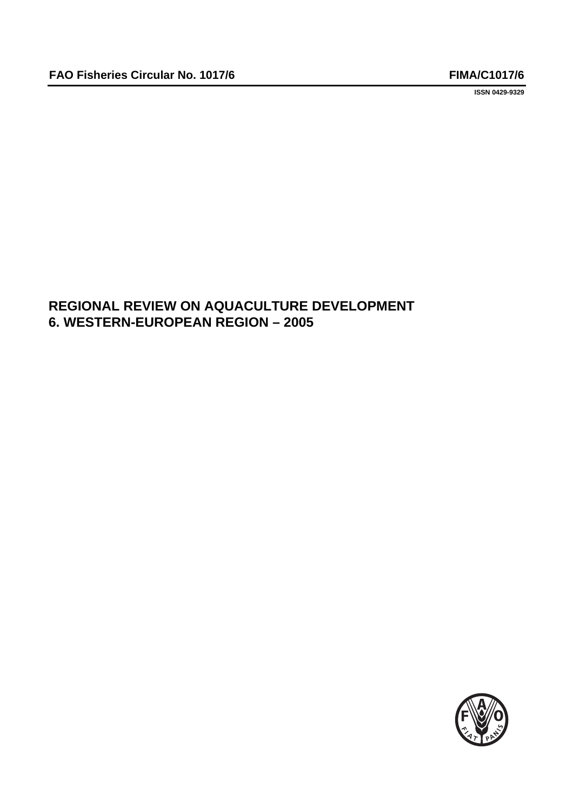**ISSN 0429-9329**

# **REGIONAL REVIEW ON AQUACULTURE DEVELOPMENT 6. WESTERN-EUROPEAN REGION – 2005**

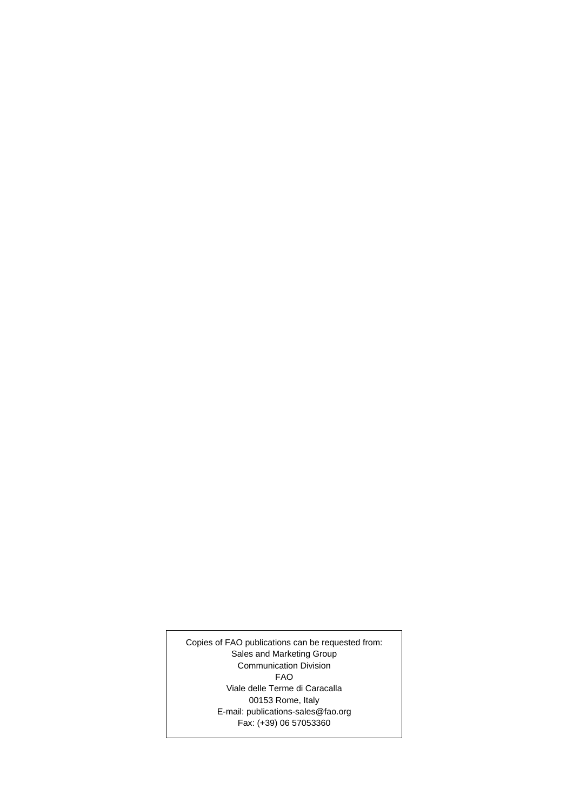Copies of FAO publications can be requested from: Sales and Marketing Group Communication Division FAO Viale delle Terme di Caracalla 00153 Rome, Italy E-mail: publications-sales@fao.org Fax: (+39) 06 57053360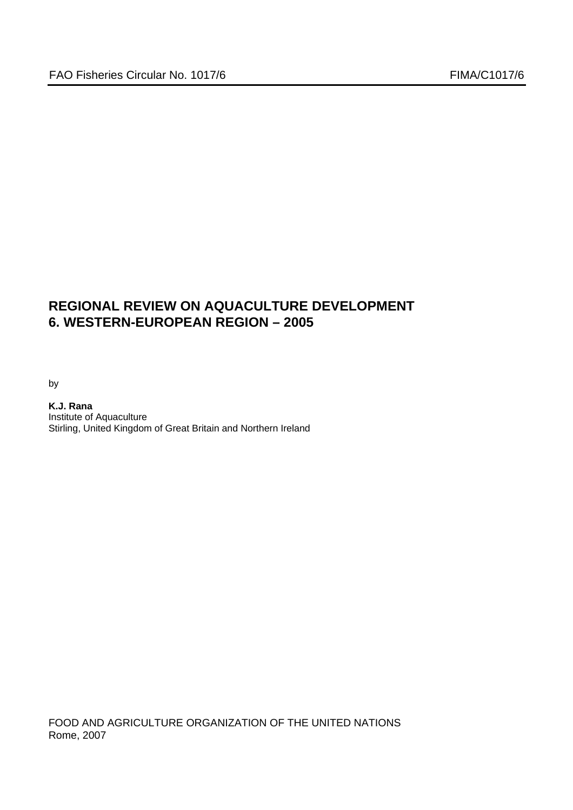# **REGIONAL REVIEW ON AQUACULTURE DEVELOPMENT 6. WESTERN-EUROPEAN REGION – 2005**

by

**K.J. Rana**  Institute of Aquaculture Stirling, United Kingdom of Great Britain and Northern Ireland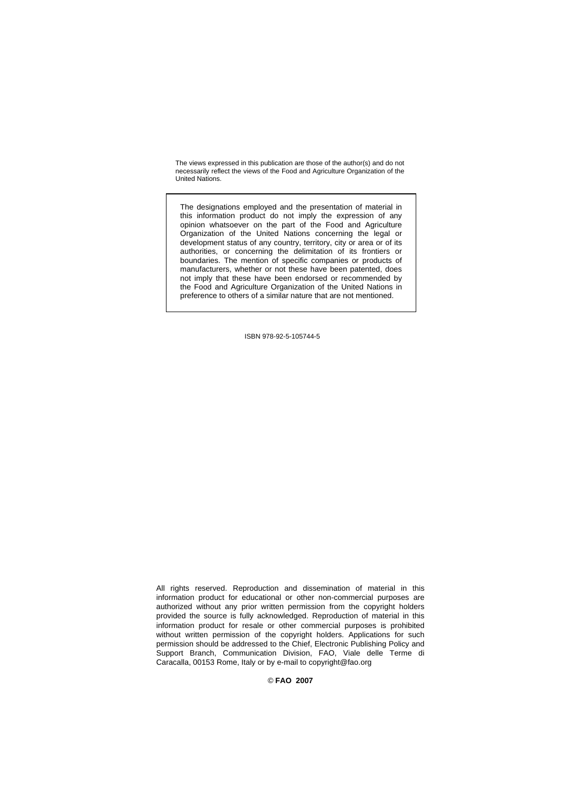The views expressed in this publication are those of the author(s) and do not necessarily reflect the views of the Food and Agriculture Organization of the United Nations.

The designations employed and the presentation of material in this information product do not imply the expression of any opinion whatsoever on the part of the Food and Agriculture Organization of the United Nations concerning the legal or development status of any country, territory, city or area or of its authorities, or concerning the delimitation of its frontiers or boundaries. The mention of specific companies or products of manufacturers, whether or not these have been patented, does not imply that these have been endorsed or recommended by the Food and Agriculture Organization of the United Nations in preference to others of a similar nature that are not mentioned.

ISBN 978-92-5-105744-5

All rights reserved. Reproduction and dissemination of material in this information product for educational or other non-commercial purposes are authorized without any prior written permission from the copyright holders provided the source is fully acknowledged. Reproduction of material in this information product for resale or other commercial purposes is prohibited without written permission of the copyright holders. Applications for such permission should be addressed to the Chief, Electronic Publishing Policy and Support Branch, Communication Division, FAO, Viale delle Terme di Caracalla, 00153 Rome, Italy or by e-mail to copyright@fao.org

© **FAO 2007**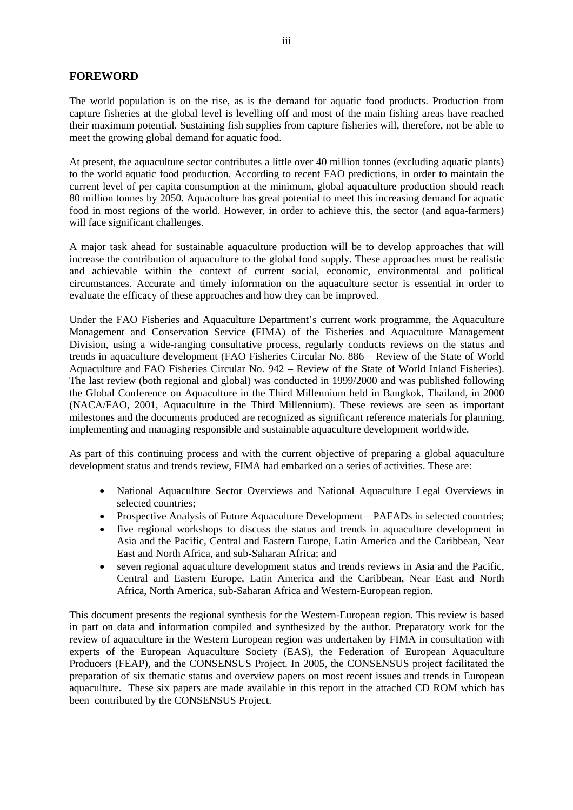# **FOREWORD**

The world population is on the rise, as is the demand for aquatic food products. Production from capture fisheries at the global level is levelling off and most of the main fishing areas have reached their maximum potential. Sustaining fish supplies from capture fisheries will, therefore, not be able to meet the growing global demand for aquatic food.

At present, the aquaculture sector contributes a little over 40 million tonnes (excluding aquatic plants) to the world aquatic food production. According to recent FAO predictions, in order to maintain the current level of per capita consumption at the minimum, global aquaculture production should reach 80 million tonnes by 2050. Aquaculture has great potential to meet this increasing demand for aquatic food in most regions of the world. However, in order to achieve this, the sector (and aqua-farmers) will face significant challenges.

A major task ahead for sustainable aquaculture production will be to develop approaches that will increase the contribution of aquaculture to the global food supply. These approaches must be realistic and achievable within the context of current social, economic, environmental and political circumstances. Accurate and timely information on the aquaculture sector is essential in order to evaluate the efficacy of these approaches and how they can be improved.

Under the FAO Fisheries and Aquaculture Department's current work programme, the Aquaculture Management and Conservation Service (FIMA) of the Fisheries and Aquaculture Management Division, using a wide-ranging consultative process, regularly conducts reviews on the status and trends in aquaculture development (FAO Fisheries Circular No. 886 – Review of the State of World Aquaculture and FAO Fisheries Circular No. 942 – Review of the State of World Inland Fisheries). The last review (both regional and global) was conducted in 1999/2000 and was published following the Global Conference on Aquaculture in the Third Millennium held in Bangkok, Thailand, in 2000 (NACA/FAO, 2001, Aquaculture in the Third Millennium). These reviews are seen as important milestones and the documents produced are recognized as significant reference materials for planning, implementing and managing responsible and sustainable aquaculture development worldwide.

As part of this continuing process and with the current objective of preparing a global aquaculture development status and trends review, FIMA had embarked on a series of activities. These are:

- National Aquaculture Sector Overviews and National Aquaculture Legal Overviews in selected countries;
- Prospective Analysis of Future Aquaculture Development PAFADs in selected countries;
- five regional workshops to discuss the status and trends in aquaculture development in Asia and the Pacific, Central and Eastern Europe, Latin America and the Caribbean, Near East and North Africa, and sub-Saharan Africa; and
- seven regional aquaculture development status and trends reviews in Asia and the Pacific, Central and Eastern Europe, Latin America and the Caribbean, Near East and North Africa, North America, sub-Saharan Africa and Western-European region.

This document presents the regional synthesis for the Western-European region. This review is based in part on data and information compiled and synthesized by the author. Preparatory work for the review of aquaculture in the Western European region was undertaken by FIMA in consultation with experts of the European Aquaculture Society (EAS), the Federation of European Aquaculture Producers (FEAP), and the CONSENSUS Project. In 2005, the CONSENSUS project facilitated the preparation of six thematic status and overview papers on most recent issues and trends in European aquaculture. These six papers are made available in this report in the attached CD ROM which has been contributed by the CONSENSUS Project.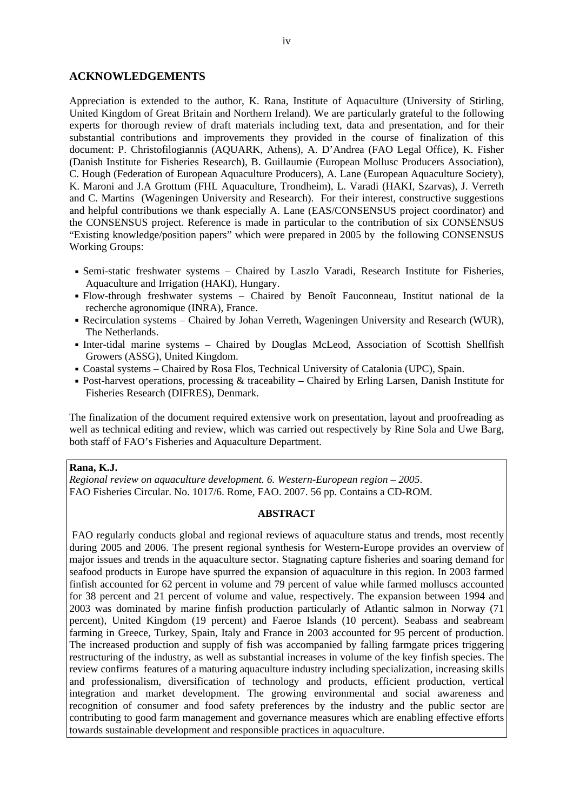#### **ACKNOWLEDGEMENTS**

Appreciation is extended to the author, K. Rana, Institute of Aquaculture (University of Stirling, United Kingdom of Great Britain and Northern Ireland). We are particularly grateful to the following experts for thorough review of draft materials including text, data and presentation, and for their substantial contributions and improvements they provided in the course of finalization of this document: P. Christofilogiannis (AQUARK, Athens), A. D'Andrea (FAO Legal Office), K. Fisher (Danish Institute for Fisheries Research), B. Guillaumie (European Mollusc Producers Association), C. Hough (Federation of European Aquaculture Producers), A. Lane (European Aquaculture Society), K. Maroni and J.A Grottum (FHL Aquaculture, Trondheim), L. Varadi (HAKI, Szarvas), J. Verreth and C. Martins (Wageningen University and Research). For their interest, constructive suggestions and helpful contributions we thank especially A. Lane (EAS/CONSENSUS project coordinator) and the CONSENSUS project. Reference is made in particular to the contribution of six CONSENSUS "Existing knowledge/position papers" which were prepared in 2005 by the following CONSENSUS Working Groups:

- Semi-static freshwater systems Chaired by Laszlo Varadi, Research Institute for Fisheries, Aquaculture and Irrigation (HAKI), Hungary.
- Flow-through freshwater systems Chaired by Benoît Fauconneau, Institut national de la recherche agronomique (INRA), France.
- Recirculation systems Chaired by Johan Verreth, Wageningen University and Research (WUR), The Netherlands.
- Inter-tidal marine systems Chaired by Douglas McLeod, Association of Scottish Shellfish Growers (ASSG), United Kingdom.
- Coastal systems Chaired by Rosa Flos, Technical University of Catalonia (UPC), Spain.
- Post-harvest operations, processing & traceability Chaired by Erling Larsen, Danish Institute for Fisheries Research (DIFRES), Denmark.

The finalization of the document required extensive work on presentation, layout and proofreading as well as technical editing and review, which was carried out respectively by Rine Sola and Uwe Barg, both staff of FAO's Fisheries and Aquaculture Department.

#### **Rana, K.J.**

*Regional review on aquaculture development. 6. Western-European region – 2005*. FAO Fisheries Circular. No. 1017/6. Rome, FAO. 2007. 56 pp. Contains a CD-ROM.

#### **ABSTRACT**

FAO regularly conducts global and regional reviews of aquaculture status and trends, most recently during 2005 and 2006. The present regional synthesis for Western-Europe provides an overview of major issues and trends in the aquaculture sector. Stagnating capture fisheries and soaring demand for seafood products in Europe have spurred the expansion of aquaculture in this region. In 2003 farmed finfish accounted for 62 percent in volume and 79 percent of value while farmed molluscs accounted for 38 percent and 21 percent of volume and value, respectively. The expansion between 1994 and 2003 was dominated by marine finfish production particularly of Atlantic salmon in Norway (71 percent), United Kingdom (19 percent) and Faeroe Islands (10 percent). Seabass and seabream farming in Greece, Turkey, Spain, Italy and France in 2003 accounted for 95 percent of production. The increased production and supply of fish was accompanied by falling farmgate prices triggering restructuring of the industry, as well as substantial increases in volume of the key finfish species. The review confirms features of a maturing aquaculture industry including specialization, increasing skills and professionalism, diversification of technology and products, efficient production, vertical integration and market development. The growing environmental and social awareness and recognition of consumer and food safety preferences by the industry and the public sector are contributing to good farm management and governance measures which are enabling effective efforts towards sustainable development and responsible practices in aquaculture.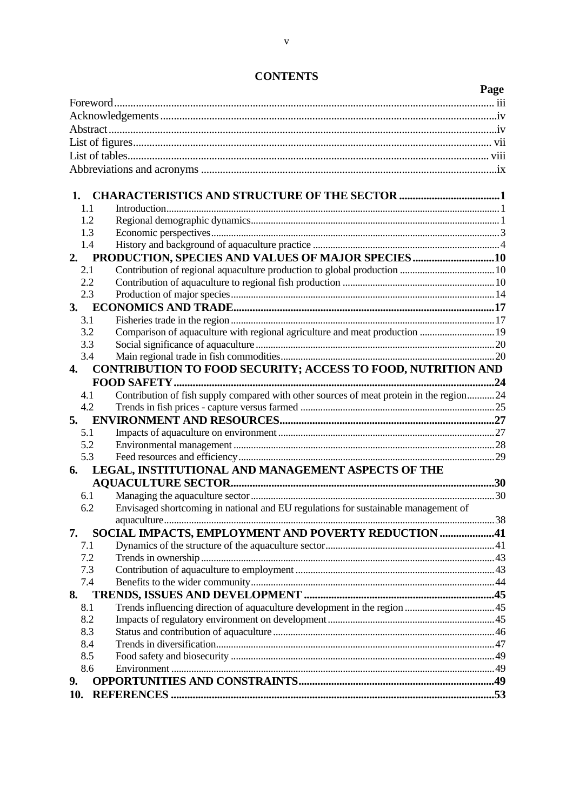|     |                                                                                         | Page |
|-----|-----------------------------------------------------------------------------------------|------|
|     |                                                                                         |      |
|     |                                                                                         |      |
|     |                                                                                         |      |
|     |                                                                                         |      |
|     |                                                                                         |      |
|     |                                                                                         |      |
|     |                                                                                         |      |
| 1.  |                                                                                         |      |
| 1.1 |                                                                                         |      |
| 1.2 |                                                                                         |      |
| 1.3 |                                                                                         |      |
| 1.4 |                                                                                         |      |
| 2.  | PRODUCTION, SPECIES AND VALUES OF MAJOR SPECIES 10                                      |      |
| 2.1 |                                                                                         |      |
| 2.2 |                                                                                         |      |
| 2.3 |                                                                                         |      |
| 3.  |                                                                                         |      |
| 3.1 |                                                                                         |      |
| 3.2 |                                                                                         |      |
| 3.3 |                                                                                         |      |
| 3.4 |                                                                                         |      |
| 4.  | CONTRIBUTION TO FOOD SECURITY; ACCESS TO FOOD, NUTRITION AND                            |      |
|     |                                                                                         |      |
| 4.1 | Contribution of fish supply compared with other sources of meat protein in the region24 |      |
| 4.2 |                                                                                         |      |
|     |                                                                                         |      |
| 5.1 |                                                                                         |      |
| 5.2 |                                                                                         |      |
| 5.3 |                                                                                         |      |
| 6.  | LEGAL, INSTITUTIONAL AND MANAGEMENT ASPECTS OF THE                                      |      |
|     |                                                                                         |      |
| 6.1 |                                                                                         |      |
| 6.2 | Envisaged shortcoming in national and EU regulations for sustainable management of      |      |
|     |                                                                                         |      |
| 7.  | SOCIAL IMPACTS, EMPLOYMENT AND POVERTY REDUCTION 41                                     |      |
| 7.1 |                                                                                         |      |
| 7.2 |                                                                                         |      |
| 7.3 |                                                                                         |      |
| 7.4 |                                                                                         |      |
| 8.  |                                                                                         |      |
| 8.1 |                                                                                         |      |
| 8.2 |                                                                                         |      |
| 8.3 |                                                                                         |      |
| 8.4 |                                                                                         |      |
| 8.5 |                                                                                         |      |
| 8.6 |                                                                                         |      |
| 9.  |                                                                                         |      |
| 10. |                                                                                         |      |
|     |                                                                                         |      |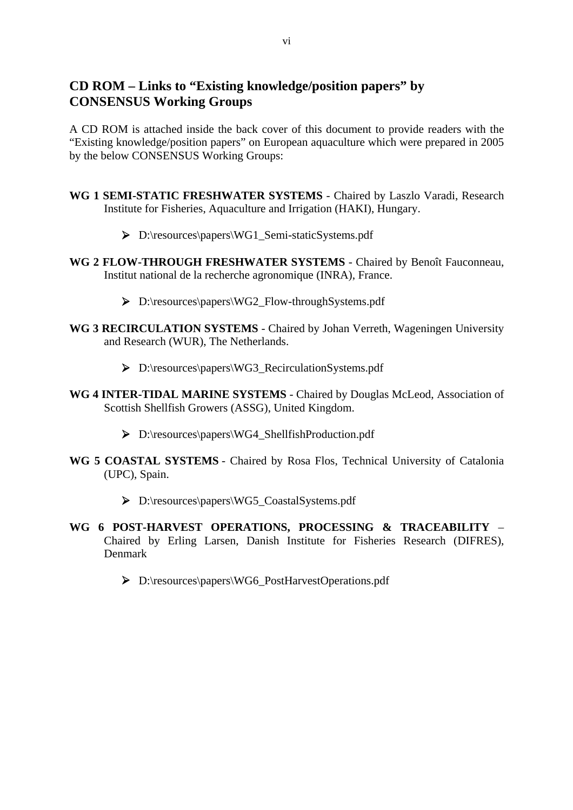# **CD ROM – Links to "Existing knowledge/position papers" by CONSENSUS Working Groups**

A CD ROM is attached inside the back cover of this document to provide readers with the "Existing knowledge/position papers" on European aquaculture which were prepared in 2005 by the below CONSENSUS Working Groups:

- **WG 1 SEMI-STATIC FRESHWATER SYSTEMS** Chaired by Laszlo Varadi, Research Institute for Fisheries, Aquaculture and Irrigation (HAKI), Hungary.
	- ¾ D:\resources\papers\WG1\_Semi-staticSystems.pdf
- **WG 2 FLOW-THROUGH FRESHWATER SYSTEMS** Chaired by Benoît Fauconneau, Institut national de la recherche agronomique (INRA), France.
	- ¾ D:\resources\papers\WG2\_Flow-throughSystems.pdf
- **WG 3 RECIRCULATION SYSTEMS** Chaired by Johan Verreth, Wageningen University and Research (WUR), The Netherlands.
	- ¾ D:\resources\papers\WG3\_RecirculationSystems.pdf
- **WG 4 INTER-TIDAL MARINE SYSTEMS** Chaired by Douglas McLeod, Association of Scottish Shellfish Growers (ASSG), United Kingdom.
	- ¾ D:\resources\papers\WG4\_ShellfishProduction.pdf
- **WG 5 COASTAL SYSTEMS** Chaired by Rosa Flos, Technical University of Catalonia (UPC), Spain.
	- ¾ D:\resources\papers\WG5\_CoastalSystems.pdf
- **WG 6 POST-HARVEST OPERATIONS, PROCESSING & TRACEABILITY** Chaired by Erling Larsen, Danish Institute for Fisheries Research (DIFRES), Denmark
	- ¾ D:\resources\papers\WG6\_PostHarvestOperations.pdf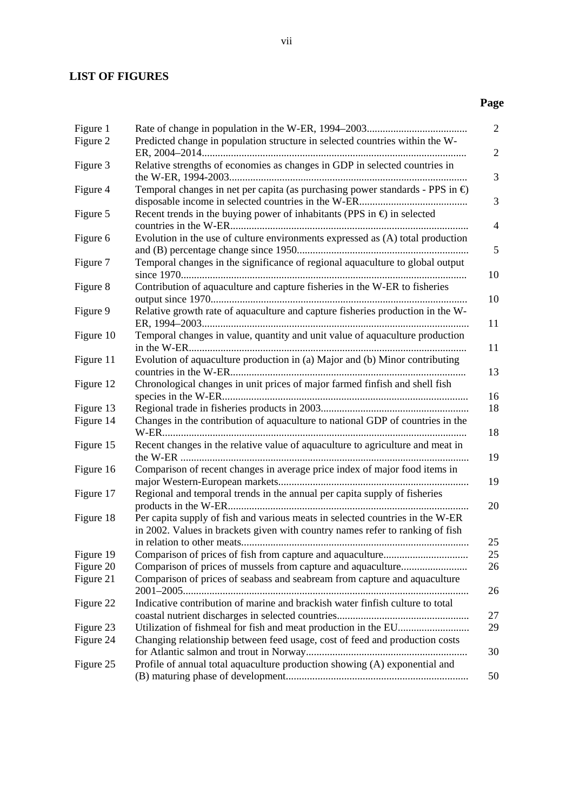# **LIST OF FIGURES**

# **Page**

| Figure 1<br>Figure 2 | Predicted change in population structure in selected countries within the W-                                                                                   | $\overline{2}$ |
|----------------------|----------------------------------------------------------------------------------------------------------------------------------------------------------------|----------------|
|                      |                                                                                                                                                                | $\mathfrak{2}$ |
| Figure 3             | Relative strengths of economies as changes in GDP in selected countries in                                                                                     | 3              |
| Figure 4             | Temporal changes in net per capita (as purchasing power standards - PPS in $\bigoplus$                                                                         | 3              |
| Figure 5             | Recent trends in the buying power of inhabitants (PPS in $\oplus$ in selected                                                                                  | $\overline{4}$ |
| Figure 6             | Evolution in the use of culture environments expressed as (A) total production                                                                                 | 5              |
| Figure 7             | Temporal changes in the significance of regional aquaculture to global output                                                                                  | 10             |
| Figure 8             | Contribution of aquaculture and capture fisheries in the W-ER to fisheries                                                                                     | 10             |
| Figure 9             | Relative growth rate of aquaculture and capture fisheries production in the W-                                                                                 | 11             |
| Figure 10            | Temporal changes in value, quantity and unit value of aquaculture production                                                                                   | 11             |
| Figure 11            | Evolution of aquaculture production in (a) Major and (b) Minor contributing                                                                                    | 13             |
| Figure 12            | Chronological changes in unit prices of major farmed finfish and shell fish                                                                                    | 16             |
| Figure 13            |                                                                                                                                                                | 18             |
| Figure 14            | Changes in the contribution of aquaculture to national GDP of countries in the                                                                                 | 18             |
| Figure 15            | Recent changes in the relative value of aquaculture to agriculture and meat in                                                                                 | 19             |
| Figure 16            | Comparison of recent changes in average price index of major food items in                                                                                     | 19             |
| Figure 17            | Regional and temporal trends in the annual per capita supply of fisheries                                                                                      | 20             |
| Figure 18            | Per capita supply of fish and various meats in selected countries in the W-ER<br>in 2002. Values in brackets given with country names refer to ranking of fish | 25             |
| Figure 19            |                                                                                                                                                                | 25             |
| Figure 20            |                                                                                                                                                                | 26             |
| Figure 21            | Comparison of prices of seabass and seabream from capture and aquaculture                                                                                      | 26             |
| Figure 22            | Indicative contribution of marine and brackish water finfish culture to total                                                                                  | 27             |
| Figure 23            |                                                                                                                                                                | 29             |
| Figure 24            | Changing relationship between feed usage, cost of feed and production costs                                                                                    | 30             |
| Figure 25            | Profile of annual total aquaculture production showing (A) exponential and                                                                                     |                |
|                      |                                                                                                                                                                | 50             |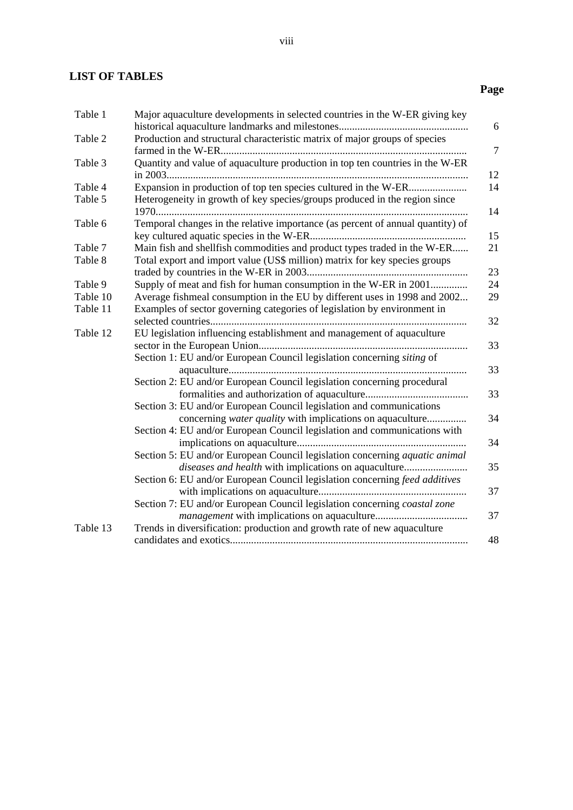# **LIST OF TABLES**

# **Page**

| Table 1  | Major aquaculture developments in selected countries in the W-ER giving key                                                              | 6      |
|----------|------------------------------------------------------------------------------------------------------------------------------------------|--------|
| Table 2  | Production and structural characteristic matrix of major groups of species                                                               | $\tau$ |
| Table 3  | Quantity and value of aquaculture production in top ten countries in the W-ER                                                            | 12     |
| Table 4  |                                                                                                                                          | 14     |
| Table 5  | Heterogeneity in growth of key species/groups produced in the region since                                                               | 14     |
| Table 6  | Temporal changes in the relative importance (as percent of annual quantity) of                                                           | 15     |
| Table 7  | Main fish and shellfish commodities and product types traded in the W-ER                                                                 | 21     |
| Table 8  | Total export and import value (US\$ million) matrix for key species groups                                                               | 23     |
| Table 9  | Supply of meat and fish for human consumption in the W-ER in 2001                                                                        | 24     |
| Table 10 | Average fishmeal consumption in the EU by different uses in 1998 and 2002                                                                | 29     |
| Table 11 | Examples of sector governing categories of legislation by environment in                                                                 | 32     |
| Table 12 | EU legislation influencing establishment and management of aquaculture                                                                   | 33     |
|          | Section 1: EU and/or European Council legislation concerning siting of                                                                   | 33     |
|          | Section 2: EU and/or European Council legislation concerning procedural                                                                  | 33     |
|          | Section 3: EU and/or European Council legislation and communications<br>concerning <i>water quality</i> with implications on aquaculture | 34     |
|          | Section 4: EU and/or European Council legislation and communications with                                                                | 34     |
|          | Section 5: EU and/or European Council legislation concerning aquatic animal<br>diseases and health with implications on aquaculture      | 35     |
|          | Section 6: EU and/or European Council legislation concerning feed additives                                                              | 37     |
|          | Section 7: EU and/or European Council legislation concerning coastal zone                                                                | 37     |
| Table 13 | Trends in diversification: production and growth rate of new aquaculture                                                                 | 48     |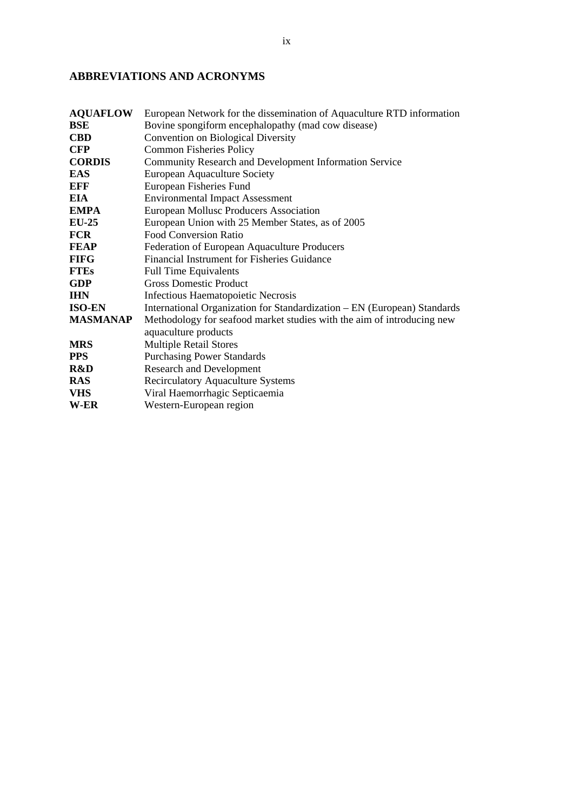# **ABBREVIATIONS AND ACRONYMS**

| <b>AQUAFLOW</b> | European Network for the dissemination of Aquaculture RTD information    |
|-----------------|--------------------------------------------------------------------------|
| BSE             | Bovine spongiform encephalopathy (mad cow disease)                       |
| <b>CBD</b>      | <b>Convention on Biological Diversity</b>                                |
| <b>CFP</b>      | <b>Common Fisheries Policy</b>                                           |
| <b>CORDIS</b>   | Community Research and Development Information Service                   |
| <b>EAS</b>      | <b>European Aquaculture Society</b>                                      |
| EFF             | European Fisheries Fund                                                  |
| EIA             | <b>Environmental Impact Assessment</b>                                   |
| <b>EMPA</b>     | European Mollusc Producers Association                                   |
| <b>EU-25</b>    | European Union with 25 Member States, as of 2005                         |
| <b>FCR</b>      | <b>Food Conversion Ratio</b>                                             |
| FEAP            | Federation of European Aquaculture Producers                             |
| <b>FIFG</b>     | Financial Instrument for Fisheries Guidance                              |
| <b>FTEs</b>     | <b>Full Time Equivalents</b>                                             |
| <b>GDP</b>      | <b>Gross Domestic Product</b>                                            |
| <b>IHN</b>      | Infectious Haematopoietic Necrosis                                       |
| <b>ISO-EN</b>   | International Organization for Standardization – EN (European) Standards |
| <b>MASMANAP</b> | Methodology for seafood market studies with the aim of introducing new   |
|                 | aquaculture products                                                     |
| <b>MRS</b>      | <b>Multiple Retail Stores</b>                                            |
| <b>PPS</b>      | <b>Purchasing Power Standards</b>                                        |
| R&D             | <b>Research and Development</b>                                          |
| <b>RAS</b>      | <b>Recirculatory Aquaculture Systems</b>                                 |
| <b>VHS</b>      | Viral Haemorrhagic Septicaemia                                           |
| W-ER            | Western-European region                                                  |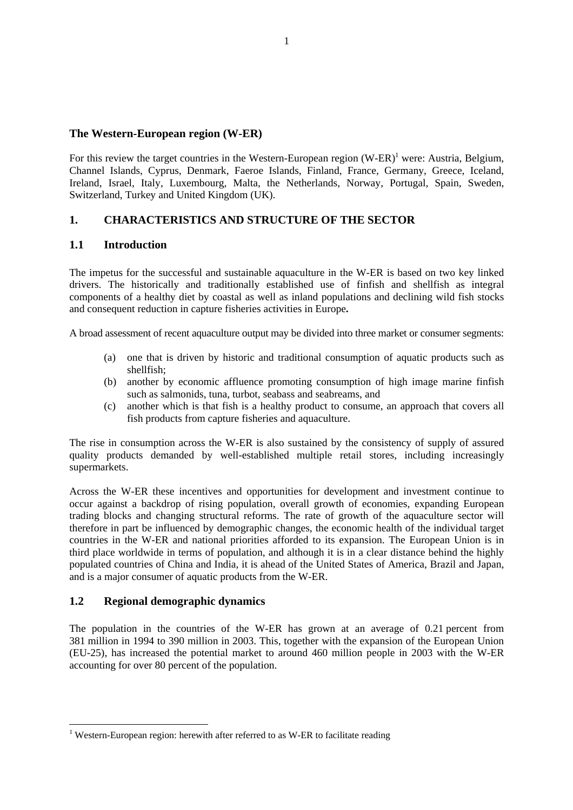### **The Western-European region (W-ER)**

For this review the target countries in the Western-European region  $(W-ER)^{1}$  were: Austria, Belgium, Channel Islands, Cyprus, Denmark, Faeroe Islands, Finland, France, Germany, Greece, Iceland, Ireland, Israel, Italy, Luxembourg, Malta, the Netherlands, Norway, Portugal, Spain, Sweden, Switzerland, Turkey and United Kingdom (UK).

# **1. CHARACTERISTICS AND STRUCTURE OF THE SECTOR**

# **1.1 Introduction**

The impetus for the successful and sustainable aquaculture in the W-ER is based on two key linked drivers. The historically and traditionally established use of finfish and shellfish as integral components of a healthy diet by coastal as well as inland populations and declining wild fish stocks and consequent reduction in capture fisheries activities in Europe**.** 

A broad assessment of recent aquaculture output may be divided into three market or consumer segments:

- (a) one that is driven by historic and traditional consumption of aquatic products such as shellfish;
- (b) another by economic affluence promoting consumption of high image marine finfish such as salmonids, tuna, turbot, seabass and seabreams, and
- (c) another which is that fish is a healthy product to consume, an approach that covers all fish products from capture fisheries and aquaculture.

The rise in consumption across the W-ER is also sustained by the consistency of supply of assured quality products demanded by well-established multiple retail stores, including increasingly supermarkets.

Across the W-ER these incentives and opportunities for development and investment continue to occur against a backdrop of rising population, overall growth of economies, expanding European trading blocks and changing structural reforms. The rate of growth of the aquaculture sector will therefore in part be influenced by demographic changes, the economic health of the individual target countries in the W-ER and national priorities afforded to its expansion. The European Union is in third place worldwide in terms of population, and although it is in a clear distance behind the highly populated countries of China and India, it is ahead of the United States of America, Brazil and Japan, and is a major consumer of aquatic products from the W-ER.

# **1.2 Regional demographic dynamics**

 $\overline{a}$ 

The population in the countries of the W-ER has grown at an average of 0.21 percent from 381 million in 1994 to 390 million in 2003. This, together with the expansion of the European Union (EU-25), has increased the potential market to around 460 million people in 2003 with the W-ER accounting for over 80 percent of the population.

<sup>&</sup>lt;sup>1</sup> Western-European region: herewith after referred to as W-ER to facilitate reading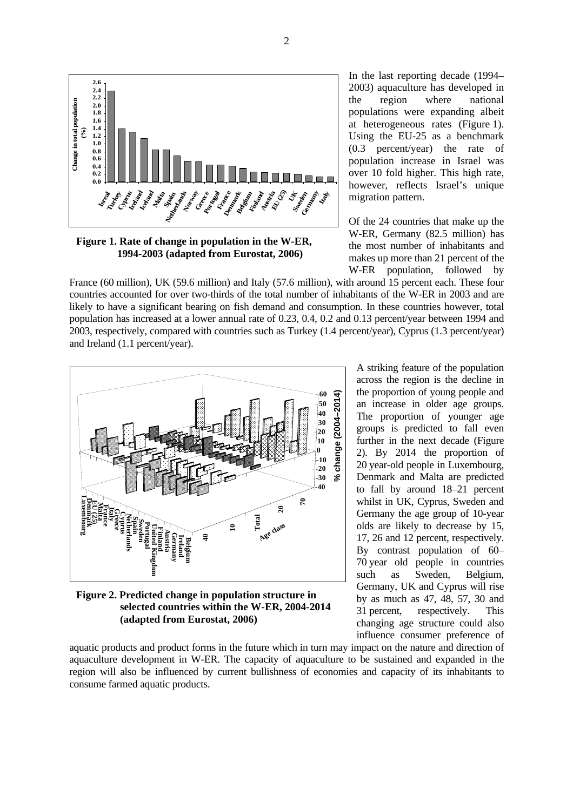

**Figure 1. Rate of change in population in the W-ER, 1994-2003 (adapted from Eurostat, 2006)**

In the last reporting decade (1994– 2003) aquaculture has developed in the region where national populations were expanding albeit at heterogeneous rates (Figure 1). Using the EU-25 as a benchmark (0.3 percent/year) the rate of population increase in Israel was over 10 fold higher. This high rate, however, reflects Israel's unique migration pattern.

Of the 24 countries that make up the W-ER, Germany (82.5 million) has the most number of inhabitants and makes up more than 21 percent of the W-ER population, followed by

A striking feature of the population across the region is the decline in the proportion of young people and an increase in older age groups. The proportion of younger age groups is predicted to fall even further in the next decade (Figure 2). By 2014 the proportion of 20 year-old people in Luxembourg, Denmark and Malta are predicted to fall by around 18–21 percent whilst in UK, Cyprus, Sweden and Germany the age group of 10-year olds are likely to decrease by 15, 17, 26 and 12 percent, respectively. By contrast population of 60– 70 year old people in countries such as Sweden, Belgium, Germany, UK and Cyprus will rise by as much as 47, 48, 57, 30 and 31 percent, respectively. This changing age structure could also influence consumer preference of

France (60 million), UK (59.6 million) and Italy (57.6 million), with around 15 percent each. These four countries accounted for over two-thirds of the total number of inhabitants of the W-ER in 2003 and are likely to have a significant bearing on fish demand and consumption. In these countries however, total population has increased at a lower annual rate of 0.23, 0.4, 0.2 and 0.13 percent/year between 1994 and 2003, respectively, compared with countries such as Turkey (1.4 percent/year), Cyprus (1.3 percent/year) and Ireland (1.1 percent/year).



**Figure 2. Predicted change in population structure in selected countries within the W-ER, 2004-2014 (adapted from Eurostat, 2006)**

aquatic products and product forms in the future which in turn may impact on the nature and direction of aquaculture development in W-ER. The capacity of aquaculture to be sustained and expanded in the region will also be influenced by current bullishness of economies and capacity of its inhabitants to consume farmed aquatic products.

2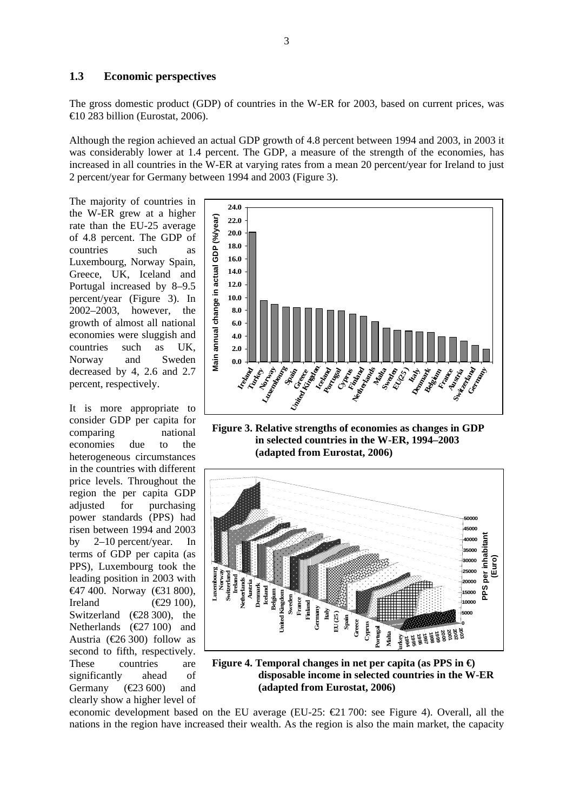#### **1.3 Economic perspectives**

The gross domestic product (GDP) of countries in the W-ER for 2003, based on current prices, was  $\bigoplus$  0 283 billion (Eurostat, 2006).

Although the region achieved an actual GDP growth of 4.8 percent between 1994 and 2003, in 2003 it was considerably lower at 1.4 percent. The GDP, a measure of the strength of the economies, has increased in all countries in the W-ER at varying rates from a mean 20 percent/year for Ireland to just 2 percent/year for Germany between 1994 and 2003 (Figure 3).

The majority of countries in the W-ER grew at a higher rate than the EU-25 average of 4.8 percent. The GDP of countries such as Luxembourg, Norway Spain, Greece, UK, Iceland and Portugal increased by 8–9.5 percent/year (Figure 3). In 2002–2003, however, the growth of almost all national economies were sluggish and countries such as UK, Norway and Sweden decreased by 4, 2.6 and 2.7 percent, respectively.

It is more appropriate to consider GDP per capita for comparing national economies due to the heterogeneous circumstances in the countries with different price levels. Throughout the region the per capita GDP adjusted for purchasing power standards (PPS) had risen between 1994 and 2003 by 2–10 percent/year. In terms of GDP per capita (as PPS), Luxembourg took the leading position in 2003 with  $€47,400$ . Norway (€31,800), Ireland  $(\text{\textcircled{29}} 100)$ , Switzerland ( $\text{\textcircled{28}}$  300), the Netherlands  $(\text{\textsterling}27\ 100)$  and Austria ( $\text{\textsterling}6\,300$ ) follow as second to fifth, respectively. These countries are significantly ahead of Germany  $(\text{\textsterling}23 600)$  and clearly show a higher level of



**Figure 3. Relative strengths of economies as changes in GDP in selected countries in the W-ER, 1994–2003 (adapted from Eurostat, 2006)**



**Figure 4. Temporal changes in net per capita (as PPS in €) disposable income in selected countries in the W-ER (adapted from Eurostat, 2006)**

economic development based on the EU average (EU-25:  $\epsilon$ 21 700: see Figure 4). Overall, all the nations in the region have increased their wealth. As the region is also the main market, the capacity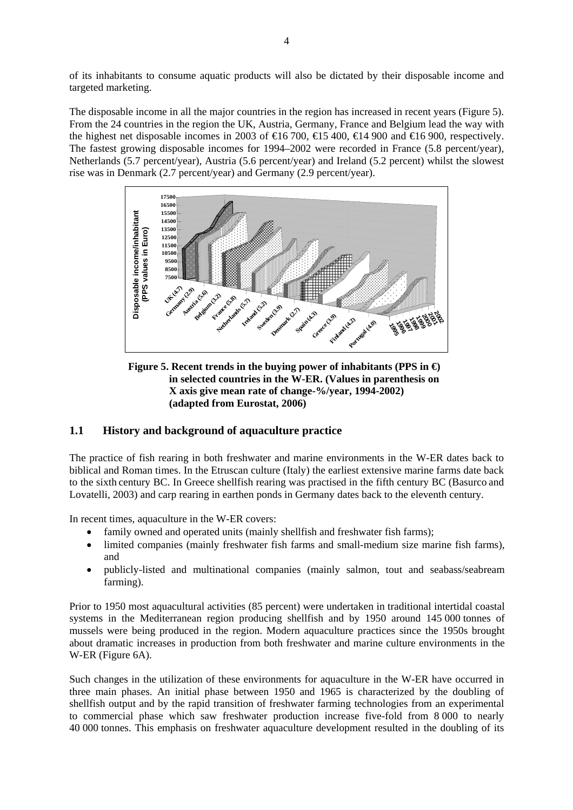of its inhabitants to consume aquatic products will also be dictated by their disposable income and targeted marketing.

The disposable income in all the major countries in the region has increased in recent years (Figure 5). From the 24 countries in the region the UK, Austria, Germany, France and Belgium lead the way with the highest net disposable incomes in 2003 of  $\epsilon$ 16 700,  $\epsilon$ 15 400,  $\epsilon$ 14 900 and  $\epsilon$ 16 900, respectively. The fastest growing disposable incomes for 1994–2002 were recorded in France (5.8 percent/year), Netherlands (5.7 percent/year), Austria (5.6 percent/year) and Ireland (5.2 percent) whilst the slowest rise was in Denmark (2.7 percent/year) and Germany (2.9 percent/year).



**Figure 5. Recent trends in the buying power of inhabitants (PPS in €) in selected countries in the W-ER. (Values in parenthesis on X axis give mean rate of change-%/year, 1994-2002) (adapted from Eurostat, 2006)**

# **1.1 History and background of aquaculture practice**

The practice of fish rearing in both freshwater and marine environments in the W-ER dates back to biblical and Roman times. In the Etruscan culture (Italy) the earliest extensive marine farms date back to the sixth century BC. In Greece shellfish rearing was practised in the fifth century BC (Basurco and Lovatelli, 2003) and carp rearing in earthen ponds in Germany dates back to the eleventh century.

In recent times, aquaculture in the W-ER covers:

- family owned and operated units (mainly shellfish and freshwater fish farms);
- limited companies (mainly freshwater fish farms and small-medium size marine fish farms), and
- publicly-listed and multinational companies (mainly salmon, tout and seabass/seabream farming).

Prior to 1950 most aquacultural activities (85 percent) were undertaken in traditional intertidal coastal systems in the Mediterranean region producing shellfish and by 1950 around 145 000 tonnes of mussels were being produced in the region. Modern aquaculture practices since the 1950s brought about dramatic increases in production from both freshwater and marine culture environments in the W-ER (Figure 6A).

Such changes in the utilization of these environments for aquaculture in the W-ER have occurred in three main phases. An initial phase between 1950 and 1965 is characterized by the doubling of shellfish output and by the rapid transition of freshwater farming technologies from an experimental to commercial phase which saw freshwater production increase five-fold from 8 000 to nearly 40 000 tonnes. This emphasis on freshwater aquaculture development resulted in the doubling of its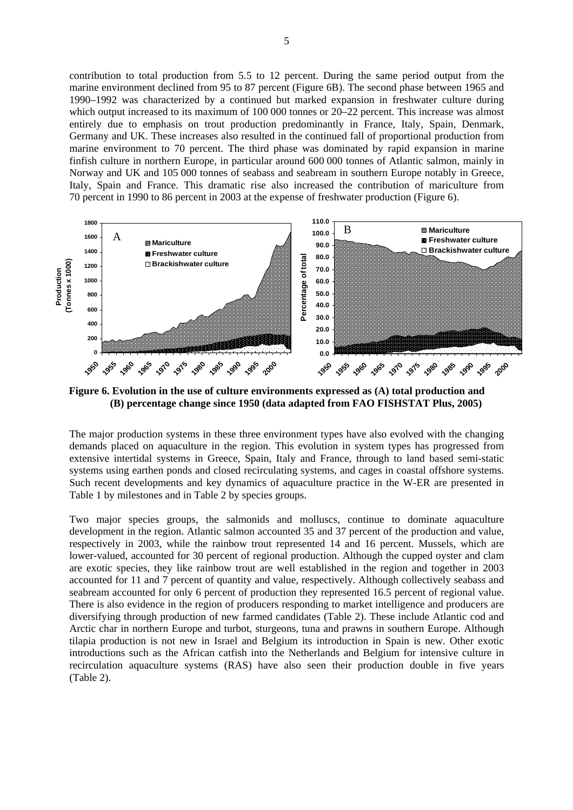contribution to total production from 5.5 to 12 percent. During the same period output from the marine environment declined from 95 to 87 percent (Figure 6B). The second phase between 1965 and 1990–1992 was characterized by a continued but marked expansion in freshwater culture during which output increased to its maximum of 100 000 tonnes or  $20-22$  percent. This increase was almost entirely due to emphasis on trout production predominantly in France, Italy, Spain, Denmark, Germany and UK. These increases also resulted in the continued fall of proportional production from marine environment to 70 percent. The third phase was dominated by rapid expansion in marine finfish culture in northern Europe, in particular around 600 000 tonnes of Atlantic salmon, mainly in Norway and UK and 105 000 tonnes of seabass and seabream in southern Europe notably in Greece, Italy, Spain and France. This dramatic rise also increased the contribution of mariculture from 70 percent in 1990 to 86 percent in 2003 at the expense of freshwater production (Figure 6).



**Figure 6. Evolution in the use of culture environments expressed as (A) total production and (B) percentage change since 1950 (data adapted from FAO FISHSTAT Plus, 2005)** 

The major production systems in these three environment types have also evolved with the changing demands placed on aquaculture in the region. This evolution in system types has progressed from extensive intertidal systems in Greece, Spain, Italy and France, through to land based semi-static systems using earthen ponds and closed recirculating systems, and cages in coastal offshore systems. Such recent developments and key dynamics of aquaculture practice in the W-ER are presented in Table 1 by milestones and in Table 2 by species groups.

Two major species groups, the salmonids and molluscs, continue to dominate aquaculture development in the region. Atlantic salmon accounted 35 and 37 percent of the production and value, respectively in 2003, while the rainbow trout represented 14 and 16 percent. Mussels, which are lower-valued, accounted for 30 percent of regional production. Although the cupped oyster and clam are exotic species, they like rainbow trout are well established in the region and together in 2003 accounted for 11 and 7 percent of quantity and value, respectively. Although collectively seabass and seabream accounted for only 6 percent of production they represented 16.5 percent of regional value. There is also evidence in the region of producers responding to market intelligence and producers are diversifying through production of new farmed candidates (Table 2). These include Atlantic cod and Arctic char in northern Europe and turbot, sturgeons, tuna and prawns in southern Europe. Although tilapia production is not new in Israel and Belgium its introduction in Spain is new. Other exotic introductions such as the African catfish into the Netherlands and Belgium for intensive culture in recirculation aquaculture systems (RAS) have also seen their production double in five years (Table 2).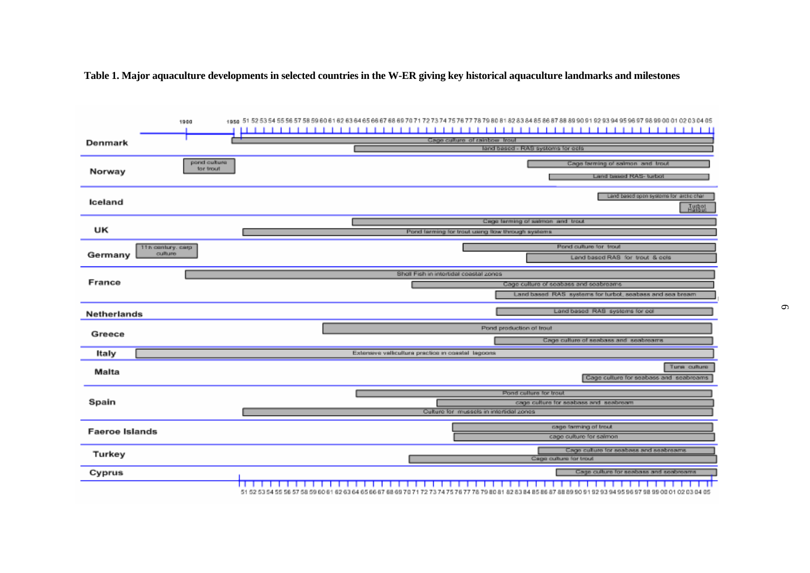**Table 1. Major aquaculture developments in selected countries in the W-ER giving key historical aquaculture landmarks and milestones** 

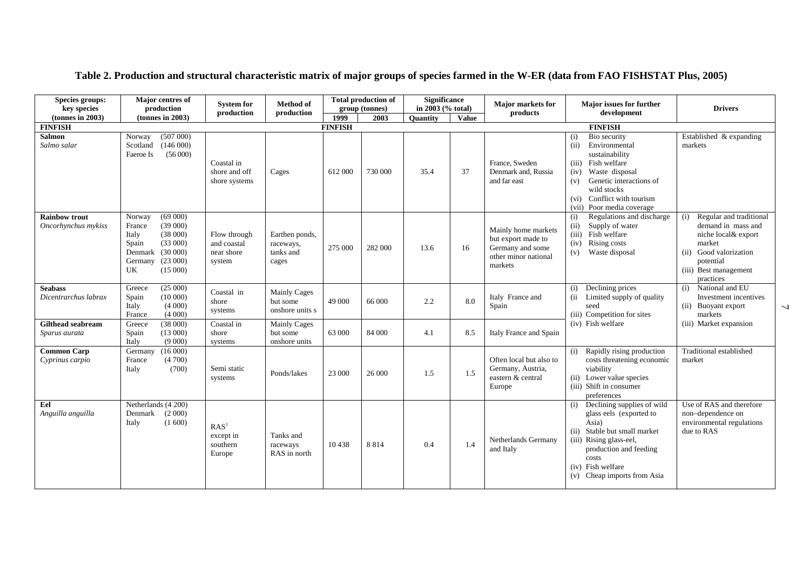| Species groups:<br>key species              | Major centres of<br>production                                                                                                              | <b>System for</b><br>production                     | <b>Method of</b><br>production                     |                | <b>Total production of</b><br>group (tonnes) | <b>Significance</b><br>in 2003 (% total) |              | <b>Major markets for</b><br>products                                                             | Major issues for further<br>development                                                                                                                                                                                             | <b>Drivers</b>                                                                                                                                                        |
|---------------------------------------------|---------------------------------------------------------------------------------------------------------------------------------------------|-----------------------------------------------------|----------------------------------------------------|----------------|----------------------------------------------|------------------------------------------|--------------|--------------------------------------------------------------------------------------------------|-------------------------------------------------------------------------------------------------------------------------------------------------------------------------------------------------------------------------------------|-----------------------------------------------------------------------------------------------------------------------------------------------------------------------|
| $tonnes$ in 2003)                           | (tonnes in 2003)                                                                                                                            |                                                     |                                                    | 1999           | 2003                                         | <b>Ouantity</b>                          | <b>Value</b> |                                                                                                  |                                                                                                                                                                                                                                     |                                                                                                                                                                       |
| <b>FINFISH</b>                              |                                                                                                                                             |                                                     |                                                    | <b>FINFISH</b> |                                              |                                          |              |                                                                                                  | <b>FINFISH</b>                                                                                                                                                                                                                      |                                                                                                                                                                       |
| <b>Salmon</b><br>Salmo salar                | (507000)<br>Norway<br>(146000)<br>Scotland<br>(56000)<br>Faeroe Is                                                                          | Coastal in<br>shore and off<br>shore systems        | Cages                                              | 612 000        | 730 000                                      | 35.4                                     | 37           | France, Sweden<br>Denmark and, Russia<br>and far east                                            | Bio security<br>(i)<br>Environmental<br>(ii)<br>sustainability<br>(iii)<br>Fish welfare<br>Waste disposal<br>(iv)<br>Genetic interactions of<br>(v)<br>wild stocks<br>Conflict with tourism<br>(vi)<br>Poor media coverage<br>(vii) | Established & expanding<br>markets                                                                                                                                    |
| <b>Rainbow trout</b><br>Oncorhynchus mykiss | (69000)<br>Norway<br>(39000)<br>France<br>(38000)<br>Italy<br>(33000)<br>Spain<br>(30000)<br>Denmark<br>(23000)<br>Germany<br>UK<br>(15000) | Flow through<br>and coastal<br>near shore<br>system | Earthen ponds,<br>raceways,<br>tanks and<br>cages  | 275 000        | 282 000                                      | 13.6                                     | 16           | Mainly home markets<br>but export made to<br>Germany and some<br>other minor national<br>markets | Regulations and discharge<br>(i)<br>Supply of water<br>(ii)<br>Fish welfare<br>(iii)<br>Rising costs<br>(iv)<br>Waste disposal<br>(v)                                                                                               | Regular and traditional<br>(i)<br>demand in mass and<br>niche local& export<br>market<br>Good valorization<br>(ii)<br>potential<br>(iii) Best management<br>practices |
| <b>Seabass</b><br>Dicentrarchus labrax      | (25000)<br>Greece<br>Spain<br>(10000)<br>Italy<br>(4000)<br>(4000)<br>France                                                                | Coastal in<br>shore<br>systems                      | <b>Mainly Cages</b><br>but some<br>onshore units s | 49 000         | 66 000                                       | 2.2                                      | 8.0          | Italy France and<br>Spain                                                                        | Declining prices<br>(i)<br>Limited supply of quality<br>(ii<br>seed<br>(iii) Competition for sites                                                                                                                                  | National and EU<br>(i)<br>Investment incentives<br>(ii) Buoyant export<br>markets                                                                                     |
| <b>Gilthead seabream</b><br>Sparus aurata   | (38000)<br>Greece<br>(13000)<br>Spain<br>(9000)<br>Italy                                                                                    | Coastal in<br>shore<br>systems                      | <b>Mainly Cages</b><br>but some<br>onshore units   | 63 000         | 84 000                                       | 4.1                                      | 8.5          | Italy France and Spain                                                                           | (iv) Fish welfare                                                                                                                                                                                                                   | (iii) Market expansion                                                                                                                                                |
| <b>Common Carp</b><br>Cyprinus carpio       | (16000)<br>Germany<br>(4700)<br>France<br>(700)<br>Italy                                                                                    | Semi static<br>systems                              | Ponds/lakes                                        | 23 000         | 26 000                                       | 1.5                                      | 1.5          | Often local but also to<br>Germany, Austria,<br>eastern & central<br>Europe                      | Rapidly rising production<br>(i)<br>costs threatening economic<br>viability<br>(ii) Lower value species<br>(iii) Shift in consumer<br>preferences                                                                                   | Traditional established<br>market                                                                                                                                     |
| Eel<br>Anguilla anguilla                    | Netherlands (4 200)<br>(2000)<br>Denmark<br>(1600)<br>Italy                                                                                 | RAS <sup>1</sup><br>except in<br>southern<br>Europe | Tanks and<br>raceways<br>RAS in north              | 10438          | 8814                                         | 0.4                                      | 1.4          | Netherlands Germany<br>and Italy                                                                 | Declining supplies of wild<br>(i)<br>glass eels (exported to<br>Asia)<br>Stable but small market<br>(ii)<br>(iii) Rising glass-eel,<br>production and feeding<br>costs<br>(iv) Fish welfare<br>(v) Cheap imports from Asia          | Use of RAS and therefore<br>non-dependence on<br>environmental regulations<br>due to RAS                                                                              |

# **Table 2. Production and structural characteristic matrix of major groups of species farmed in the W-ER (data from FAO FISHSTAT Plus, 2005)**

 $\overline{\phantom{a}}$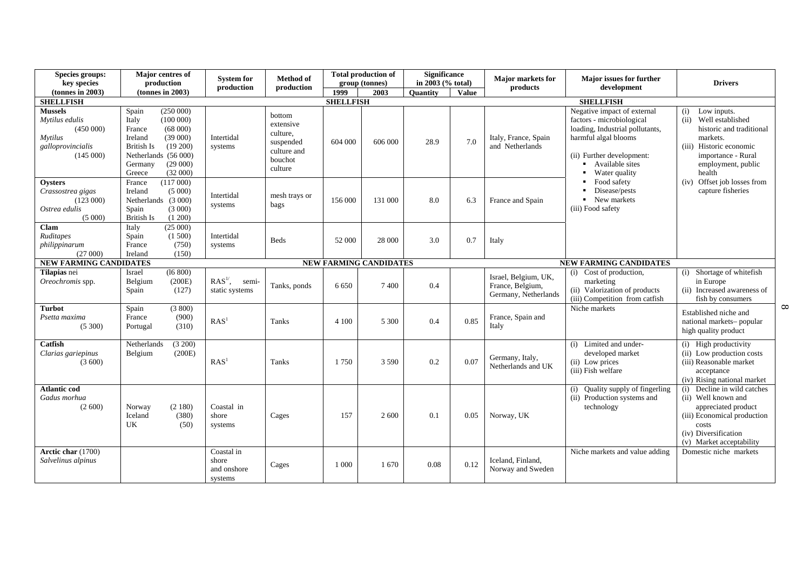| Species groups:<br>key species                                                                  | Major centres of<br>production                                                                                                                                                    | <b>System for</b>                             | <b>Method of</b>                                                                  |                  | <b>Total production of</b><br>group (tonnes) | <b>Significance</b><br>in 2003 (% total) |              | <b>Major markets for</b>                                         | Major issues for further                                                                                                                                                             | <b>Drivers</b>                                                                                                                                                           |
|-------------------------------------------------------------------------------------------------|-----------------------------------------------------------------------------------------------------------------------------------------------------------------------------------|-----------------------------------------------|-----------------------------------------------------------------------------------|------------------|----------------------------------------------|------------------------------------------|--------------|------------------------------------------------------------------|--------------------------------------------------------------------------------------------------------------------------------------------------------------------------------------|--------------------------------------------------------------------------------------------------------------------------------------------------------------------------|
| (tonnes in 2003)                                                                                | $tonnes$ in 2003)                                                                                                                                                                 | production                                    | production                                                                        | 1999             | 2003                                         | <b>Ouantity</b>                          | <b>Value</b> | products                                                         | development                                                                                                                                                                          |                                                                                                                                                                          |
| <b>SHELLFISH</b>                                                                                |                                                                                                                                                                                   |                                               |                                                                                   | <b>SHELLFISH</b> |                                              |                                          |              |                                                                  | <b>SHELLFISH</b>                                                                                                                                                                     |                                                                                                                                                                          |
| <b>Mussels</b><br>Mytilus edulis<br>(450000)<br><b>Mytilus</b><br>galloprovincialis<br>(145000) | (250000)<br>Spain<br>Italy<br>(100000)<br>(68000)<br>France<br>(39000)<br>Ireland<br>$(19\,200)$<br>British Is<br>Netherlands (56 000)<br>(29000)<br>Germany<br>(32000)<br>Greece | Intertidal<br>systems                         | bottom<br>extensive<br>culture.<br>suspended<br>culture and<br>bouchot<br>culture | 604 000          | 606 000                                      | 28.9                                     | 7.0          | Italy, France, Spain<br>and Netherlands                          | Negative impact of external<br>factors - microbiological<br>loading, Industrial pollutants,<br>harmful algal blooms<br>(ii) Further development:<br>Available sites<br>Water quality | Low inputs.<br>(i)<br>(ii) Well established<br>historic and traditional<br>markets.<br>(iii) Historic economic<br>importance - Rural<br>employment, public<br>health     |
| Oysters<br>Crassostrea gigas<br>(123000)<br>Ostrea edulis<br>(5000)                             | (117000)<br>France<br>Ireland<br>(5000)<br>Netherlands (3 000)<br>(3000)<br>Spain<br><b>British Is</b><br>(1 200)                                                                 | Intertidal<br>systems                         | mesh trays or<br>bags                                                             | 156 000          | 131 000                                      | 8.0                                      | 6.3          | France and Spain                                                 | Food safety<br>$\blacksquare$<br>Disease/pests<br>New markets<br>(iii) Food safety                                                                                                   | (iv) Offset job losses from<br>capture fisheries                                                                                                                         |
| Clam<br>Ruditapes<br>philippinarum<br>(27000)                                                   | (25000)<br>Italy<br>Spain<br>(1500)<br>(750)<br>France<br>Ireland<br>(150)                                                                                                        | Intertidal<br>systems                         | <b>Beds</b>                                                                       | 52 000           | 28 000                                       | 3.0                                      | 0.7          | Italy                                                            |                                                                                                                                                                                      |                                                                                                                                                                          |
| <b>NEW FARMING CANDIDATES</b>                                                                   |                                                                                                                                                                                   |                                               |                                                                                   |                  | <b>NEW FARMING CANDIDATES</b>                |                                          |              |                                                                  | <b>NEW FARMING CANDIDATES</b>                                                                                                                                                        |                                                                                                                                                                          |
| Tilapias nei<br>Oreochromis spp.                                                                | Israel<br>(16 800)<br>(200E)<br>Belgium<br>(127)<br>Spain                                                                                                                         | $RAS1$ ,<br>semi-<br>static systems           | Tanks, ponds                                                                      | 6 6 5 0          | 7400                                         | 0.4                                      |              | Israel, Belgium, UK,<br>France, Belgium,<br>Germany, Netherlands | Cost of production,<br>(i)<br>marketing<br>(ii) Valorization of products<br>(iii) Competition from catfish                                                                           | (i) Shortage of whitefish<br>in Europe<br>(ii) Increased awareness of<br>fish by consumers                                                                               |
| <b>Turbot</b><br>Psetta maxima<br>(5300)                                                        | Spain<br>(3800)<br>(900)<br>France<br>(310)<br>Portugal                                                                                                                           | RAS <sup>1</sup>                              | <b>Tanks</b>                                                                      | 4 1 0 0          | 5 3 0 0                                      | 0.4                                      | 0.85         | France, Spain and<br>Italy                                       | Niche markets                                                                                                                                                                        | Established niche and<br>national markets-popular<br>high quality product                                                                                                |
| Catfish<br>Clarias gariepinus<br>(3600)                                                         | (3 200)<br>Netherlands<br>(200E)<br>Belgium                                                                                                                                       | RAS <sup>1</sup>                              | Tanks                                                                             | 1750             | 3 5 9 0                                      | 0.2                                      | 0.07         | Germany, Italy,<br>Netherlands and UK                            | Limited and under-<br>(i)<br>developed market<br>(ii) Low prices<br>(iii) Fish welfare                                                                                               | (i) High productivity<br>(ii) Low production costs<br>(iii) Reasonable market<br>acceptance<br>(iv) Rising national market                                               |
| <b>Atlantic cod</b><br>Gadus morhua<br>(2600)                                                   | (2180)<br>Norway<br>Iceland<br>(380)<br>UK<br>(50)                                                                                                                                | Coastal in<br>shore<br>systems                | Cages                                                                             | 157              | 2 600                                        | 0.1                                      | 0.05         | Norway, UK                                                       | Quality supply of fingerling<br>(i)<br>(ii) Production systems and<br>technology                                                                                                     | Decline in wild catches<br>(i)<br>(ii) Well known and<br>appreciated product<br>(iii) Economical production<br>costs<br>(iv) Diversification<br>(v) Market acceptability |
| Arctic char (1700)<br>Salvelinus alpinus                                                        |                                                                                                                                                                                   | Coastal in<br>shore<br>and onshore<br>systems | Cages                                                                             | 1 0 0 0          | 1670                                         | 0.08                                     | 0.12         | Iceland, Finland,<br>Norway and Sweden                           | Niche markets and value adding                                                                                                                                                       | Domestic niche markets                                                                                                                                                   |

 $\infty$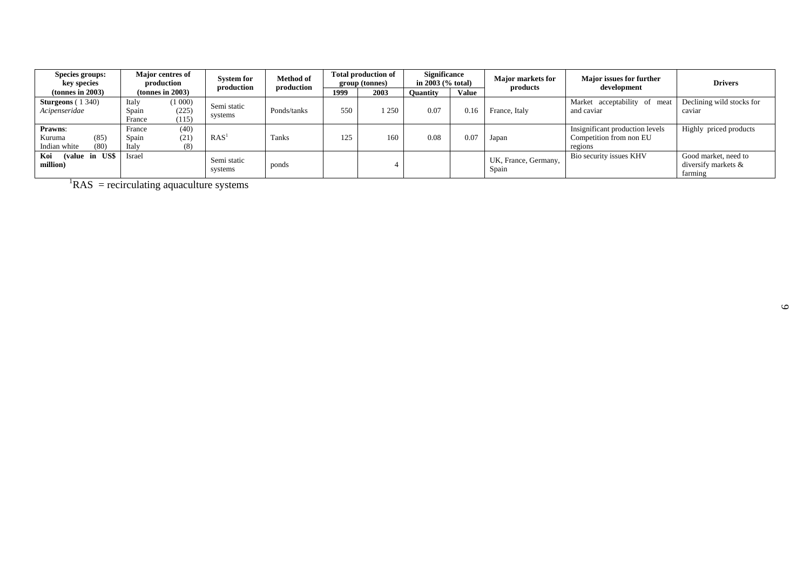| <b>Species groups:</b><br>key species                    | <b>Major centres of</b><br>production |                          | <b>System for</b><br>production |             | Method of |      | <b>Total production of</b><br>group (tonnes)<br>production |              | <b>Significance</b><br>in $2003$ (% total) |                                                                       | <b>Major markets for</b><br>products                   | <b>Major issues for further</b><br>development | <b>Drivers</b> |
|----------------------------------------------------------|---------------------------------------|--------------------------|---------------------------------|-------------|-----------|------|------------------------------------------------------------|--------------|--------------------------------------------|-----------------------------------------------------------------------|--------------------------------------------------------|------------------------------------------------|----------------|
| $tonnes$ in 2003)                                        |                                       | (tonnes in 2003)         |                                 | 1999        |           | 2003 | <b>Ouantity</b>                                            | <b>Value</b> |                                            |                                                                       |                                                        |                                                |                |
| <b>Sturgeons</b> $(1\,340)$<br>Acipenseridae             | Italy<br>Spain<br>France              | (1000)<br>(225)<br>(115) | Semi static<br>systems          | Ponds/tanks | 550       | 250  | 0.07                                                       | 0.16         | France, Italy                              | Market acceptability of meat<br>and caviar                            | Declining wild stocks for<br>caviar                    |                                                |                |
| <b>Prawns:</b><br>(85)<br>Kuruma<br>(80)<br>Indian white | France<br>Spain<br>Italy              | (40)<br>(21)<br>(8)      | RAS <sup>1</sup>                | Tanks       | 125       | 160  | 0.08                                                       | 0.07         | Japan                                      | Insignificant production levels<br>Competition from non EU<br>regions | Highly priced products                                 |                                                |                |
| (value in US\$<br>Koi<br>million)                        | Israel                                |                          | Semi static<br>systems          | ponds       |           |      |                                                            |              | UK, France, Germany,<br>Spain              | Bio security issues KHV                                               | Good market, need to<br>diversify markets &<br>farming |                                                |                |

 ${}^{1}RAS$  = recirculating aquaculture systems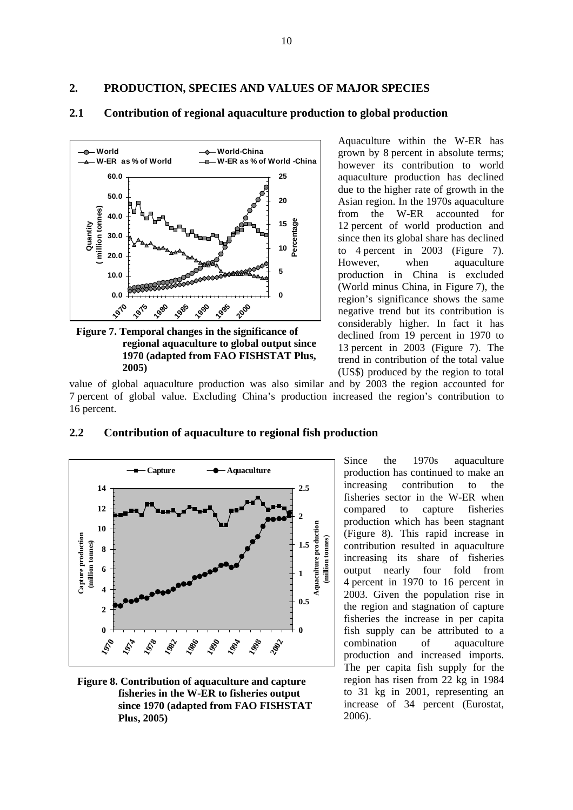**2. PRODUCTION, SPECIES AND VALUES OF MAJOR SPECIES** 



### **2.1 Contribution of regional aquaculture production to global production**

**Figure 7. Temporal changes in the significance of regional aquaculture to global output since 1970 (adapted from FAO FISHSTAT Plus, 2005)**

Aquaculture within the W-ER has grown by 8 percent in absolute terms; however its contribution to world aquaculture production has declined due to the higher rate of growth in the Asian region. In the 1970s aquaculture from the W-ER accounted for 12 percent of world production and since then its global share has declined to 4 percent in 2003 (Figure 7). However, when aquaculture production in China is excluded (World minus China, in Figure 7), the region's significance shows the same negative trend but its contribution is considerably higher. In fact it has declined from 19 percent in 1970 to 13 percent in 2003 (Figure 7). The trend in contribution of the total value (US\$) produced by the region to total

value of global aquaculture production was also similar and by 2003 the region accounted for 7 percent of global value. Excluding China's production increased the region's contribution to 16 percent.



#### **2.2 Contribution of aquaculture to regional fish production**

**Figure 8. Contribution of aquaculture and capture fisheries in the W-ER to fisheries output since 1970 (adapted from FAO FISHSTAT Plus, 2005)** 

Since the 1970s aquaculture production has continued to make an increasing contribution to the fisheries sector in the W-ER when compared to capture fisheries production which has been stagnant (Figure 8). This rapid increase in contribution resulted in aquaculture increasing its share of fisheries output nearly four fold from 4 percent in 1970 to 16 percent in 2003. Given the population rise in the region and stagnation of capture fisheries the increase in per capita fish supply can be attributed to a combination of aquaculture production and increased imports. The per capita fish supply for the region has risen from 22 kg in 1984 to 31 kg in 2001, representing an increase of 34 percent (Eurostat, 2006).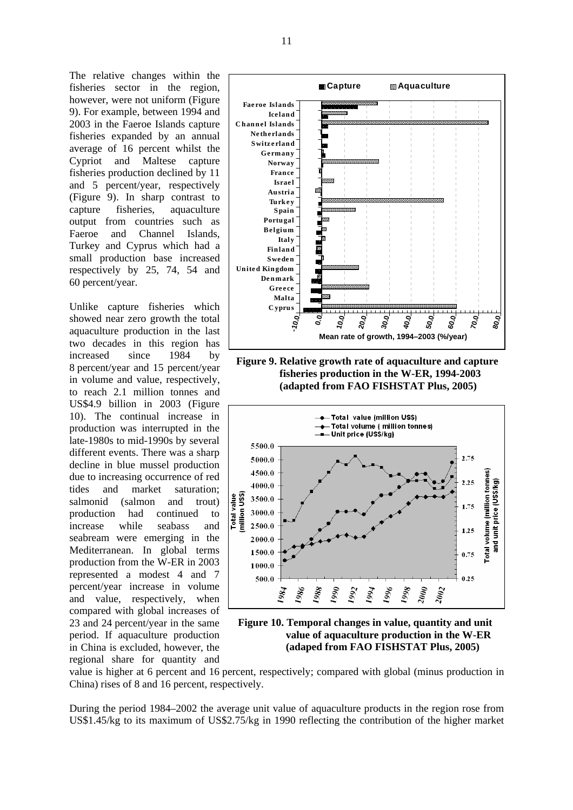The relative changes within the fisheries sector in the region, however, were not uniform (Figure 9). For example, between 1994 and 2003 in the Faeroe Islands capture fisheries expanded by an annual average of 16 percent whilst the Cypriot and Maltese capture fisheries production declined by 11 and 5 percent/year, respectively (Figure 9). In sharp contrast to capture fisheries, aquaculture output from countries such as Faeroe and Channel Islands, Turkey and Cyprus which had a small production base increased respectively by 25, 74, 54 and 60 percent/year.

Unlike capture fisheries which showed near zero growth the total aquaculture production in the last two decades in this region has increased since 1984 by 8 percent/year and 15 percent/year in volume and value, respectively, to reach 2.1 million tonnes and US\$4.9 billion in 2003 (Figure 10). The continual increase in production was interrupted in the late-1980s to mid-1990s by several different events. There was a sharp decline in blue mussel production due to increasing occurrence of red tides and market saturation; salmonid (salmon and trout) production had continued to increase while seabass and seabream were emerging in the Mediterranean. In global terms production from the W-ER in 2003 represented a modest 4 and 7 percent/year increase in volume and value, respectively, when compared with global increases of 23 and 24 percent/year in the same period. If aquaculture production in China is excluded, however, the regional share for quantity and



**Figure 10. Temporal changes in value, quantity and unit value of aquaculture production in the W-ER (adaped from FAO FISHSTAT Plus, 2005)** 

value is higher at 6 percent and 16 percent, respectively; compared with global (minus production in China) rises of 8 and 16 percent, respectively.

During the period 1984–2002 the average unit value of aquaculture products in the region rose from US\$1.45/kg to its maximum of US\$2.75/kg in 1990 reflecting the contribution of the higher market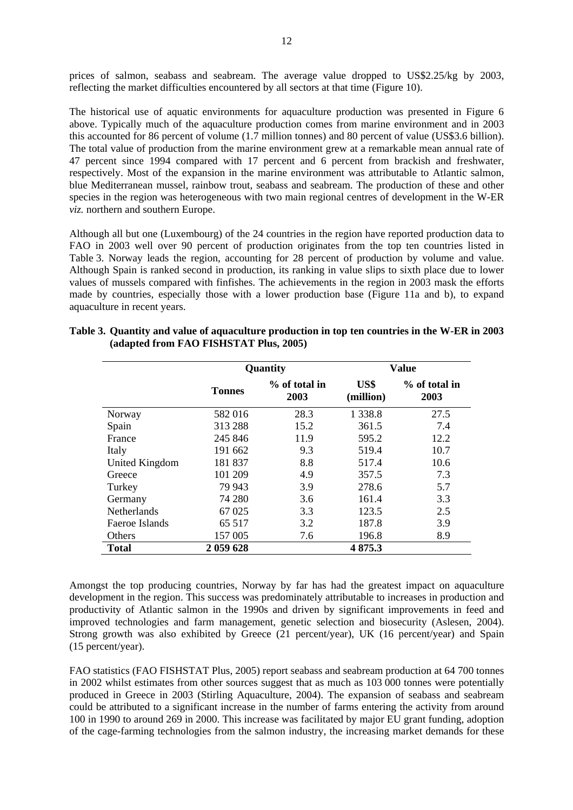prices of salmon, seabass and seabream. The average value dropped to US\$2.25/kg by 2003, reflecting the market difficulties encountered by all sectors at that time (Figure 10).

The historical use of aquatic environments for aquaculture production was presented in Figure 6 above. Typically much of the aquaculture production comes from marine environment and in 2003 this accounted for 86 percent of volume (1.7 million tonnes) and 80 percent of value (US\$3.6 billion). The total value of production from the marine environment grew at a remarkable mean annual rate of 47 percent since 1994 compared with 17 percent and 6 percent from brackish and freshwater, respectively. Most of the expansion in the marine environment was attributable to Atlantic salmon, blue Mediterranean mussel, rainbow trout, seabass and seabream. The production of these and other species in the region was heterogeneous with two main regional centres of development in the W-ER *viz.* northern and southern Europe.

Although all but one (Luxembourg) of the 24 countries in the region have reported production data to FAO in 2003 well over 90 percent of production originates from the top ten countries listed in Table 3. Norway leads the region, accounting for 28 percent of production by volume and value. Although Spain is ranked second in production, its ranking in value slips to sixth place due to lower values of mussels compared with finfishes. The achievements in the region in 2003 mask the efforts made by countries, especially those with a lower production base (Figure 11a and b), to expand aquaculture in recent years.

|                    |               | Quantity                |                   | <b>Value</b>            |
|--------------------|---------------|-------------------------|-------------------|-------------------------|
|                    | <b>Tonnes</b> | $%$ of total in<br>2003 | US\$<br>(million) | $%$ of total in<br>2003 |
| Norway             | 582 016       | 28.3                    | 1 3 3 8.8         | 27.5                    |
| Spain              | 313 288       | 15.2                    | 361.5             | 7.4                     |
| France             | 245 846       | 11.9                    | 595.2             | 12.2                    |
| Italy              | 191 662       | 9.3                     | 519.4             | 10.7                    |
| United Kingdom     | 181 837       | 8.8                     | 517.4             | 10.6                    |
| Greece             | 101 209       | 4.9                     | 357.5             | 7.3                     |
| Turkey             | 79 943        | 3.9                     | 278.6             | 5.7                     |
| Germany            | 74 280        | 3.6                     | 161.4             | 3.3                     |
| <b>Netherlands</b> | 67025         | 3.3                     | 123.5             | 2.5                     |
| Faeroe Islands     | 65 517        | 3.2                     | 187.8             | 3.9                     |
| Others             | 157 005       | 7.6                     | 196.8             | 8.9                     |
| <b>Total</b>       | 2 059 628     |                         | 4875.3            |                         |

**Table 3. Quantity and value of aquaculture production in top ten countries in the W-ER in 2003 (adapted from FAO FISHSTAT Plus, 2005)** 

Amongst the top producing countries, Norway by far has had the greatest impact on aquaculture development in the region. This success was predominately attributable to increases in production and productivity of Atlantic salmon in the 1990s and driven by significant improvements in feed and improved technologies and farm management, genetic selection and biosecurity (Aslesen, 2004). Strong growth was also exhibited by Greece (21 percent/year), UK (16 percent/year) and Spain (15 percent/year).

FAO statistics (FAO FISHSTAT Plus, 2005) report seabass and seabream production at 64 700 tonnes in 2002 whilst estimates from other sources suggest that as much as 103 000 tonnes were potentially produced in Greece in 2003 (Stirling Aquaculture, 2004). The expansion of seabass and seabream could be attributed to a significant increase in the number of farms entering the activity from around 100 in 1990 to around 269 in 2000. This increase was facilitated by major EU grant funding, adoption of the cage-farming technologies from the salmon industry, the increasing market demands for these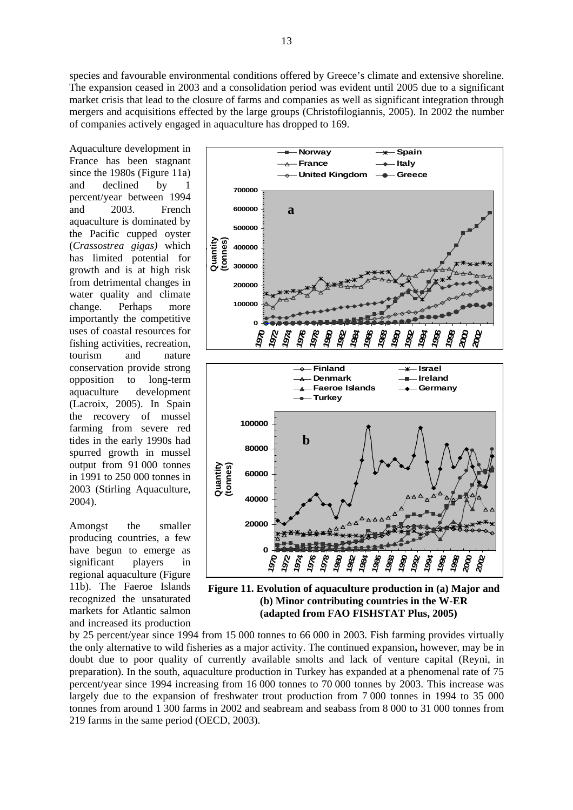species and favourable environmental conditions offered by Greece's climate and extensive shoreline. The expansion ceased in 2003 and a consolidation period was evident until 2005 due to a significant market crisis that lead to the closure of farms and companies as well as significant integration through mergers and acquisitions effected by the large groups (Christofilogiannis, 2005). In 2002 the number of companies actively engaged in aquaculture has dropped to 169.

Aquaculture development in France has been stagnant since the 1980s (Figure 11a) and declined by percent/year between 1994 and 2003. French aquaculture is dominated by the Pacific cupped oyster (*Crassostrea gigas)* which has limited potential for growth and is at high risk from detrimental changes in water quality and climate change. Perhaps more importantly the competitive uses of coastal resources for fishing activities, recreation, tourism and nature conservation provide strong opposition to long-term aquaculture development (Lacroix, 2005). In Spain the recovery of mussel farming from severe red tides in the early 1990s had spurred growth in mussel output from 91 000 tonnes in 1991 to 250 000 tonnes in 2003 (Stirling Aquaculture, 2004).

Amongst the smaller producing countries, a few have begun to emerge as significant players in regional aquaculture (Figure 11b). The Faeroe Islands recognized the unsaturated markets for Atlantic salmon and increased its production



**Figure 11. Evolution of aquaculture production in (a) Major and (b) Minor contributing countries in the W-ER (adapted from FAO FISHSTAT Plus, 2005)** 

by 25 percent/year since 1994 from 15 000 tonnes to 66 000 in 2003. Fish farming provides virtually the only alternative to wild fisheries as a major activity. The continued expansion**,** however, may be in doubt due to poor quality of currently available smolts and lack of venture capital (Reyni, in preparation). In the south, aquaculture production in Turkey has expanded at a phenomenal rate of 75 percent/year since 1994 increasing from 16 000 tonnes to 70 000 tonnes by 2003. This increase was largely due to the expansion of freshwater trout production from 7 000 tonnes in 1994 to 35 000 tonnes from around 1 300 farms in 2002 and seabream and seabass from 8 000 to 31 000 tonnes from 219 farms in the same period (OECD, 2003).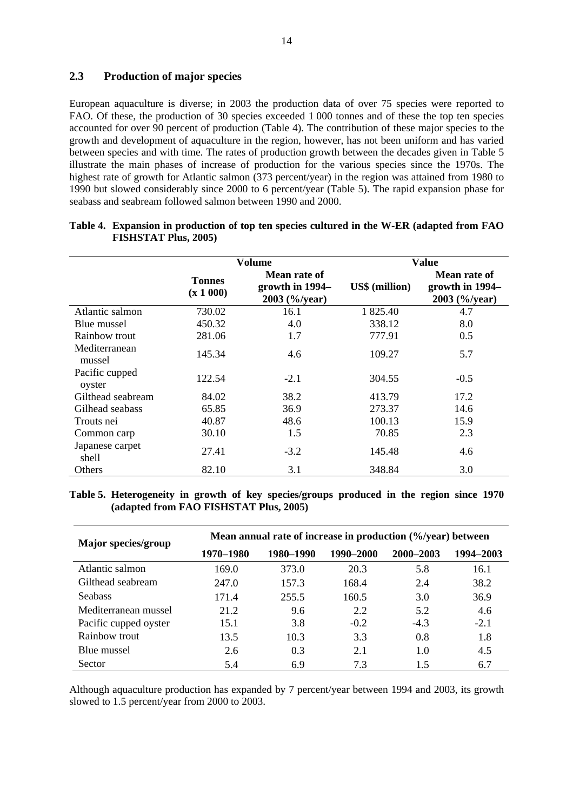#### **2.3 Production of major species**

European aquaculture is diverse; in 2003 the production data of over 75 species were reported to FAO. Of these, the production of 30 species exceeded 1 000 tonnes and of these the top ten species accounted for over 90 percent of production (Table 4). The contribution of these major species to the growth and development of aquaculture in the region, however, has not been uniform and has varied between species and with time. The rates of production growth between the decades given in Table 5 illustrate the main phases of increase of production for the various species since the 1970s. The highest rate of growth for Atlantic salmon (373 percent/year) in the region was attained from 1980 to 1990 but slowed considerably since 2000 to 6 percent/year (Table 5). The rapid expansion phase for seabass and seabream followed salmon between 1990 and 2000.

|                          |                            | Volume                                           | <b>Value</b>          |                                                  |  |  |
|--------------------------|----------------------------|--------------------------------------------------|-----------------------|--------------------------------------------------|--|--|
|                          | <b>Tonnes</b><br>(x 1 000) | Mean rate of<br>growth in 1994–<br>2003 (%/year) | <b>US\$</b> (million) | Mean rate of<br>growth in 1994–<br>2003 (%/year) |  |  |
| Atlantic salmon          | 730.02                     | 16.1                                             | 1 825.40              | 4.7                                              |  |  |
| Blue mussel              | 450.32                     | 4.0                                              | 338.12                | 8.0                                              |  |  |
| Rainbow trout            | 281.06                     | 1.7                                              | 777.91                | 0.5                                              |  |  |
| Mediterranean<br>mussel  | 145.34                     | 4.6                                              | 109.27                | 5.7                                              |  |  |
| Pacific cupped<br>oyster | 122.54                     | $-2.1$                                           | 304.55                | $-0.5$                                           |  |  |
| Gilthead seabream        | 84.02                      | 38.2                                             | 413.79                | 17.2                                             |  |  |
| Gilhead seabass          | 65.85                      | 36.9                                             | 273.37                | 14.6                                             |  |  |
| Trouts nei               | 40.87                      | 48.6                                             | 100.13                | 15.9                                             |  |  |
| Common carp              | 30.10                      | 1.5                                              | 70.85                 | 2.3                                              |  |  |
| Japanese carpet<br>shell | 27.41                      | $-3.2$                                           | 145.48                | 4.6                                              |  |  |
| Others                   | 82.10                      | 3.1                                              | 348.84                | 3.0                                              |  |  |

#### **Table 4. Expansion in production of top ten species cultured in the W-ER (adapted from FAO FISHSTAT Plus, 2005)**

#### **Table 5. Heterogeneity in growth of key species/groups produced in the region since 1970 (adapted from FAO FISHSTAT Plus, 2005)**

| Major species/group   | Mean annual rate of increase in production (%/year) between |           |           |           |           |  |  |  |  |  |
|-----------------------|-------------------------------------------------------------|-----------|-----------|-----------|-----------|--|--|--|--|--|
|                       | 1970–1980                                                   | 1980–1990 | 1990–2000 | 2000-2003 | 1994–2003 |  |  |  |  |  |
| Atlantic salmon       | 169.0                                                       | 373.0     | 20.3      | 5.8       | 16.1      |  |  |  |  |  |
| Gilthead seabream     | 247.0                                                       | 157.3     | 168.4     | 2.4       | 38.2      |  |  |  |  |  |
| <b>Seabass</b>        | 171.4                                                       | 255.5     | 160.5     | 3.0       | 36.9      |  |  |  |  |  |
| Mediterranean mussel  | 21.2                                                        | 9.6       | 2.2       | 5.2       | 4.6       |  |  |  |  |  |
| Pacific cupped oyster | 15.1                                                        | 3.8       | $-0.2$    | $-4.3$    | $-2.1$    |  |  |  |  |  |
| Rainbow trout         | 13.5                                                        | 10.3      | 3.3       | 0.8       | 1.8       |  |  |  |  |  |
| Blue mussel           | 2.6                                                         | 0.3       | 2.1       | 1.0       | 4.5       |  |  |  |  |  |
| <b>Sector</b>         | 5.4                                                         | 6.9       | 7.3       | 1.5       | 6.7       |  |  |  |  |  |

Although aquaculture production has expanded by 7 percent/year between 1994 and 2003, its growth slowed to 1.5 percent/year from 2000 to 2003.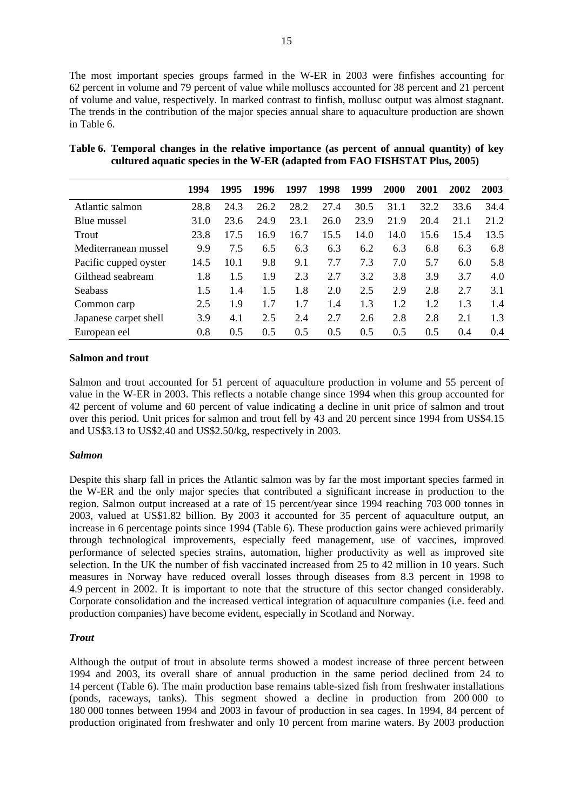The most important species groups farmed in the W-ER in 2003 were finfishes accounting for 62 percent in volume and 79 percent of value while molluscs accounted for 38 percent and 21 percent of volume and value, respectively. In marked contrast to finfish, mollusc output was almost stagnant. The trends in the contribution of the major species annual share to aquaculture production are shown in Table 6.

|                       | 1994 | 1995 | 1996 | 1997 | 1998 | 1999 | 2000 | 2001 | 2002 | 2003 |
|-----------------------|------|------|------|------|------|------|------|------|------|------|
| Atlantic salmon       | 28.8 | 24.3 | 26.2 | 28.2 | 27.4 | 30.5 | 31.1 | 32.2 | 33.6 | 34.4 |
| Blue mussel           | 31.0 | 23.6 | 24.9 | 23.1 | 26.0 | 23.9 | 21.9 | 20.4 | 21.1 | 21.2 |
| Trout                 | 23.8 | 17.5 | 16.9 | 16.7 | 15.5 | 14.0 | 14.0 | 15.6 | 15.4 | 13.5 |
| Mediterranean mussel  | 9.9  | 7.5  | 6.5  | 6.3  | 6.3  | 6.2  | 6.3  | 6.8  | 6.3  | 6.8  |
| Pacific cupped oyster | 14.5 | 10.1 | 9.8  | 9.1  | 7.7  | 7.3  | 7.0  | 5.7  | 6.0  | 5.8  |
| Gilthead seabream     | 1.8  | 1.5  | 1.9  | 2.3  | 2.7  | 3.2  | 3.8  | 3.9  | 3.7  | 4.0  |
| <b>Seabass</b>        | 1.5  | 1.4  | 1.5  | 1.8  | 2.0  | 2.5  | 2.9  | 2.8  | 2.7  | 3.1  |
| Common carp           | 2.5  | 1.9  | 1.7  | 1.7  | 1.4  | 1.3  | 1.2  | 1.2  | 1.3  | 1.4  |
| Japanese carpet shell | 3.9  | 4.1  | 2.5  | 2.4  | 2.7  | 2.6  | 2.8  | 2.8  | 2.1  | 1.3  |
| European eel          | 0.8  | 0.5  | 0.5  | 0.5  | 0.5  | 0.5  | 0.5  | 0.5  | 0.4  | 0.4  |

| Table 6. Temporal changes in the relative importance (as percent of annual quantity) of key |
|---------------------------------------------------------------------------------------------|
| cultured aquatic species in the W-ER (adapted from FAO FISHSTAT Plus, 2005)                 |

#### **Salmon and trout**

Salmon and trout accounted for 51 percent of aquaculture production in volume and 55 percent of value in the W-ER in 2003. This reflects a notable change since 1994 when this group accounted for 42 percent of volume and 60 percent of value indicating a decline in unit price of salmon and trout over this period. Unit prices for salmon and trout fell by 43 and 20 percent since 1994 from US\$4.15 and US\$3.13 to US\$2.40 and US\$2.50/kg, respectively in 2003.

#### *Salmon*

Despite this sharp fall in prices the Atlantic salmon was by far the most important species farmed in the W-ER and the only major species that contributed a significant increase in production to the region. Salmon output increased at a rate of 15 percent/year since 1994 reaching 703 000 tonnes in 2003, valued at US\$1.82 billion. By 2003 it accounted for 35 percent of aquaculture output, an increase in 6 percentage points since 1994 (Table 6). These production gains were achieved primarily through technological improvements, especially feed management, use of vaccines, improved performance of selected species strains, automation, higher productivity as well as improved site selection. In the UK the number of fish vaccinated increased from 25 to 42 million in 10 years. Such measures in Norway have reduced overall losses through diseases from 8.3 percent in 1998 to 4.9 percent in 2002. It is important to note that the structure of this sector changed considerably. Corporate consolidation and the increased vertical integration of aquaculture companies (i.e. feed and production companies) have become evident, especially in Scotland and Norway.

#### *Trout*

Although the output of trout in absolute terms showed a modest increase of three percent between 1994 and 2003, its overall share of annual production in the same period declined from 24 to 14 percent (Table 6). The main production base remains table-sized fish from freshwater installations (ponds, raceways, tanks). This segment showed a decline in production from 200 000 to 180 000 tonnes between 1994 and 2003 in favour of production in sea cages. In 1994, 84 percent of production originated from freshwater and only 10 percent from marine waters. By 2003 production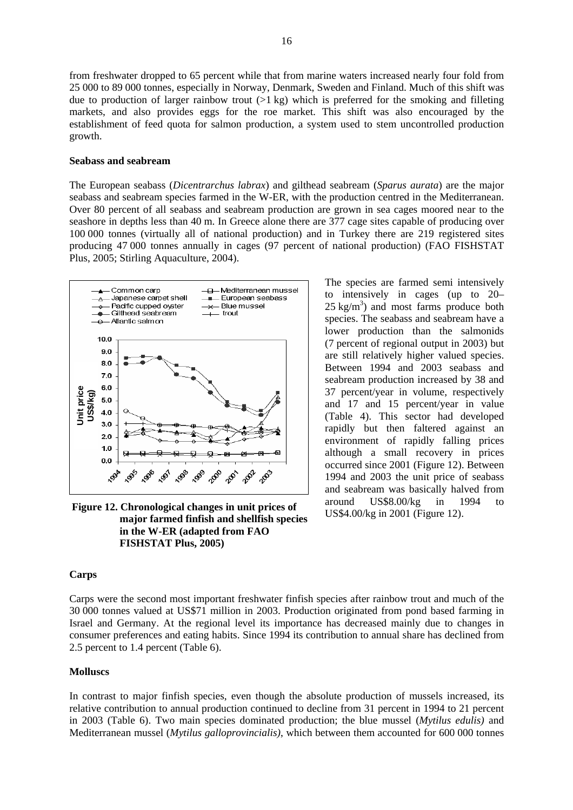from freshwater dropped to 65 percent while that from marine waters increased nearly four fold from 25 000 to 89 000 tonnes, especially in Norway, Denmark, Sweden and Finland. Much of this shift was due to production of larger rainbow trout  $(1 \text{ kg})$  which is preferred for the smoking and filleting markets, and also provides eggs for the roe market. This shift was also encouraged by the establishment of feed quota for salmon production, a system used to stem uncontrolled production growth.

#### **Seabass and seabream**

The European seabass (*Dicentrarchus labrax*) and gilthead seabream (*Sparus aurata*) are the major seabass and seabream species farmed in the W-ER, with the production centred in the Mediterranean. Over 80 percent of all seabass and seabream production are grown in sea cages moored near to the seashore in depths less than 40 m. In Greece alone there are 377 cage sites capable of producing over 100 000 tonnes (virtually all of national production) and in Turkey there are 219 registered sites producing 47 000 tonnes annually in cages (97 percent of national production) (FAO FISHSTAT Plus, 2005; Stirling Aquaculture, 2004).



**Figure 12. Chronological changes in unit prices of major farmed finfish and shellfish species in the W-ER (adapted from FAO FISHSTAT Plus, 2005)** 

The species are farmed semi intensively to intensively in cages (up to 20–  $25 \text{ kg/m}^3$ ) and most farms produce both species. The seabass and seabream have a lower production than the salmonids (7 percent of regional output in 2003) but are still relatively higher valued species. Between 1994 and 2003 seabass and seabream production increased by 38 and 37 percent/year in volume, respectively and 17 and 15 percent/year in value (Table 4). This sector had developed rapidly but then faltered against an environment of rapidly falling prices although a small recovery in prices occurred since 2001 (Figure 12). Between 1994 and 2003 the unit price of seabass and seabream was basically halved from around US\$8.00/kg in 1994 to US\$4.00/kg in 2001 (Figure 12).

#### **Carps**

Carps were the second most important freshwater finfish species after rainbow trout and much of the 30 000 tonnes valued at US\$71 million in 2003. Production originated from pond based farming in Israel and Germany. At the regional level its importance has decreased mainly due to changes in consumer preferences and eating habits. Since 1994 its contribution to annual share has declined from 2.5 percent to 1.4 percent (Table 6).

#### **Molluscs**

In contrast to major finfish species, even though the absolute production of mussels increased, its relative contribution to annual production continued to decline from 31 percent in 1994 to 21 percent in 2003 (Table 6). Two main species dominated production; the blue mussel (*Mytilus edulis)* and Mediterranean mussel (*Mytilus galloprovincialis)*, which between them accounted for 600 000 tonnes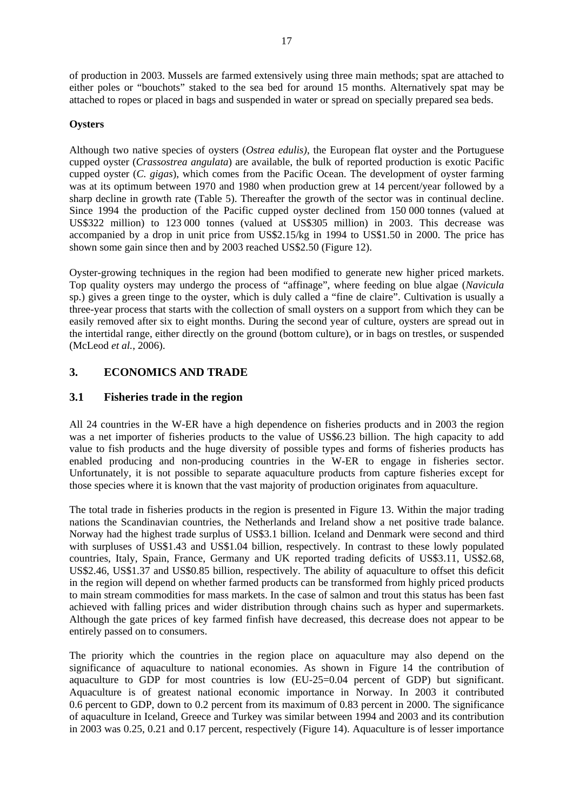of production in 2003. Mussels are farmed extensively using three main methods; spat are attached to either poles or "bouchots" staked to the sea bed for around 15 months. Alternatively spat may be attached to ropes or placed in bags and suspended in water or spread on specially prepared sea beds.

#### **Oysters**

Although two native species of oysters (*Ostrea edulis)*, the European flat oyster and the Portuguese cupped oyster (*Crassostrea angulata*) are available, the bulk of reported production is exotic Pacific cupped oyster (*C. gigas*), which comes from the Pacific Ocean. The development of oyster farming was at its optimum between 1970 and 1980 when production grew at 14 percent/year followed by a sharp decline in growth rate (Table 5). Thereafter the growth of the sector was in continual decline. Since 1994 the production of the Pacific cupped oyster declined from 150 000 tonnes (valued at US\$322 million) to 123 000 tonnes (valued at US\$305 million) in 2003. This decrease was accompanied by a drop in unit price from US\$2.15/kg in 1994 to US\$1.50 in 2000. The price has shown some gain since then and by 2003 reached US\$2.50 (Figure 12).

Oyster-growing techniques in the region had been modified to generate new higher priced markets. Top quality oysters may undergo the process of "affinage", where feeding on blue algae (*Navicula* sp.) gives a green tinge to the oyster, which is duly called a "fine de claire". Cultivation is usually a three-year process that starts with the collection of small oysters on a support from which they can be easily removed after six to eight months. During the second year of culture, oysters are spread out in the intertidal range, either directly on the ground (bottom culture), or in bags on trestles, or suspended (McLeod *et al.*, 2006).

# **3. ECONOMICS AND TRADE**

# **3.1 Fisheries trade in the region**

All 24 countries in the W-ER have a high dependence on fisheries products and in 2003 the region was a net importer of fisheries products to the value of US\$6.23 billion. The high capacity to add value to fish products and the huge diversity of possible types and forms of fisheries products has enabled producing and non-producing countries in the W-ER to engage in fisheries sector. Unfortunately, it is not possible to separate aquaculture products from capture fisheries except for those species where it is known that the vast majority of production originates from aquaculture.

The total trade in fisheries products in the region is presented in Figure 13. Within the major trading nations the Scandinavian countries, the Netherlands and Ireland show a net positive trade balance. Norway had the highest trade surplus of US\$3.1 billion. Iceland and Denmark were second and third with surpluses of US\$1.43 and US\$1.04 billion, respectively. In contrast to these lowly populated countries, Italy, Spain, France, Germany and UK reported trading deficits of US\$3.11, US\$2.68, US\$2.46, US\$1.37 and US\$0.85 billion, respectively. The ability of aquaculture to offset this deficit in the region will depend on whether farmed products can be transformed from highly priced products to main stream commodities for mass markets. In the case of salmon and trout this status has been fast achieved with falling prices and wider distribution through chains such as hyper and supermarkets. Although the gate prices of key farmed finfish have decreased, this decrease does not appear to be entirely passed on to consumers.

The priority which the countries in the region place on aquaculture may also depend on the significance of aquaculture to national economies. As shown in Figure 14 the contribution of aquaculture to GDP for most countries is low (EU-25=0.04 percent of GDP) but significant. Aquaculture is of greatest national economic importance in Norway. In 2003 it contributed 0.6 percent to GDP, down to 0.2 percent from its maximum of 0.83 percent in 2000. The significance of aquaculture in Iceland, Greece and Turkey was similar between 1994 and 2003 and its contribution in 2003 was 0.25, 0.21 and 0.17 percent, respectively (Figure 14). Aquaculture is of lesser importance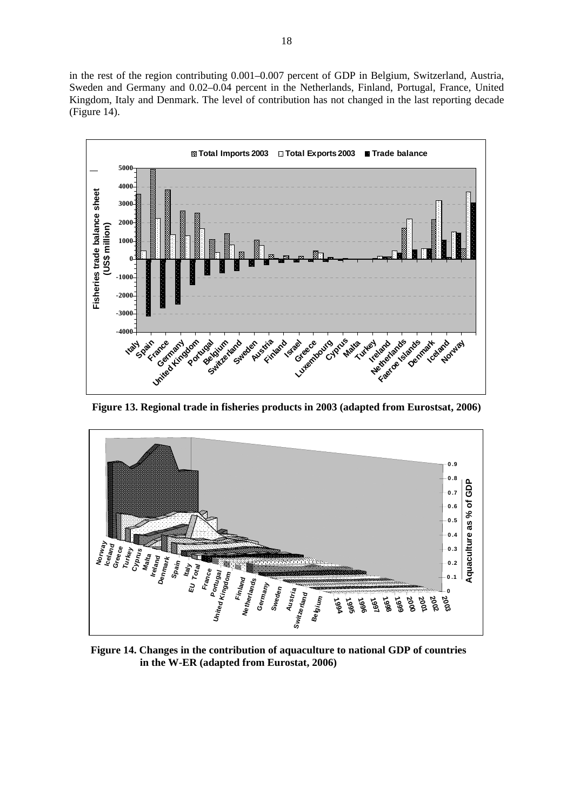in the rest of the region contributing 0.001–0.007 percent of GDP in Belgium, Switzerland, Austria, Sweden and Germany and 0.02–0.04 percent in the Netherlands, Finland, Portugal, France, United Kingdom, Italy and Denmark. The level of contribution has not changed in the last reporting decade (Figure 14).



**Figure 13. Regional trade in fisheries products in 2003 (adapted from Eurostsat, 2006)** 



**Figure 14. Changes in the contribution of aquaculture to national GDP of countries in the W-ER (adapted from Eurostat, 2006)**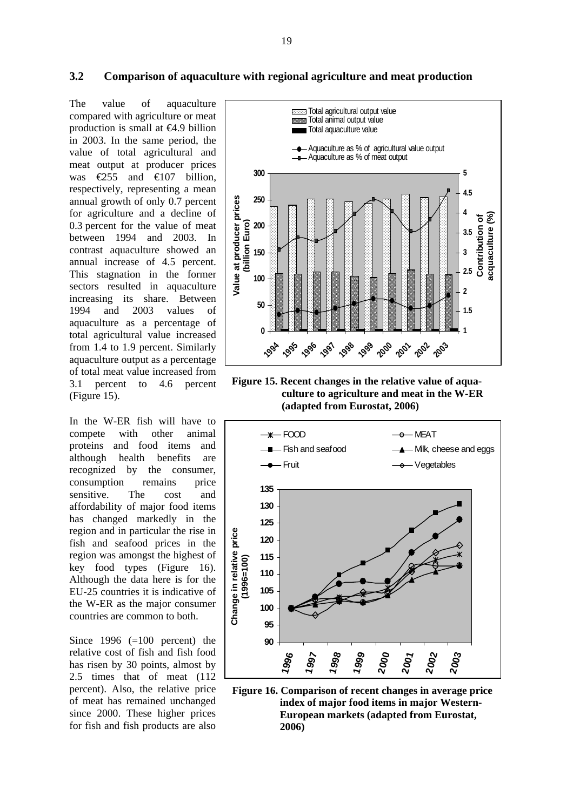The value of aquaculture compared with agriculture or meat production is small at  $\Theta$ .9 billion in 2003. In the same period, the value of total agricultural and meat output at producer prices was  $\epsilon$ 255 and  $\epsilon$ 107 billion, respectively, representing a mean annual growth of only 0.7 percent for agriculture and a decline of 0.3 percent for the value of meat between 1994 and 2003. In contrast aquaculture showed an annual increase of 4.5 percent. This stagnation in the former sectors resulted in aquaculture increasing its share. Between 1994 and 2003 values of aquaculture as a percentage of total agricultural value increased from 1.4 to 1.9 percent. Similarly aquaculture output as a percentage of total meat value increased from 3.1 percent to 4.6 percent (Figure 15).

In the W-ER fish will have to compete with other animal proteins and food items and although health benefits are recognized by the consumer, consumption remains price sensitive. The cost and affordability of major food items has changed markedly in the region and in particular the rise in fish and seafood prices in the region was amongst the highest of key food types (Figure 16). Although the data here is for the EU-25 countries it is indicative of the W-ER as the major consumer countries are common to both.

Since  $1996 (=100$  percent) the relative cost of fish and fish food has risen by 30 points, almost by 2.5 times that of meat (112 percent). Also, the relative price of meat has remained unchanged since 2000. These higher prices for fish and fish products are also



**Figure 15. Recent changes in the relative value of aquaculture to agriculture and meat in the W-ER (adapted from Eurostat, 2006)** 



**Figure 16. Comparison of recent changes in average price index of major food items in major Western-European markets (adapted from Eurostat, 2006)**

#### **3.2 Comparison of aquaculture with regional agriculture and meat production**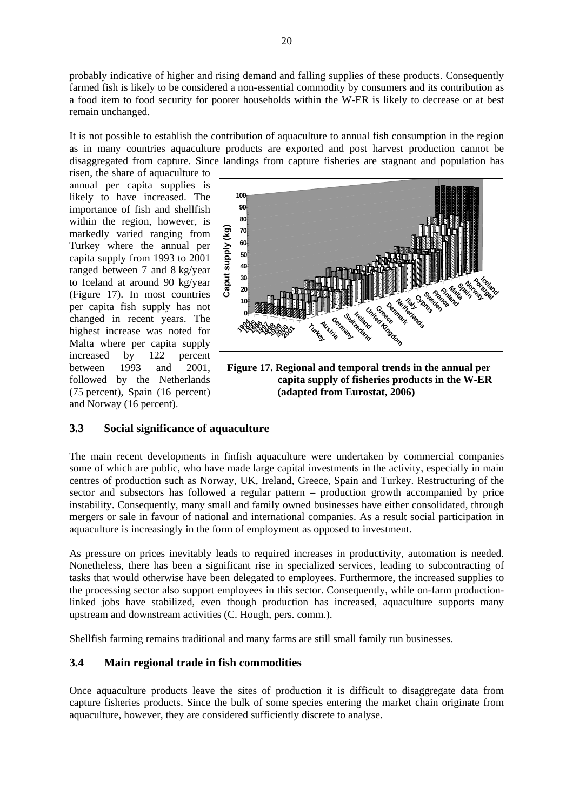probably indicative of higher and rising demand and falling supplies of these products. Consequently farmed fish is likely to be considered a non-essential commodity by consumers and its contribution as a food item to food security for poorer households within the W-ER is likely to decrease or at best remain unchanged.

It is not possible to establish the contribution of aquaculture to annual fish consumption in the region as in many countries aquaculture products are exported and post harvest production cannot be disaggregated from capture. Since landings from capture fisheries are stagnant and population has

risen, the share of aquaculture to annual per capita supplies is likely to have increased. The importance of fish and shellfish within the region, however, is markedly varied ranging from Turkey where the annual per capita supply from 1993 to 2001 ranged between 7 and 8 kg/year to Iceland at around 90 kg/year (Figure 17). In most countries per capita fish supply has not changed in recent years. The highest increase was noted for Malta where per capita supply increased by 122 percent between 1993 and 2001, followed by the Netherlands (75 percent), Spain (16 percent) and Norway (16 percent).



**Figure 17. Regional and temporal trends in the annual per capita supply of fisheries products in the W-ER (adapted from Eurostat, 2006)**

# **3.3 Social significance of aquaculture**

The main recent developments in finfish aquaculture were undertaken by commercial companies some of which are public, who have made large capital investments in the activity, especially in main centres of production such as Norway, UK, Ireland, Greece, Spain and Turkey. Restructuring of the sector and subsectors has followed a regular pattern – production growth accompanied by price instability. Consequently, many small and family owned businesses have either consolidated, through mergers or sale in favour of national and international companies. As a result social participation in aquaculture is increasingly in the form of employment as opposed to investment.

As pressure on prices inevitably leads to required increases in productivity, automation is needed. Nonetheless, there has been a significant rise in specialized services, leading to subcontracting of tasks that would otherwise have been delegated to employees. Furthermore, the increased supplies to the processing sector also support employees in this sector. Consequently, while on-farm productionlinked jobs have stabilized, even though production has increased, aquaculture supports many upstream and downstream activities (C. Hough, pers. comm.).

Shellfish farming remains traditional and many farms are still small family run businesses.

# **3.4 Main regional trade in fish commodities**

Once aquaculture products leave the sites of production it is difficult to disaggregate data from capture fisheries products. Since the bulk of some species entering the market chain originate from aquaculture, however, they are considered sufficiently discrete to analyse.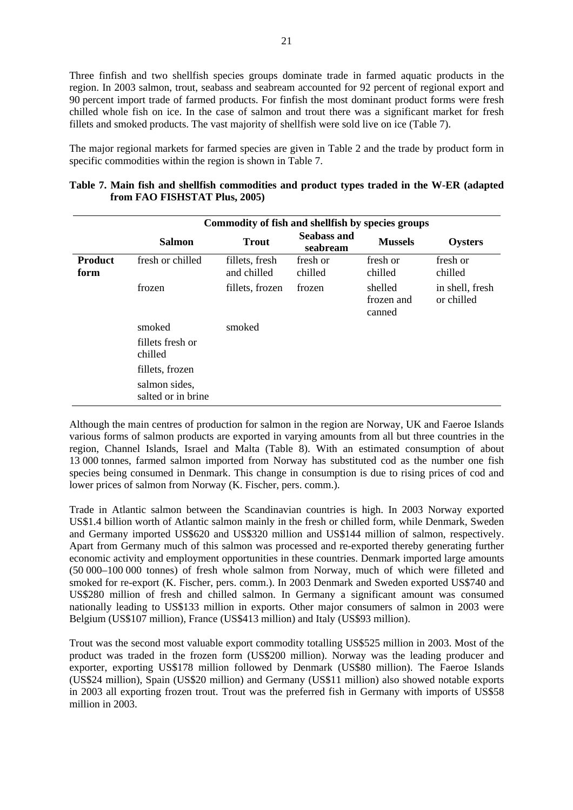Three finfish and two shellfish species groups dominate trade in farmed aquatic products in the region. In 2003 salmon, trout, seabass and seabream accounted for 92 percent of regional export and 90 percent import trade of farmed products. For finfish the most dominant product forms were fresh chilled whole fish on ice. In the case of salmon and trout there was a significant market for fresh fillets and smoked products. The vast majority of shellfish were sold live on ice (Table 7).

The major regional markets for farmed species are given in Table 2 and the trade by product form in specific commodities within the region is shown in Table 7.

|                        | Commodity of fish and shellfish by species groups |                               |                         |                                 |                               |  |  |  |  |
|------------------------|---------------------------------------------------|-------------------------------|-------------------------|---------------------------------|-------------------------------|--|--|--|--|
|                        | <b>Salmon</b>                                     | <b>Trout</b>                  | Seabass and<br>seabream | <b>Mussels</b>                  | Oysters                       |  |  |  |  |
| <b>Product</b><br>form | fresh or chilled                                  | fillets, fresh<br>and chilled | fresh or<br>chilled     | fresh or<br>chilled             | fresh or<br>chilled           |  |  |  |  |
|                        | frozen                                            | fillets, frozen               | frozen                  | shelled<br>frozen and<br>canned | in shell, fresh<br>or chilled |  |  |  |  |
|                        | smoked                                            | smoked                        |                         |                                 |                               |  |  |  |  |
|                        | fillets fresh or<br>chilled                       |                               |                         |                                 |                               |  |  |  |  |
|                        | fillets, frozen                                   |                               |                         |                                 |                               |  |  |  |  |
|                        | salmon sides,<br>salted or in brine               |                               |                         |                                 |                               |  |  |  |  |

**Table 7. Main fish and shellfish commodities and product types traded in the W-ER (adapted from FAO FISHSTAT Plus, 2005)**

Although the main centres of production for salmon in the region are Norway, UK and Faeroe Islands various forms of salmon products are exported in varying amounts from all but three countries in the region, Channel Islands, Israel and Malta (Table 8). With an estimated consumption of about 13 000 tonnes, farmed salmon imported from Norway has substituted cod as the number one fish species being consumed in Denmark. This change in consumption is due to rising prices of cod and lower prices of salmon from Norway (K. Fischer, pers. comm.).

Trade in Atlantic salmon between the Scandinavian countries is high. In 2003 Norway exported US\$1.4 billion worth of Atlantic salmon mainly in the fresh or chilled form, while Denmark, Sweden and Germany imported US\$620 and US\$320 million and US\$144 million of salmon, respectively. Apart from Germany much of this salmon was processed and re-exported thereby generating further economic activity and employment opportunities in these countries. Denmark imported large amounts (50 000–100 000 tonnes) of fresh whole salmon from Norway, much of which were filleted and smoked for re-export (K. Fischer, pers. comm.). In 2003 Denmark and Sweden exported US\$740 and US\$280 million of fresh and chilled salmon. In Germany a significant amount was consumed nationally leading to US\$133 million in exports. Other major consumers of salmon in 2003 were Belgium (US\$107 million), France (US\$413 million) and Italy (US\$93 million).

Trout was the second most valuable export commodity totalling US\$525 million in 2003. Most of the product was traded in the frozen form (US\$200 million). Norway was the leading producer and exporter, exporting US\$178 million followed by Denmark (US\$80 million). The Faeroe Islands (US\$24 million), Spain (US\$20 million) and Germany (US\$11 million) also showed notable exports in 2003 all exporting frozen trout. Trout was the preferred fish in Germany with imports of US\$58 million in 2003.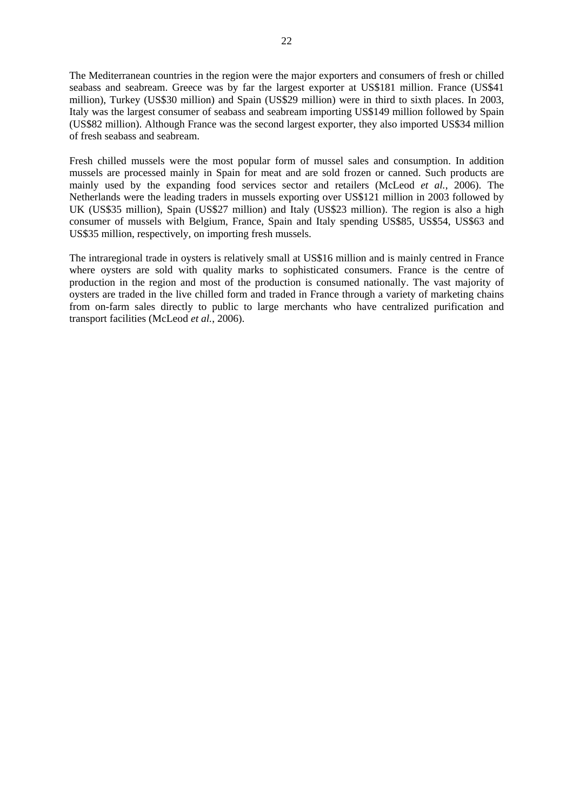The Mediterranean countries in the region were the major exporters and consumers of fresh or chilled seabass and seabream. Greece was by far the largest exporter at US\$181 million. France (US\$41 million), Turkey (US\$30 million) and Spain (US\$29 million) were in third to sixth places. In 2003, Italy was the largest consumer of seabass and seabream importing US\$149 million followed by Spain (US\$82 million). Although France was the second largest exporter, they also imported US\$34 million of fresh seabass and seabream.

Fresh chilled mussels were the most popular form of mussel sales and consumption. In addition mussels are processed mainly in Spain for meat and are sold frozen or canned. Such products are mainly used by the expanding food services sector and retailers (McLeod *et al.*, 2006). The Netherlands were the leading traders in mussels exporting over US\$121 million in 2003 followed by UK (US\$35 million), Spain (US\$27 million) and Italy (US\$23 million). The region is also a high consumer of mussels with Belgium, France, Spain and Italy spending US\$85, US\$54, US\$63 and US\$35 million, respectively, on importing fresh mussels.

The intraregional trade in oysters is relatively small at US\$16 million and is mainly centred in France where oysters are sold with quality marks to sophisticated consumers. France is the centre of production in the region and most of the production is consumed nationally. The vast majority of oysters are traded in the live chilled form and traded in France through a variety of marketing chains from on-farm sales directly to public to large merchants who have centralized purification and transport facilities (McLeod *et al.*, 2006).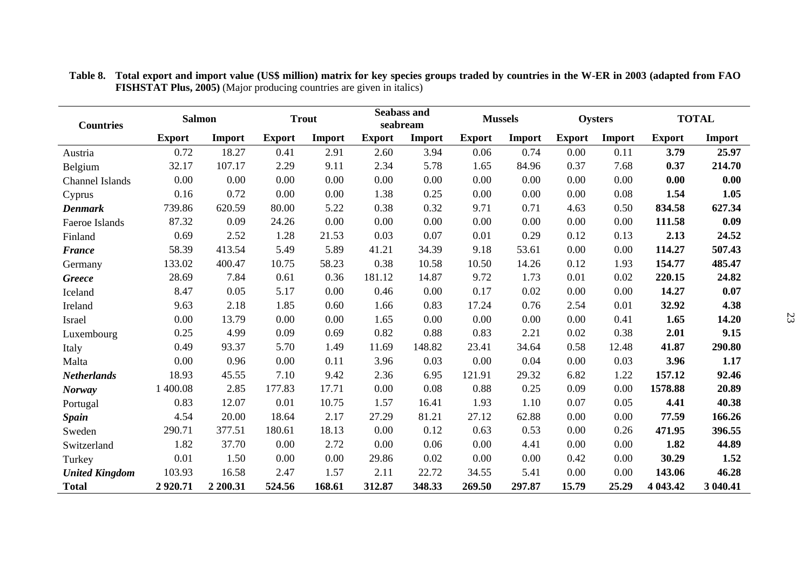| <b>Countries</b>      | <b>Salmon</b> |          | <b>Trout</b>  |        |               | <b>Seabass and</b><br><b>Mussels</b><br>seabream |               | <b>Oysters</b> |               | <b>TOTAL</b> |               |          |
|-----------------------|---------------|----------|---------------|--------|---------------|--------------------------------------------------|---------------|----------------|---------------|--------------|---------------|----------|
|                       | <b>Export</b> | Import   | <b>Export</b> | Import | <b>Export</b> | Import                                           | <b>Export</b> | Import         | <b>Export</b> | Import       | <b>Export</b> | Import   |
| Austria               | 0.72          | 18.27    | 0.41          | 2.91   | 2.60          | 3.94                                             | 0.06          | 0.74           | 0.00          | 0.11         | 3.79          | 25.97    |
| Belgium               | 32.17         | 107.17   | 2.29          | 9.11   | 2.34          | 5.78                                             | 1.65          | 84.96          | 0.37          | 7.68         | 0.37          | 214.70   |
| Channel Islands       | 0.00          | 0.00     | 0.00          | 0.00   | 0.00          | 0.00                                             | 0.00          | 0.00           | 0.00          | 0.00         | 0.00          | 0.00     |
| Cyprus                | 0.16          | 0.72     | 0.00          | 0.00   | 1.38          | 0.25                                             | 0.00          | 0.00           | 0.00          | 0.08         | 1.54          | 1.05     |
| <b>Denmark</b>        | 739.86        | 620.59   | 80.00         | 5.22   | 0.38          | 0.32                                             | 9.71          | 0.71           | 4.63          | 0.50         | 834.58        | 627.34   |
| Faeroe Islands        | 87.32         | 0.09     | 24.26         | 0.00   | 0.00          | 0.00                                             | 0.00          | 0.00           | 0.00          | 0.00         | 111.58        | 0.09     |
| Finland               | 0.69          | 2.52     | 1.28          | 21.53  | 0.03          | 0.07                                             | 0.01          | 0.29           | 0.12          | 0.13         | 2.13          | 24.52    |
| <b>France</b>         | 58.39         | 413.54   | 5.49          | 5.89   | 41.21         | 34.39                                            | 9.18          | 53.61          | 0.00          | 0.00         | 114.27        | 507.43   |
| Germany               | 133.02        | 400.47   | 10.75         | 58.23  | 0.38          | 10.58                                            | 10.50         | 14.26          | 0.12          | 1.93         | 154.77        | 485.47   |
| <b>Greece</b>         | 28.69         | 7.84     | 0.61          | 0.36   | 181.12        | 14.87                                            | 9.72          | 1.73           | 0.01          | 0.02         | 220.15        | 24.82    |
| Iceland               | 8.47          | 0.05     | 5.17          | 0.00   | 0.46          | 0.00                                             | 0.17          | 0.02           | 0.00          | 0.00         | 14.27         | 0.07     |
| Ireland               | 9.63          | 2.18     | 1.85          | 0.60   | 1.66          | 0.83                                             | 17.24         | 0.76           | 2.54          | 0.01         | 32.92         | 4.38     |
| Israel                | 0.00          | 13.79    | 0.00          | 0.00   | 1.65          | 0.00                                             | 0.00          | 0.00           | 0.00          | 0.41         | 1.65          | 14.20    |
| Luxembourg            | 0.25          | 4.99     | 0.09          | 0.69   | 0.82          | 0.88                                             | 0.83          | 2.21           | 0.02          | 0.38         | 2.01          | 9.15     |
| Italy                 | 0.49          | 93.37    | 5.70          | 1.49   | 11.69         | 148.82                                           | 23.41         | 34.64          | 0.58          | 12.48        | 41.87         | 290.80   |
| Malta                 | 0.00          | 0.96     | 0.00          | 0.11   | 3.96          | 0.03                                             | 0.00          | 0.04           | 0.00          | 0.03         | 3.96          | 1.17     |
| <b>Netherlands</b>    | 18.93         | 45.55    | 7.10          | 9.42   | 2.36          | 6.95                                             | 121.91        | 29.32          | 6.82          | 1.22         | 157.12        | 92.46    |
| <b>Norway</b>         | 1 400.08      | 2.85     | 177.83        | 17.71  | 0.00          | 0.08                                             | 0.88          | 0.25           | 0.09          | 0.00         | 1578.88       | 20.89    |
| Portugal              | 0.83          | 12.07    | 0.01          | 10.75  | 1.57          | 16.41                                            | 1.93          | 1.10           | 0.07          | 0.05         | 4.41          | 40.38    |
| <b>Spain</b>          | 4.54          | 20.00    | 18.64         | 2.17   | 27.29         | 81.21                                            | 27.12         | 62.88          | 0.00          | 0.00         | 77.59         | 166.26   |
| Sweden                | 290.71        | 377.51   | 180.61        | 18.13  | 0.00          | 0.12                                             | 0.63          | 0.53           | 0.00          | 0.26         | 471.95        | 396.55   |
| Switzerland           | 1.82          | 37.70    | 0.00          | 2.72   | 0.00          | 0.06                                             | 0.00          | 4.41           | 0.00          | 0.00         | 1.82          | 44.89    |
| Turkey                | 0.01          | 1.50     | 0.00          | 0.00   | 29.86         | 0.02                                             | 0.00          | 0.00           | 0.42          | 0.00         | 30.29         | 1.52     |
| <b>United Kingdom</b> | 103.93        | 16.58    | 2.47          | 1.57   | 2.11          | 22.72                                            | 34.55         | 5.41           | 0.00          | 0.00         | 143.06        | 46.28    |
| <b>Total</b>          | 2920.71       | 2 200.31 | 524.56        | 168.61 | 312.87        | 348.33                                           | 269.50        | 297.87         | 15.79         | 25.29        | 4 043.42      | 3 040.41 |

**Table 8. Total export and import value (US\$ million) matrix for key species groups traded by countries in the W-ER in 2003 (adapted from FAO FISHSTAT Plus, 2005)** (Major producing countries are given in italics)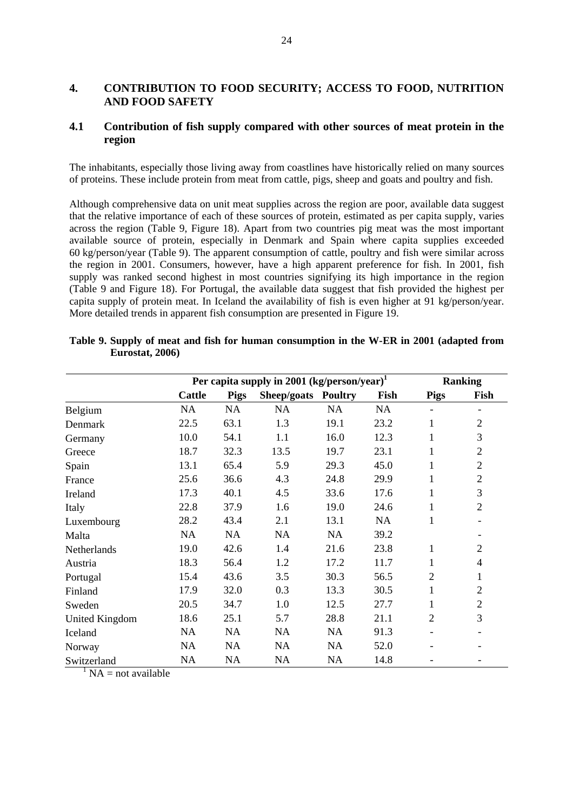### **4. CONTRIBUTION TO FOOD SECURITY; ACCESS TO FOOD, NUTRITION AND FOOD SAFETY**

### **4.1 Contribution of fish supply compared with other sources of meat protein in the region**

The inhabitants, especially those living away from coastlines have historically relied on many sources of proteins. These include protein from meat from cattle, pigs, sheep and goats and poultry and fish.

Although comprehensive data on unit meat supplies across the region are poor, available data suggest that the relative importance of each of these sources of protein, estimated as per capita supply, varies across the region (Table 9, Figure 18). Apart from two countries pig meat was the most important available source of protein, especially in Denmark and Spain where capita supplies exceeded 60 kg/person/year (Table 9). The apparent consumption of cattle, poultry and fish were similar across the region in 2001. Consumers, however, have a high apparent preference for fish. In 2001, fish supply was ranked second highest in most countries signifying its high importance in the region (Table 9 and Figure 18). For Portugal, the available data suggest that fish provided the highest per capita supply of protein meat. In Iceland the availability of fish is even higher at 91 kg/person/year. More detailed trends in apparent fish consumption are presented in Figure 19.

|                       | Per capita supply in 2001 (kg/person/year) <sup>1</sup> |             | <b>Ranking</b>      |      |           |                |                |
|-----------------------|---------------------------------------------------------|-------------|---------------------|------|-----------|----------------|----------------|
|                       | Cattle                                                  | <b>Pigs</b> | Sheep/goats Poultry |      | Fish      | <b>Pigs</b>    | Fish           |
| Belgium               | NA                                                      | NA          | NA                  | NA   | <b>NA</b> |                |                |
| Denmark               | 22.5                                                    | 63.1        | 1.3                 | 19.1 | 23.2      | 1              | $\overline{2}$ |
| Germany               | 10.0                                                    | 54.1        | 1.1                 | 16.0 | 12.3      | 1              | 3              |
| Greece                | 18.7                                                    | 32.3        | 13.5                | 19.7 | 23.1      | 1              | $\overline{2}$ |
| Spain                 | 13.1                                                    | 65.4        | 5.9                 | 29.3 | 45.0      | 1              | $\mathfrak{2}$ |
| France                | 25.6                                                    | 36.6        | 4.3                 | 24.8 | 29.9      | 1              | $\overline{2}$ |
| Ireland               | 17.3                                                    | 40.1        | 4.5                 | 33.6 | 17.6      | 1              | 3              |
| Italy                 | 22.8                                                    | 37.9        | 1.6                 | 19.0 | 24.6      | 1              | $\overline{2}$ |
| Luxembourg            | 28.2                                                    | 43.4        | 2.1                 | 13.1 | <b>NA</b> | 1              |                |
| Malta                 | <b>NA</b>                                               | <b>NA</b>   | <b>NA</b>           | NA   | 39.2      |                |                |
| Netherlands           | 19.0                                                    | 42.6        | 1.4                 | 21.6 | 23.8      | 1              | $\overline{2}$ |
| Austria               | 18.3                                                    | 56.4        | 1.2                 | 17.2 | 11.7      | 1              | 4              |
| Portugal              | 15.4                                                    | 43.6        | 3.5                 | 30.3 | 56.5      | $\overline{c}$ | 1              |
| Finland               | 17.9                                                    | 32.0        | 0.3                 | 13.3 | 30.5      | 1              | $\overline{2}$ |
| Sweden                | 20.5                                                    | 34.7        | 1.0                 | 12.5 | 27.7      | 1              | $\overline{2}$ |
| <b>United Kingdom</b> | 18.6                                                    | 25.1        | 5.7                 | 28.8 | 21.1      | 2              | 3              |
| Iceland               | NA                                                      | NA          | NA                  | NA   | 91.3      |                |                |
| Norway                | <b>NA</b>                                               | NA          | <b>NA</b>           | NA   | 52.0      |                |                |
| Switzerland           | <b>NA</b>                                               | NA          | NA                  | NA   | 14.8      |                |                |

| Table 9. Supply of meat and fish for human consumption in the W-ER in 2001 (adapted from |  |  |  |  |
|------------------------------------------------------------------------------------------|--|--|--|--|
| <b>Eurostat, 2006)</b>                                                                   |  |  |  |  |

 $1$  NA = not available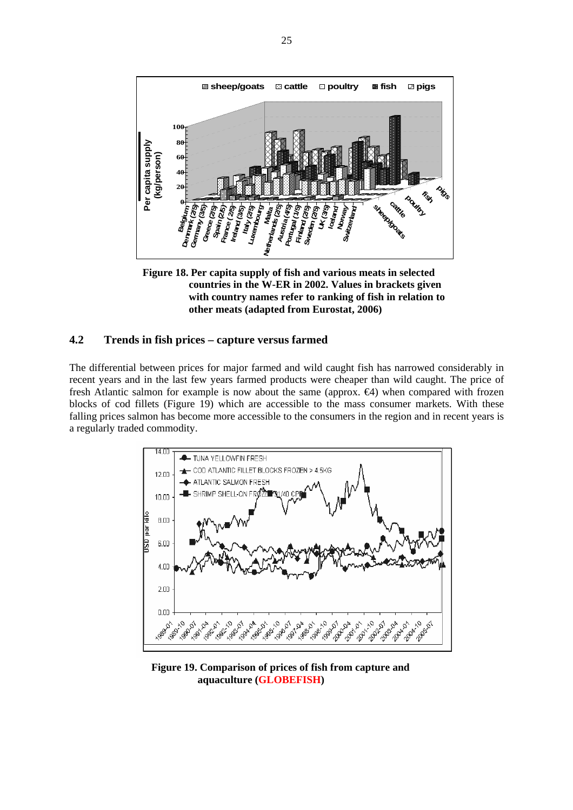

**Figure 18. Per capita supply of fish and various meats in selected countries in the W-ER in 2002. Values in brackets given with country names refer to ranking of fish in relation to other meats (adapted from Eurostat, 2006)**

#### **4.2 Trends in fish prices – capture versus farmed**

The differential between prices for major farmed and wild caught fish has narrowed considerably in recent years and in the last few years farmed products were cheaper than wild caught. The price of fresh Atlantic salmon for example is now about the same (approx. €4) when compared with frozen blocks of cod fillets (Figure 19) which are accessible to the mass consumer markets. With these falling prices salmon has become more accessible to the consumers in the region and in recent years is a regularly traded commodity.



**Figure 19. Comparison of prices of fish from capture and aquaculture (GLOBEFISH)**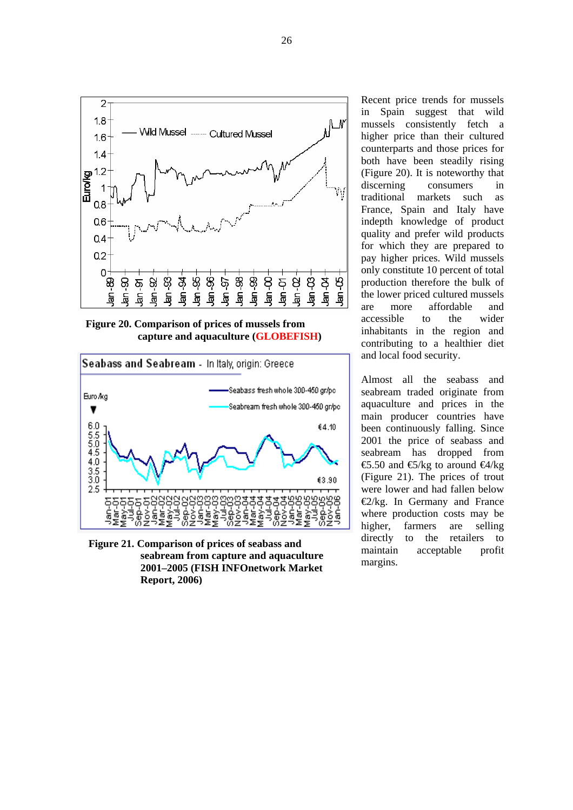

**Figure 20. Comparison of prices of mussels from capture and aquaculture (GLOBEFISH)**



**Figure 21. Comparison of prices of seabass and seabream from capture and aquaculture 2001–2005 (FISH INFOnetwork Market Report, 2006)**

Recent price trends for mussels in Spain suggest that wild mussels consistently fetch a higher price than their cultured counterparts and those prices for both have been steadily rising (Figure 20). It is noteworthy that discerning consumers in traditional markets such as France, Spain and Italy have indepth knowledge of product quality and prefer wild products for which they are prepared to pay higher prices. Wild mussels only constitute 10 percent of total production therefore the bulk of the lower priced cultured mussels are more affordable and accessible to the wider inhabitants in the region and contributing to a healthier diet and local food security.

Almost all the seabass and seabream traded originate from aquaculture and prices in the main producer countries have been continuously falling. Since 2001 the price of seabass and seabream has dropped from €5.50 and  $€/kg$  to around  $€/kg$ (Figure 21). The prices of trout were lower and had fallen below €2/kg. In Germany and France where production costs may be higher, farmers are selling directly to the retailers to maintain acceptable profit margins.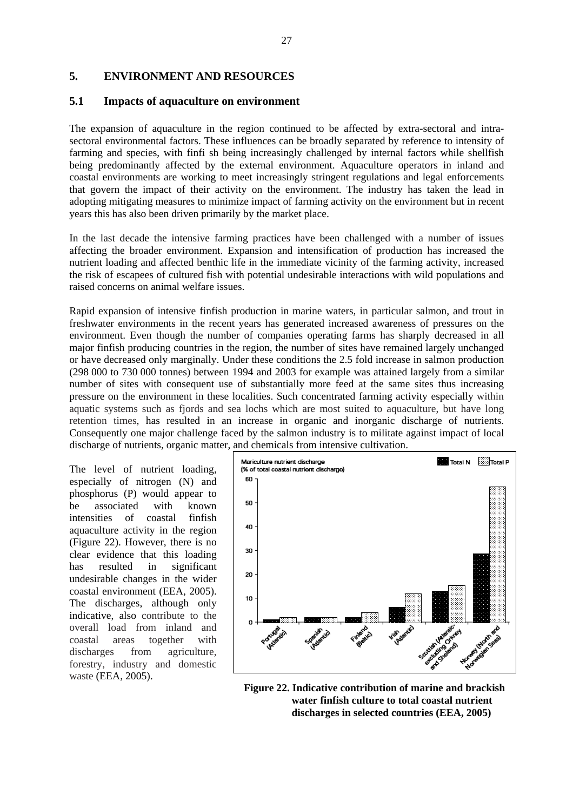### **5. ENVIRONMENT AND RESOURCES**

### **5.1 Impacts of aquaculture on environment**

The expansion of aquaculture in the region continued to be affected by extra-sectoral and intrasectoral environmental factors. These influences can be broadly separated by reference to intensity of farming and species, with finfi sh being increasingly challenged by internal factors while shellfish being predominantly affected by the external environment. Aquaculture operators in inland and coastal environments are working to meet increasingly stringent regulations and legal enforcements that govern the impact of their activity on the environment. The industry has taken the lead in adopting mitigating measures to minimize impact of farming activity on the environment but in recent years this has also been driven primarily by the market place.

In the last decade the intensive farming practices have been challenged with a number of issues affecting the broader environment. Expansion and intensification of production has increased the nutrient loading and affected benthic life in the immediate vicinity of the farming activity, increased the risk of escapees of cultured fish with potential undesirable interactions with wild populations and raised concerns on animal welfare issues.

Rapid expansion of intensive finfish production in marine waters, in particular salmon, and trout in freshwater environments in the recent years has generated increased awareness of pressures on the environment. Even though the number of companies operating farms has sharply decreased in all major finfish producing countries in the region, the number of sites have remained largely unchanged or have decreased only marginally. Under these conditions the 2.5 fold increase in salmon production (298 000 to 730 000 tonnes) between 1994 and 2003 for example was attained largely from a similar number of sites with consequent use of substantially more feed at the same sites thus increasing pressure on the environment in these localities. Such concentrated farming activity especially within aquatic systems such as fjords and sea lochs which are most suited to aquaculture, but have long retention times, has resulted in an increase in organic and inorganic discharge of nutrients. Consequently one major challenge faced by the salmon industry is to militate against impact of local discharge of nutrients, organic matter, and chemicals from intensive cultivation.

The level of nutrient loading, especially of nitrogen (N) and phosphorus (P) would appear to be associated with known intensities of coastal finfish aquaculture activity in the region (Figure 22). However, there is no clear evidence that this loading has resulted in significant undesirable changes in the wider coastal environment (EEA, 2005). The discharges, although only indicative, also contribute to the overall load from inland and coastal areas together with discharges from agriculture, forestry, industry and domestic waste (EEA, 2005).



**Figure 22. Indicative contribution of marine and brackish water finfish culture to total coastal nutrient discharges in selected countries (EEA, 2005)**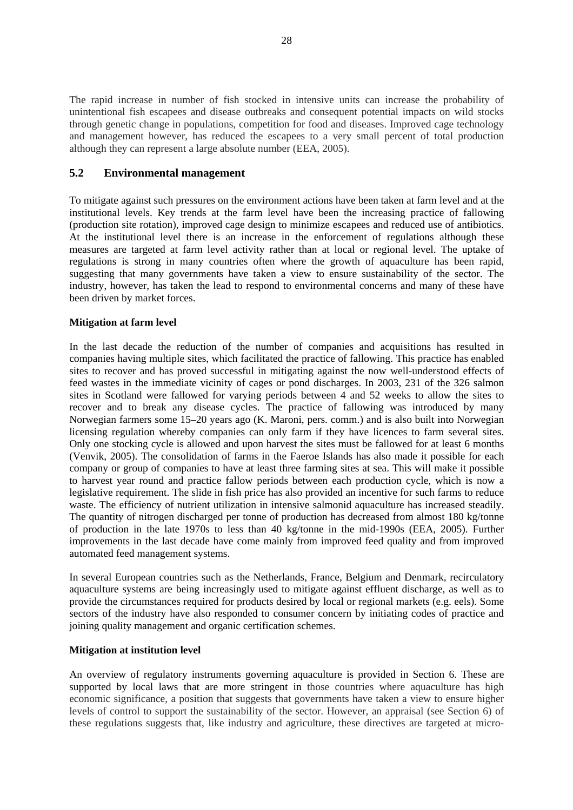The rapid increase in number of fish stocked in intensive units can increase the probability of unintentional fish escapees and disease outbreaks and consequent potential impacts on wild stocks through genetic change in populations, competition for food and diseases. Improved cage technology and management however, has reduced the escapees to a very small percent of total production although they can represent a large absolute number (EEA, 2005).

### **5.2 Environmental management**

To mitigate against such pressures on the environment actions have been taken at farm level and at the institutional levels. Key trends at the farm level have been the increasing practice of fallowing (production site rotation), improved cage design to minimize escapees and reduced use of antibiotics. At the institutional level there is an increase in the enforcement of regulations although these measures are targeted at farm level activity rather than at local or regional level. The uptake of regulations is strong in many countries often where the growth of aquaculture has been rapid, suggesting that many governments have taken a view to ensure sustainability of the sector. The industry, however, has taken the lead to respond to environmental concerns and many of these have been driven by market forces.

#### **Mitigation at farm level**

In the last decade the reduction of the number of companies and acquisitions has resulted in companies having multiple sites, which facilitated the practice of fallowing. This practice has enabled sites to recover and has proved successful in mitigating against the now well-understood effects of feed wastes in the immediate vicinity of cages or pond discharges. In 2003, 231 of the 326 salmon sites in Scotland were fallowed for varying periods between 4 and 52 weeks to allow the sites to recover and to break any disease cycles. The practice of fallowing was introduced by many Norwegian farmers some 15–20 years ago (K. Maroni, pers. comm.) and is also built into Norwegian licensing regulation whereby companies can only farm if they have licences to farm several sites. Only one stocking cycle is allowed and upon harvest the sites must be fallowed for at least 6 months (Venvik, 2005). The consolidation of farms in the Faeroe Islands has also made it possible for each company or group of companies to have at least three farming sites at sea. This will make it possible to harvest year round and practice fallow periods between each production cycle, which is now a legislative requirement. The slide in fish price has also provided an incentive for such farms to reduce waste. The efficiency of nutrient utilization in intensive salmonid aquaculture has increased steadily. The quantity of nitrogen discharged per tonne of production has decreased from almost 180 kg/tonne of production in the late 1970s to less than 40 kg/tonne in the mid-1990s (EEA, 2005). Further improvements in the last decade have come mainly from improved feed quality and from improved automated feed management systems.

In several European countries such as the Netherlands, France, Belgium and Denmark, recirculatory aquaculture systems are being increasingly used to mitigate against effluent discharge, as well as to provide the circumstances required for products desired by local or regional markets (e.g. eels). Some sectors of the industry have also responded to consumer concern by initiating codes of practice and joining quality management and organic certification schemes.

#### **Mitigation at institution level**

An overview of regulatory instruments governing aquaculture is provided in Section 6. These are supported by local laws that are more stringent in those countries where aquaculture has high economic significance, a position that suggests that governments have taken a view to ensure higher levels of control to support the sustainability of the sector. However, an appraisal (see Section 6) of these regulations suggests that, like industry and agriculture, these directives are targeted at micro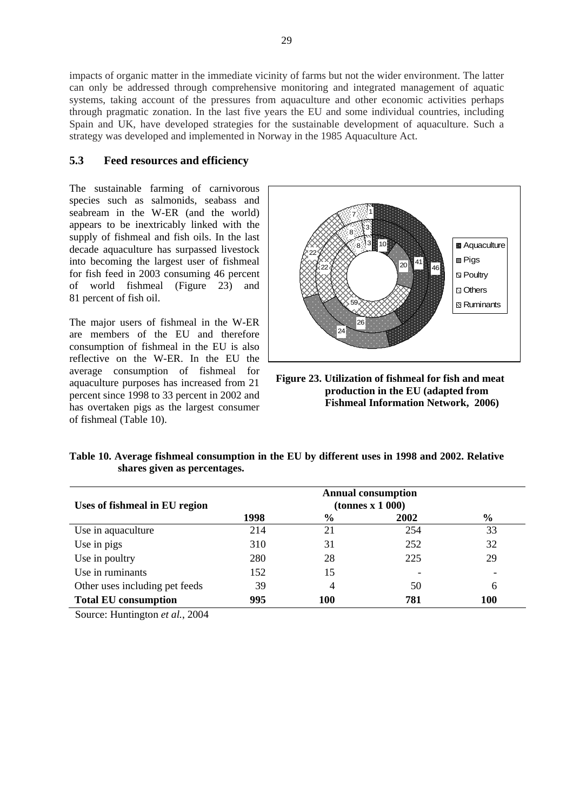impacts of organic matter in the immediate vicinity of farms but not the wider environment. The latter can only be addressed through comprehensive monitoring and integrated management of aquatic systems, taking account of the pressures from aquaculture and other economic activities perhaps through pragmatic zonation. In the last five years the EU and some individual countries, including Spain and UK, have developed strategies for the sustainable development of aquaculture. Such a strategy was developed and implemented in Norway in the 1985 Aquaculture Act.

### **5.3 Feed resources and efficiency**

The sustainable farming of carnivorous species such as salmonids, seabass and seabream in the W-ER (and the world) appears to be inextricably linked with the supply of fishmeal and fish oils. In the last decade aquaculture has surpassed livestock into becoming the largest user of fishmeal for fish feed in 2003 consuming 46 percent of world fishmeal (Figure 23) and 81 percent of fish oil.

The major users of fishmeal in the W-ER are members of the EU and therefore consumption of fishmeal in the EU is also reflective on the W-ER. In the EU the average consumption of fishmeal for aquaculture purposes has increased from 21 percent since 1998 to 33 percent in 2002 and has overtaken pigs as the largest consumer of fishmeal (Table 10).



**Figure 23. Utilization of fishmeal for fish and meat production in the EU (adapted from Fishmeal Information Network, 2006)**

| Table 10. Average fishmeal consumption in the EU by different uses in 1998 and 2002. Relative |  |  |
|-----------------------------------------------------------------------------------------------|--|--|
| shares given as percentages.                                                                  |  |  |

| Uses of fishmeal in EU region  |      |               |      |               |
|--------------------------------|------|---------------|------|---------------|
|                                | 1998 | $\frac{6}{9}$ | 2002 | $\frac{6}{9}$ |
| Use in aquaculture             | 214  | 21            | 254  | 33            |
| Use in pigs                    | 310  | 31            | 252  | 32            |
| Use in poultry                 | 280  | 28            | 225  | 29            |
| Use in ruminants               | 152  | 15            |      |               |
| Other uses including pet feeds | 39   | 4             | 50   | 6             |
| <b>Total EU consumption</b>    | 995  | 100           | 781  | 100           |

Source: Huntington *et al.*, 2004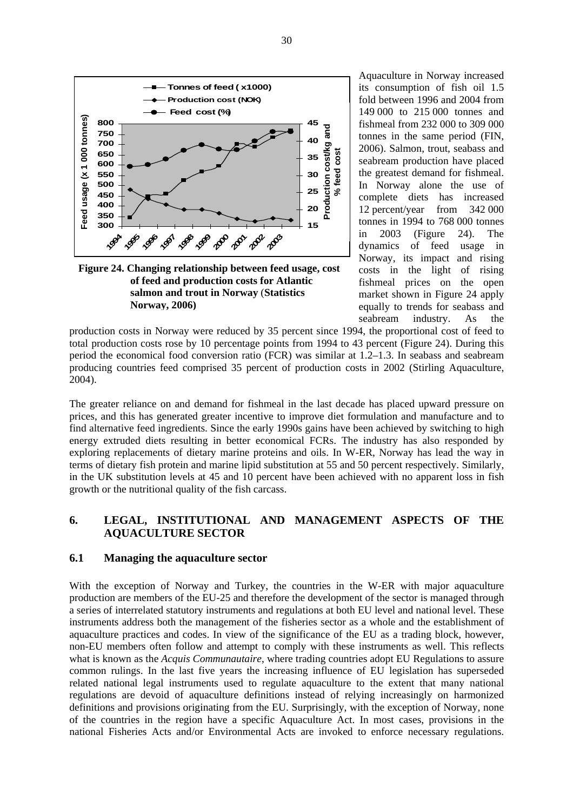

**Figure 24. Changing relationship between feed usage, cost of feed and production costs for Atlantic salmon and trout in Norway** (**Statistics Norway, 2006)**

Aquaculture in Norway increased its consumption of fish oil 1.5 fold between 1996 and 2004 from 149 000 to 215 000 tonnes and fishmeal from 232 000 to 309 000 tonnes in the same period (FIN, 2006). Salmon, trout, seabass and seabream production have placed the greatest demand for fishmeal. In Norway alone the use of complete diets has increased 12 percent/year from 342 000 tonnes in 1994 to 768 000 tonnes in 2003 (Figure 24). The dynamics of feed usage in Norway, its impact and rising costs in the light of rising fishmeal prices on the open market shown in Figure 24 apply equally to trends for seabass and seabream industry. As the

production costs in Norway were reduced by 35 percent since 1994, the proportional cost of feed to total production costs rose by 10 percentage points from 1994 to 43 percent (Figure 24). During this period the economical food conversion ratio (FCR) was similar at 1.2–1.3. In seabass and seabream producing countries feed comprised 35 percent of production costs in 2002 (Stirling Aquaculture, 2004).

The greater reliance on and demand for fishmeal in the last decade has placed upward pressure on prices, and this has generated greater incentive to improve diet formulation and manufacture and to find alternative feed ingredients. Since the early 1990s gains have been achieved by switching to high energy extruded diets resulting in better economical FCRs. The industry has also responded by exploring replacements of dietary marine proteins and oils. In W-ER, Norway has lead the way in terms of dietary fish protein and marine lipid substitution at 55 and 50 percent respectively. Similarly, in the UK substitution levels at 45 and 10 percent have been achieved with no apparent loss in fish growth or the nutritional quality of the fish carcass.

# **6. LEGAL, INSTITUTIONAL AND MANAGEMENT ASPECTS OF THE AQUACULTURE SECTOR**

#### **6.1 Managing the aquaculture sector**

With the exception of Norway and Turkey, the countries in the W-ER with major aquaculture production are members of the EU-25 and therefore the development of the sector is managed through a series of interrelated statutory instruments and regulations at both EU level and national level. These instruments address both the management of the fisheries sector as a whole and the establishment of aquaculture practices and codes. In view of the significance of the EU as a trading block, however, non-EU members often follow and attempt to comply with these instruments as well. This reflects what is known as the *Acquis Communautaire*, where trading countries adopt EU Regulations to assure common rulings. In the last five years the increasing influence of EU legislation has superseded related national legal instruments used to regulate aquaculture to the extent that many national regulations are devoid of aquaculture definitions instead of relying increasingly on harmonized definitions and provisions originating from the EU. Surprisingly, with the exception of Norway, none of the countries in the region have a specific Aquaculture Act. In most cases, provisions in the national Fisheries Acts and/or Environmental Acts are invoked to enforce necessary regulations.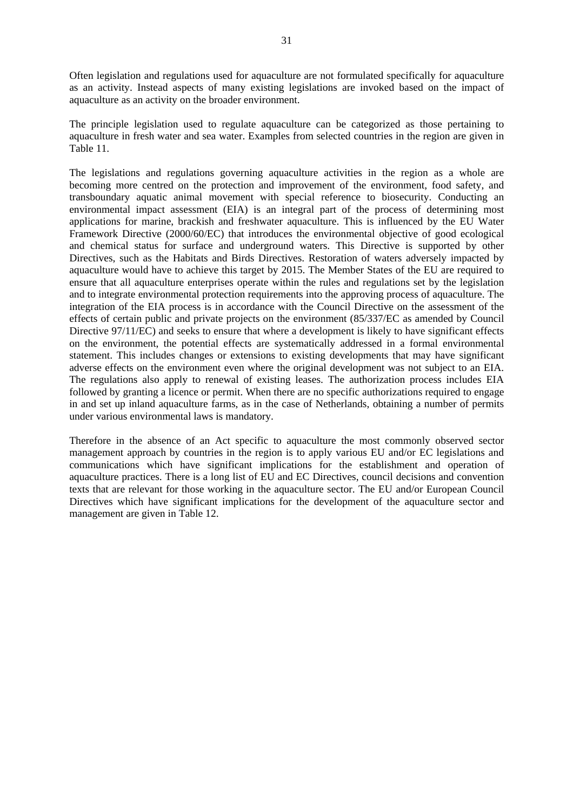Often legislation and regulations used for aquaculture are not formulated specifically for aquaculture as an activity. Instead aspects of many existing legislations are invoked based on the impact of aquaculture as an activity on the broader environment.

The principle legislation used to regulate aquaculture can be categorized as those pertaining to aquaculture in fresh water and sea water. Examples from selected countries in the region are given in Table 11.

The legislations and regulations governing aquaculture activities in the region as a whole are becoming more centred on the protection and improvement of the environment, food safety, and transboundary aquatic animal movement with special reference to biosecurity. Conducting an environmental impact assessment (EIA) is an integral part of the process of determining most applications for marine, brackish and freshwater aquaculture. This is influenced by the EU Water Framework Directive (2000/60/EC) that introduces the environmental objective of good ecological and chemical status for surface and underground waters. This Directive is supported by other Directives, such as the Habitats and Birds Directives. Restoration of waters adversely impacted by aquaculture would have to achieve this target by 2015. The Member States of the EU are required to ensure that all aquaculture enterprises operate within the rules and regulations set by the legislation and to integrate environmental protection requirements into the approving process of aquaculture. The integration of the EIA process is in accordance with the Council Directive on the assessment of the effects of certain public and private projects on the environment (85/337/EC as amended by Council Directive 97/11/EC) and seeks to ensure that where a development is likely to have significant effects on the environment, the potential effects are systematically addressed in a formal environmental statement. This includes changes or extensions to existing developments that may have significant adverse effects on the environment even where the original development was not subject to an EIA. The regulations also apply to renewal of existing leases. The authorization process includes EIA followed by granting a licence or permit. When there are no specific authorizations required to engage in and set up inland aquaculture farms, as in the case of Netherlands, obtaining a number of permits under various environmental laws is mandatory.

Therefore in the absence of an Act specific to aquaculture the most commonly observed sector management approach by countries in the region is to apply various EU and/or EC legislations and communications which have significant implications for the establishment and operation of aquaculture practices. There is a long list of EU and EC Directives, council decisions and convention texts that are relevant for those working in the aquaculture sector. The EU and/or European Council Directives which have significant implications for the development of the aquaculture sector and management are given in Table 12.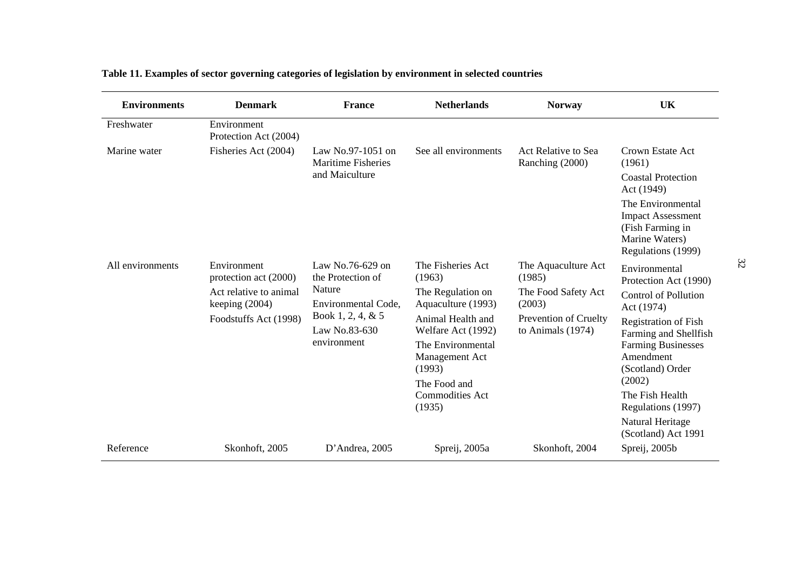| <b>Environments</b> | <b>Denmark</b>                             | <b>France</b>                                     | <b>Netherlands</b>                      | <b>Norway</b>                                                               | <b>UK</b>                                                                                                 |                                     |  |
|---------------------|--------------------------------------------|---------------------------------------------------|-----------------------------------------|-----------------------------------------------------------------------------|-----------------------------------------------------------------------------------------------------------|-------------------------------------|--|
| Freshwater          | Environment<br>Protection Act (2004)       |                                                   |                                         |                                                                             |                                                                                                           |                                     |  |
| Marine water        | Fisheries Act (2004)                       | Law No.97-1051 on<br><b>Maritime Fisheries</b>    | See all environments                    | Act Relative to Sea<br>Ranching (2000)                                      | Crown Estate Act<br>(1961)                                                                                |                                     |  |
|                     |                                            | and Maiculture                                    |                                         |                                                                             | <b>Coastal Protection</b><br>Act (1949)                                                                   |                                     |  |
|                     |                                            |                                                   |                                         |                                                                             | The Environmental<br><b>Impact Assessment</b><br>(Fish Farming in<br>Marine Waters)<br>Regulations (1999) |                                     |  |
| All environments    | Environment<br>protection act (2000)       | Law No.76-629 on<br>the Protection of             | The Fisheries Act<br>(1963)             | The Aquaculture Act<br>(1985)                                               | Environmental<br>Protection Act (1990)                                                                    |                                     |  |
|                     | Act relative to animal<br>keeping $(2004)$ | Nature<br>Environmental Code,                     | The Regulation on<br>Aquaculture (1993) | The Food Safety Act<br>(2003)<br>Prevention of Cruelty<br>to Animals (1974) | <b>Control of Pollution</b><br>Act (1974)                                                                 |                                     |  |
|                     | Foodstuffs Act (1998)                      | Book 1, 2, 4, & 5<br>Law No.83-630<br>environment | Animal Health and<br>Welfare Act (1992) |                                                                             | <b>Registration of Fish</b><br>Farming and Shellfish                                                      |                                     |  |
|                     |                                            |                                                   |                                         |                                                                             | (1993)                                                                                                    | The Environmental<br>Management Act |  |
|                     |                                            |                                                   | The Food and                            |                                                                             | (2002)                                                                                                    |                                     |  |
|                     |                                            |                                                   | <b>Commodities Act</b><br>(1935)        |                                                                             | The Fish Health<br>Regulations (1997)                                                                     |                                     |  |
|                     |                                            |                                                   |                                         |                                                                             | Natural Heritage<br>(Scotland) Act 1991                                                                   |                                     |  |
| Reference           | Skonhoft, 2005                             | D'Andrea, 2005                                    | Spreij, 2005a                           | Skonhoft, 2004                                                              | Spreij, 2005b                                                                                             |                                     |  |

# **Table 11. Examples of sector governing categories of legislation by environment in selected countries**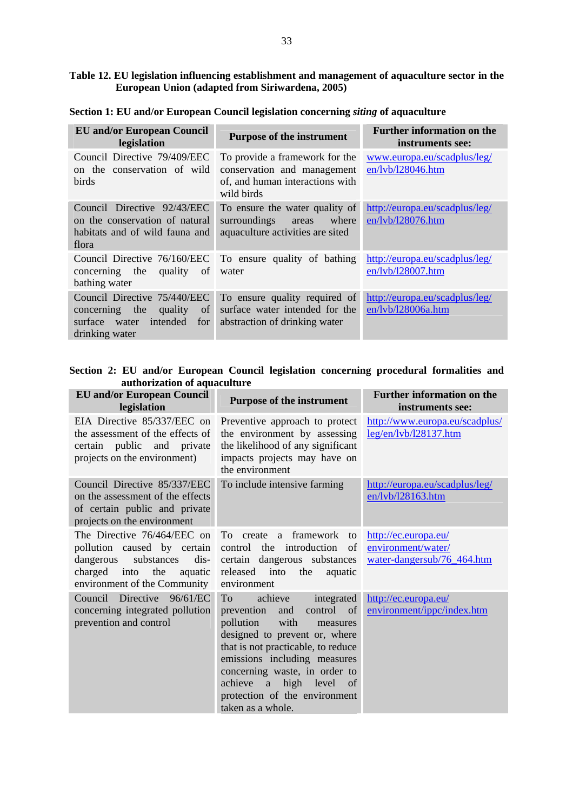#### **Table 12. EU legislation influencing establishment and management of aquaculture sector in the European Union (adapted from Siriwardena, 2005)**

**Section 1: EU and/or European Council legislation concerning** *siting* **of aquaculture**

| <b>EU</b> and/or European Council<br>legislation                                                                         | <b>Purpose of the instrument</b>                                                                               | <b>Further information on the</b><br>instruments see: |
|--------------------------------------------------------------------------------------------------------------------------|----------------------------------------------------------------------------------------------------------------|-------------------------------------------------------|
| Council Directive 79/409/EEC<br>on the conservation of wild<br>birds                                                     | To provide a framework for the<br>conservation and management<br>of, and human interactions with<br>wild birds | www.europa.eu/scadplus/leg/<br>en/lvb/l28046.htm      |
| Council Directive 92/43/EEC<br>on the conservation of natural<br>habitats and of wild fauna and<br>flora                 | To ensure the water quality of<br>surroundings<br>where<br>areas<br>aquaculture activities are sited           | http://europa.eu/scadplus/leg/<br>en/lvb/l28076.htm   |
| concerning the<br>quality of<br>bathing water                                                                            | Council Directive 76/160/EEC To ensure quality of bathing<br>water                                             | http://europa.eu/scadplus/leg/<br>en/lvb/l28007.htm   |
| Council Directive 75/440/EEC<br>concerning the<br>quality<br>of<br>surface<br>intended<br>for<br>water<br>drinking water | To ensure quality required of<br>surface water intended for the<br>abstraction of drinking water               | http://europa.eu/scadplus/leg/<br>en/lvb/l28006a.htm  |

|  |  |                              |  | Section 2: EU and/or European Council legislation concerning procedural formalities and |  |
|--|--|------------------------------|--|-----------------------------------------------------------------------------------------|--|
|  |  | authorization of aquaculture |  |                                                                                         |  |

| <b>EU</b> and/or European Council<br>legislation                                                                                                                  | <b>Purpose of the instrument</b>                                                                                                                                                                                                                                                                                         | <b>Further information on the</b><br>instruments see:                    |
|-------------------------------------------------------------------------------------------------------------------------------------------------------------------|--------------------------------------------------------------------------------------------------------------------------------------------------------------------------------------------------------------------------------------------------------------------------------------------------------------------------|--------------------------------------------------------------------------|
| EIA Directive 85/337/EEC on<br>the assessment of the effects of<br>certain public and private<br>projects on the environment)                                     | Preventive approach to protect<br>the environment by assessing<br>the likelihood of any significant<br>impacts projects may have on<br>the environment                                                                                                                                                                   | http://www.europa.eu/scadplus/<br>leg/en/lvb/128137.htm                  |
| Council Directive 85/337/EEC<br>on the assessment of the effects<br>of certain public and private<br>projects on the environment                                  | To include intensive farming                                                                                                                                                                                                                                                                                             | http://europa.eu/scadplus/leg/<br>en/lvb/128163.htm                      |
| The Directive 76/464/EEC on<br>pollution caused by certain<br>$dis-$<br>substances<br>dangerous<br>charged into<br>the<br>aquatic<br>environment of the Community | To create a framework<br>to<br>control the introduction<br>of<br>certain dangerous substances<br>released into<br>the<br>aquatic<br>environment                                                                                                                                                                          | http://ec.europa.eu/<br>environment/water/<br>water-dangersub/76_464.htm |
| Council Directive 96/61/EC<br>concerning integrated pollution<br>prevention and control                                                                           | achieve<br>To<br>integrated<br>control of<br>prevention<br>and<br>pollution<br>with<br>measures<br>designed to prevent or, where<br>that is not practicable, to reduce<br>emissions including measures<br>concerning waste, in order to<br>achieve a high level of<br>protection of the environment<br>taken as a whole. | http://ec.europa.eu/<br>environment/ippc/index.htm                       |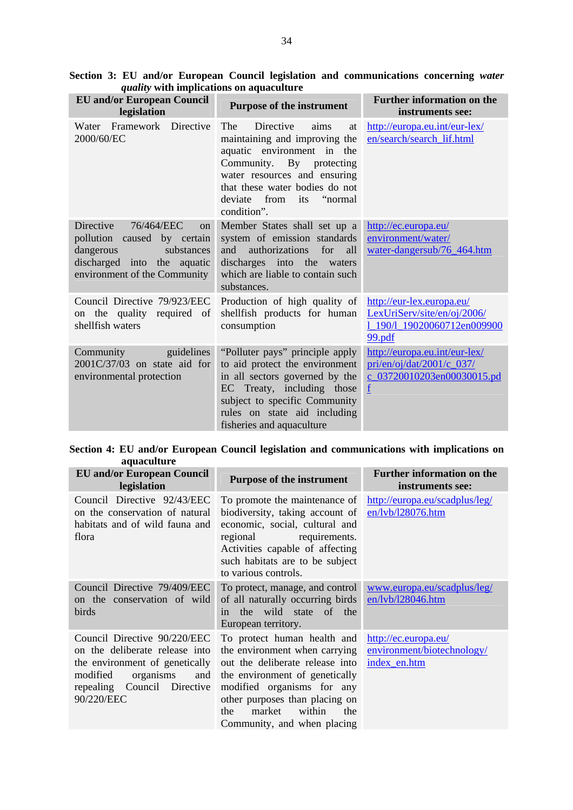| <b>EU</b> and/or European Council<br>legislation                                                                                                         | <b>Purpose of the instrument</b>                                                                                                                                                                                                                  | <b>Further information on the</b><br>instruments see:                                             |
|----------------------------------------------------------------------------------------------------------------------------------------------------------|---------------------------------------------------------------------------------------------------------------------------------------------------------------------------------------------------------------------------------------------------|---------------------------------------------------------------------------------------------------|
| Framework Directive<br>Water<br>2000/60/EC                                                                                                               | <b>Directive</b><br>The<br>aims<br>at<br>maintaining and improving the<br>aquatic environment in the<br>Community. By protecting<br>water resources and ensuring<br>that these water bodies do not<br>deviate from its<br>"normal"<br>condition". | http://europa.eu.int/eur-lex/<br>en/search/search_lif.html                                        |
| Directive<br>76/464/EEC<br>on  <br>pollution caused by certain<br>dangerous<br>substances<br>discharged into the aquatic<br>environment of the Community | Member States shall set up a<br>system of emission standards<br>authorizations<br>for<br>and<br>all<br>discharges into the waters<br>which are liable to contain such<br>substances.                                                              | http://ec.europa.eu/<br>environment/water/<br>water-dangersub/76 464.htm                          |
| Council Directive 79/923/EEC<br>on the quality required of<br>shellfish waters                                                                           | Production of high quality of<br>shellfish products for human<br>consumption                                                                                                                                                                      | http://eur-lex.europa.eu/<br>LexUriServ/site/en/oj/2006/<br>1_190/1_19020060712en009900<br>99.pdf |
| guidelines<br>Community<br>$2001C/37/03$ on state aid for<br>environmental protection                                                                    | "Polluter pays" principle apply<br>to aid protect the environment<br>in all sectors governed by the<br>EC Treaty, including those<br>subject to specific Community<br>rules on state aid including<br>fisheries and aquaculture                   | http://europa.eu.int/eur-lex/<br>pri/en/oj/dat/2001/c_037/<br>c_03720010203en00030015.pd<br>f     |

**Section 3: EU and/or European Council legislation and communications concerning** *water quality* **with implications on aquaculture** 

**Section 4: EU and/or European Council legislation and communications with implications on aquaculture** 

| <b>EU</b> and/or European Council<br>legislation                                                                                                                                 | <b>Purpose of the instrument</b>                                                                                                                                                                                                                                   | <b>Further information on the</b><br>instruments see:              |
|----------------------------------------------------------------------------------------------------------------------------------------------------------------------------------|--------------------------------------------------------------------------------------------------------------------------------------------------------------------------------------------------------------------------------------------------------------------|--------------------------------------------------------------------|
| Council Directive 92/43/EEC<br>on the conservation of natural<br>habitats and of wild fauna and<br>flora                                                                         | To promote the maintenance of<br>biodiversity, taking account of<br>economic, social, cultural and<br>regional<br>requirements.<br>Activities capable of affecting<br>such habitats are to be subject<br>to various controls.                                      | http://europa.eu/scadplus/leg/<br>en/lvb/l28076.htm                |
| Council Directive 79/409/EEC<br>on the conservation of wild<br>birds                                                                                                             | To protect, manage, and control<br>of all naturally occurring birds<br>the wild state of the<br>in<br>European territory.                                                                                                                                          | www.europa.eu/scadplus/leg/<br>en/lvb/l28046.htm                   |
| Council Directive 90/220/EEC<br>on the deliberate release into<br>the environment of genetically<br>modified<br>organisms<br>and<br>Council Directive<br>repealing<br>90/220/EEC | To protect human health and<br>the environment when carrying<br>out the deliberate release into<br>the environment of genetically<br>modified organisms for any<br>other purposes than placing on<br>within<br>market<br>the<br>the<br>Community, and when placing | http://ec.europa.eu/<br>environment/biotechnology/<br>index_en.htm |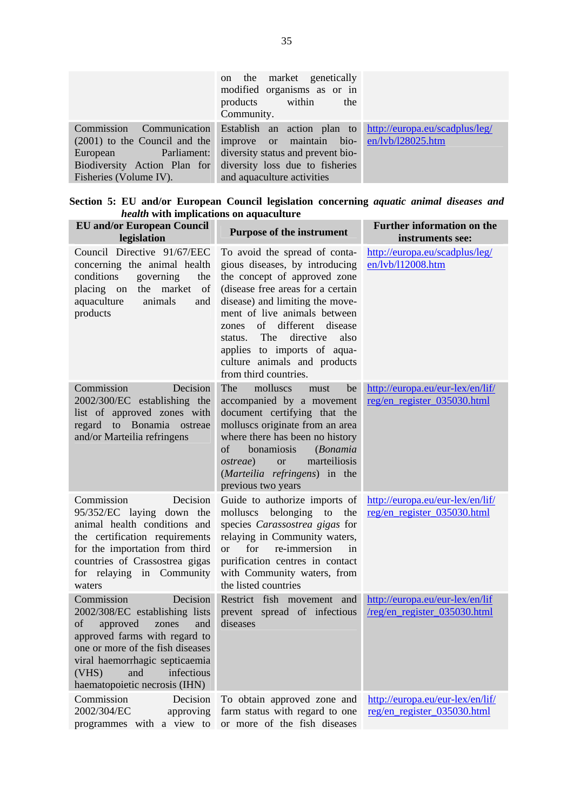|                                 | on the market genetically<br>modified organisms as or in<br>products within<br>the<br>Community. |                                |
|---------------------------------|--------------------------------------------------------------------------------------------------|--------------------------------|
| Commission                      | Communication Establish an action plan to                                                        | http://europa.eu/scadplus/leg/ |
| $(2001)$ to the Council and the | improve or maintain bio- en/lvb/l28025.htm                                                       |                                |
| European Parliament:            | diversity status and prevent bio-                                                                |                                |
| Biodiversity Action Plan for    | diversity loss due to fisheries                                                                  |                                |
| Fisheries (Volume IV).          | and aquaculture activities                                                                       |                                |

|  | Section 5: EU and/or European Council legislation concerning <i>aquatic animal diseases and</i> |  |  |  |  |
|--|-------------------------------------------------------------------------------------------------|--|--|--|--|
|  | <i>health</i> with implications on aquaculture                                                  |  |  |  |  |

| <b>EU</b> and/or European Council<br>legislation                                                                                                                                                                                                                 | <b>Purpose of the instrument</b>                                                                                                                                                                                                                                                                                                                                           | <b>Further information on the</b><br>instruments see:           |
|------------------------------------------------------------------------------------------------------------------------------------------------------------------------------------------------------------------------------------------------------------------|----------------------------------------------------------------------------------------------------------------------------------------------------------------------------------------------------------------------------------------------------------------------------------------------------------------------------------------------------------------------------|-----------------------------------------------------------------|
| Council Directive 91/67/EEC<br>concerning the animal health<br>governing<br>conditions<br>the<br>placing on the market of<br>animals<br>aquaculture<br>and<br>products                                                                                           | To avoid the spread of conta-<br>gious diseases, by introducing<br>the concept of approved zone<br>(disease free areas for a certain<br>disease) and limiting the move-<br>ment of live animals between<br>of different<br>disease<br>zones<br>directive<br>The<br>also<br>status.<br>applies to imports of aqua-<br>culture animals and products<br>from third countries. | http://europa.eu/scadplus/leg/<br>en/lvb/l12008.htm             |
| Commission<br>Decision<br>2002/300/EC establishing the<br>list of approved zones with<br>regard to Bonamia ostreae<br>and/or Marteilia refringens                                                                                                                | The<br>molluscs<br>be<br>must<br>accompanied by a movement<br>document certifying that the<br>molluscs originate from an area<br>where there has been no history<br>bonamiosis<br>(Bonamia<br>of<br>marteiliosis<br><i>ostreae</i> )<br><b>or</b><br>(Marteilia refringens) in the<br>previous two years                                                                   | http://europa.eu/eur-lex/en/lif/<br>reg/en_register_035030.html |
| Commission<br>Decision<br>95/352/EC laying down the<br>animal health conditions and<br>the certification requirements<br>for the importation from third<br>countries of Crassostrea gigas<br>for relaying in Community<br>waters                                 | Guide to authorize imports of<br>belonging to<br>molluscs<br>the<br>species Carassostrea gigas for<br>relaying in Community waters,<br>for<br>re-immersion<br><b>or</b><br>in<br>purification centres in contact<br>with Community waters, from<br>the listed countries                                                                                                    | http://europa.eu/eur-lex/en/lif/<br>reg/en_register_035030.html |
| Decision<br>Commission<br>2002/308/EC establishing lists<br>of<br>approved<br>zones<br>and<br>approved farms with regard to<br>one or more of the fish diseases<br>viral haemorrhagic septicaemia<br>infectious<br>and<br>(VHS)<br>haematopoietic necrosis (IHN) | Restrict fish movement and<br>prevent spread of infectious<br>diseases                                                                                                                                                                                                                                                                                                     | http://europa.eu/eur-lex/en/lif<br>/reg/en_register_035030.html |
| Commission<br>Decision<br>2002/304/EC<br>approving<br>a view to<br>with<br>programmes                                                                                                                                                                            | To obtain approved zone and<br>farm status with regard to one<br>or more of the fish diseases                                                                                                                                                                                                                                                                              | http://europa.eu/eur-lex/en/lif/<br>reg/en_register_035030.html |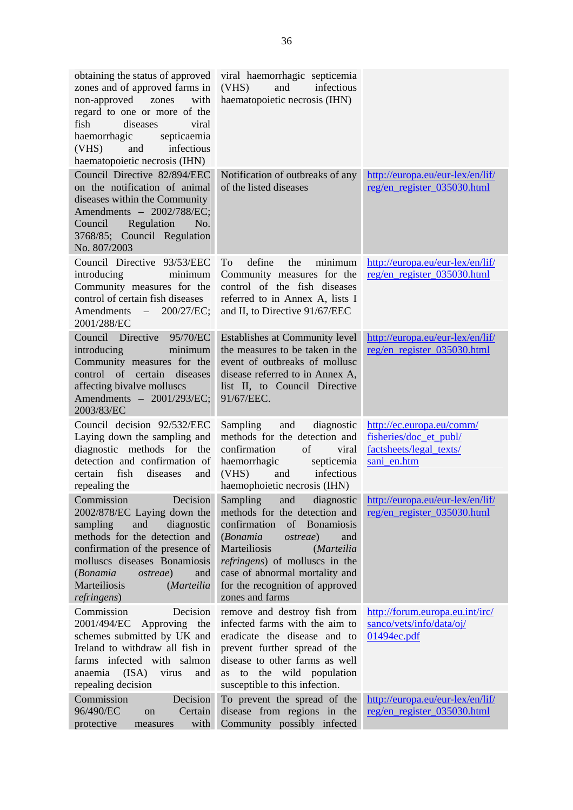| obtaining the status of approved<br>zones and of approved farms in<br>non-approved<br>with<br>zones<br>regard to one or more of the<br>fish<br>diseases<br>viral<br>haemorrhagic<br>septicaemia<br>infectious<br>(VHS)<br>and<br>haematopoietic necrosis (IHN)                         | viral haemorrhagic septicemia<br>infectious<br>(VHS)<br>and<br>haematopoietic necrosis (IHN)                                                                                                                                                                                                              |                                                                                               |
|----------------------------------------------------------------------------------------------------------------------------------------------------------------------------------------------------------------------------------------------------------------------------------------|-----------------------------------------------------------------------------------------------------------------------------------------------------------------------------------------------------------------------------------------------------------------------------------------------------------|-----------------------------------------------------------------------------------------------|
| Council Directive 82/894/EEC<br>on the notification of animal<br>diseases within the Community<br>Amendments - 2002/788/EC;<br>Regulation<br>Council<br>No.<br>3768/85; Council Regulation<br>No. 807/2003                                                                             | Notification of outbreaks of any<br>of the listed diseases                                                                                                                                                                                                                                                | http://europa.eu/eur-lex/en/lif/<br>reg/en_register_035030.html                               |
| Council Directive 93/53/EEC<br>introducing<br>minimum<br>Community measures for the<br>control of certain fish diseases<br>Amendments –<br>200/27/EC;<br>2001/288/EC                                                                                                                   | define<br>the<br>minimum<br>To<br>Community measures for the<br>control of the fish diseases<br>referred to in Annex A, lists I<br>and II, to Directive 91/67/EEC                                                                                                                                         | http://europa.eu/eur-lex/en/lif/<br>reg/en_register_035030.html                               |
| Council Directive<br>95/70/EC<br>introducing<br>minimum<br>Community measures for the<br>of certain<br>control<br>diseases<br>affecting bivalve molluscs<br>Amendments - 2001/293/EC;<br>2003/83/EC                                                                                    | Establishes at Community level<br>the measures to be taken in the<br>event of outbreaks of mollusc<br>disease referred to in Annex A,<br>list II, to Council Directive<br>91/67/EEC.                                                                                                                      | http://europa.eu/eur-lex/en/lif/<br>reg/en_register_035030.html                               |
| Council decision 92/532/EEC<br>Laying down the sampling and<br>diagnostic methods for the<br>detection and confirmation of<br>fish<br>certain<br>diseases<br>and<br>repealing the                                                                                                      | Sampling<br>and<br>diagnostic<br>methods for the detection and<br>confirmation<br>of<br>viral<br>haemorrhagic<br>septicemia<br>(VHS)<br>infectious<br>and<br>haemophoietic necrosis (IHN)                                                                                                                 | http://ec.europa.eu/comm/<br>fisheries/doc_et_publ/<br>factsheets/legal_texts/<br>sani_en.htm |
| Decision<br>Commission<br>2002/878/EC Laying down the<br>diagnostic<br>sampling<br>and<br>methods for the detection and<br>confirmation of the presence of<br>molluscs diseases Bonamiosis<br>(Bonamia<br><i>ostreae</i> )<br>and<br>Marteiliosis<br>(Marteilia<br><i>refringens</i> ) | diagnostic<br>Sampling<br>and<br>methods for the detection and<br>confirmation<br>Bonamiosis<br>of<br>(Bonamia<br><i>ostreae</i> )<br>and<br>Marteiliosis<br>(Marteilia<br><i>refringens</i> ) of molluscs in the<br>case of abnormal mortality and<br>for the recognition of approved<br>zones and farms | http://europa.eu/eur-lex/en/lif/<br>reg/en_register_035030.html                               |
| Commission<br>Decision<br>2001/494/EC<br>Approving the<br>schemes submitted by UK and<br>Ireland to withdraw all fish in<br>farms infected with salmon<br>(ISA)<br>anaemia<br>virus<br>and<br>repealing decision                                                                       | remove and destroy fish from<br>infected farms with the aim to<br>eradicate the disease and to<br>prevent further spread of the<br>disease to other farms as well<br>wild population<br>the<br>to<br>as<br>susceptible to this infection.                                                                 | http://forum.europa.eu.int/irc/<br>sanco/vets/info/data/oj/<br>01494ec.pdf                    |
| Commission<br>Decision<br>96/490/EC<br>Certain<br>on<br>protective<br>with<br>measures                                                                                                                                                                                                 | To prevent the spread of the<br>disease from regions in the<br>Community possibly infected                                                                                                                                                                                                                | http://europa.eu/eur-lex/en/lif/<br>reg/en_register_035030.html                               |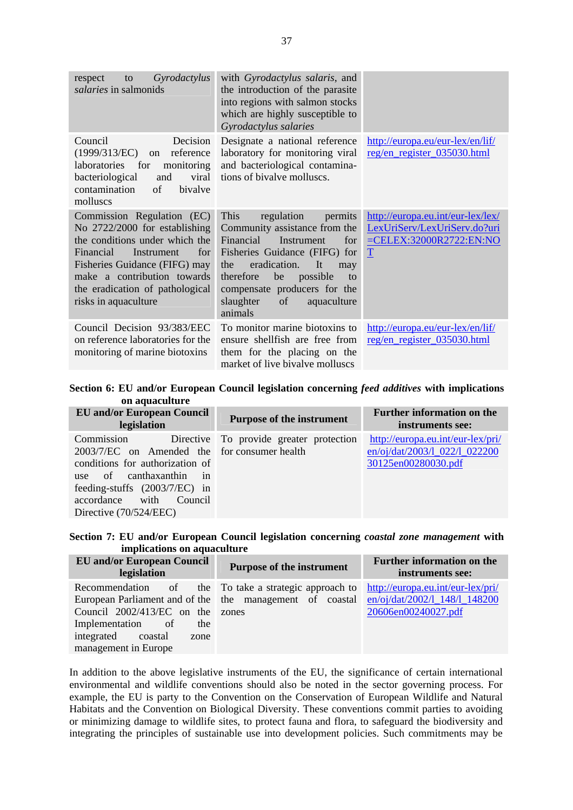| Gyrodactylus<br>respect<br>to<br><i>salaries</i> in salmonids                                                                                                                                                                                              | with Gyrodactylus salaris, and<br>the introduction of the parasite<br>into regions with salmon stocks<br>which are highly susceptible to<br>Gyrodactylus salaries                                                                                                                       |                                                                                                                 |
|------------------------------------------------------------------------------------------------------------------------------------------------------------------------------------------------------------------------------------------------------------|-----------------------------------------------------------------------------------------------------------------------------------------------------------------------------------------------------------------------------------------------------------------------------------------|-----------------------------------------------------------------------------------------------------------------|
| Council<br>Decision<br>(1999/313/EC)<br>reference<br><sub>on</sub><br>laboratories<br>for<br>monitoring<br>bacteriological<br>viral<br>and<br>contamination<br>of<br>bivalve<br>molluscs                                                                   | Designate a national reference<br>laboratory for monitoring viral<br>and bacteriological contamina-<br>tions of bivalve molluscs.                                                                                                                                                       | http://europa.eu/eur-lex/en/lif/<br>reg/en register 035030.html                                                 |
| Commission Regulation (EC)<br>No 2722/2000 for establishing<br>the conditions under which the<br>Financial<br>for<br>Instrument<br>Fisheries Guidance (FIFG) may<br>make a contribution towards<br>the eradication of pathological<br>risks in aquaculture | This<br>regulation<br>permits<br>Community assistance from the<br>Financial<br>Instrument<br>for<br>Fisheries Guidance (FIFG) for<br>eradication.<br>It<br>the<br>may<br>therefore<br>be<br>possible<br>to<br>compensate producers for the<br>slaughter<br>of<br>aquaculture<br>animals | http://europa.eu.int/eur-lex/lex/<br>LexUriServ/LexUriServ.do?uri<br>$=$ CELEX:32000R2722:EN:NO<br>$\mathbf{T}$ |
| Council Decision 93/383/EEC<br>on reference laboratories for the<br>monitoring of marine biotoxins                                                                                                                                                         | To monitor marine biotoxins to<br>ensure shellfish are free from<br>them for the placing on the<br>market of live bivalve molluscs                                                                                                                                                      | http://europa.eu/eur-lex/en/lif/<br>reg/en_register_035030.html                                                 |

**Section 6: EU and/or European Council legislation concerning** *feed additives* **with implications on aquaculture** 

| <b>EU</b> and/or European Council<br>legislation                                                                                                                                                               | <b>Purpose of the instrument</b>        | <b>Further information on the</b><br>instruments see:                                     |
|----------------------------------------------------------------------------------------------------------------------------------------------------------------------------------------------------------------|-----------------------------------------|-------------------------------------------------------------------------------------------|
| Commission<br>2003/7/EC on Amended the for consumer health<br>conditions for authorization of<br>use of canthaxanthin in<br>feeding-stuffs (2003/7/EC) in<br>accordance with Council<br>Directive (70/524/EEC) | Directive To provide greater protection | http://europa.eu.int/eur-lex/pri/<br>en/oj/dat/2003/1_022/1_022200<br>30125en00280030.pdf |

|  |                             |  |  | Section 7: EU and/or European Council legislation concerning coastal zone management with |  |
|--|-----------------------------|--|--|-------------------------------------------------------------------------------------------|--|
|  | implications on aquaculture |  |  |                                                                                           |  |

| <b>EU</b> and/or European Council<br>legislation                                                                   | <b>Purpose of the instrument</b>                                                                                  | <b>Further information on the</b><br>instruments see:                                     |
|--------------------------------------------------------------------------------------------------------------------|-------------------------------------------------------------------------------------------------------------------|-------------------------------------------------------------------------------------------|
| Council 2002/413/EC on the zones<br>Implementation of<br>the<br>integrated coastal<br>zone<br>management in Europe | Recommendation of the To take a strategic approach to<br>European Parliament and of the the management of coastal | http://europa.eu.int/eur-lex/pri/<br>en/oj/dat/2002/1_148/1_148200<br>20606en00240027.pdf |

In addition to the above legislative instruments of the EU, the significance of certain international environmental and wildlife conventions should also be noted in the sector governing process. For example, the EU is party to the Convention on the Conservation of European Wildlife and Natural Habitats and the Convention on Biological Diversity. These conventions commit parties to avoiding or minimizing damage to wildlife sites, to protect fauna and flora, to safeguard the biodiversity and integrating the principles of sustainable use into development policies. Such commitments may be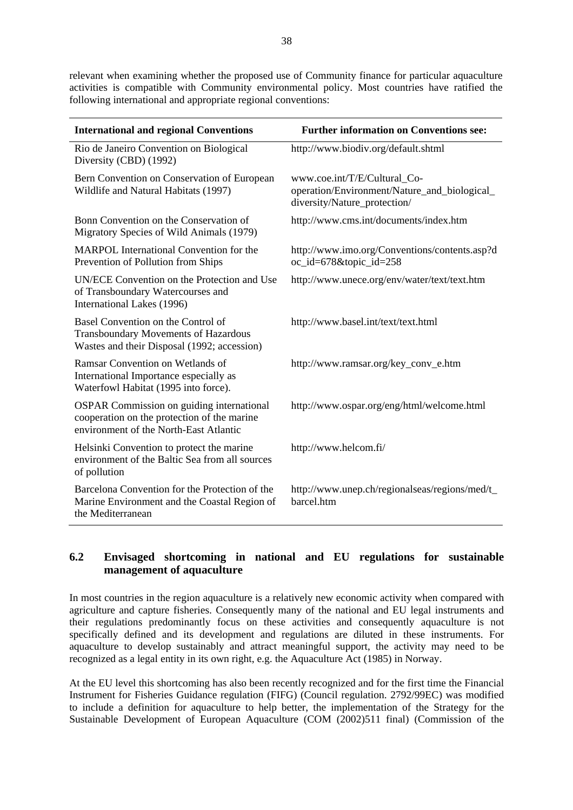relevant when examining whether the proposed use of Community finance for particular aquaculture activities is compatible with Community environmental policy. Most countries have ratified the following international and appropriate regional conventions:

| <b>International and regional Conventions</b>                                                                                             | <b>Further information on Conventions see:</b>                                                               |
|-------------------------------------------------------------------------------------------------------------------------------------------|--------------------------------------------------------------------------------------------------------------|
| Rio de Janeiro Convention on Biological<br>Diversity (CBD) (1992)                                                                         | http://www.biodiv.org/default.shtml                                                                          |
| Bern Convention on Conservation of European<br>Wildlife and Natural Habitats (1997)                                                       | www.coe.int/T/E/Cultural_Co-<br>operation/Environment/Nature_and_biological_<br>diversity/Nature_protection/ |
| Bonn Convention on the Conservation of<br>Migratory Species of Wild Animals (1979)                                                        | http://www.cms.int/documents/index.htm                                                                       |
| <b>MARPOL</b> International Convention for the<br>Prevention of Pollution from Ships                                                      | http://www.imo.org/Conventions/contents.asp?d<br>oc_id=678&topic_id=258                                      |
| UN/ECE Convention on the Protection and Use<br>of Transboundary Watercourses and<br>International Lakes (1996)                            | http://www.unece.org/env/water/text/text.htm                                                                 |
| Basel Convention on the Control of<br>Transboundary Movements of Hazardous<br>Wastes and their Disposal (1992; accession)                 | http://www.basel.int/text/text.html                                                                          |
| Ramsar Convention on Wetlands of<br>International Importance especially as<br>Waterfowl Habitat (1995 into force).                        | http://www.ramsar.org/key_conv_e.htm                                                                         |
| <b>OSPAR Commission on guiding international</b><br>cooperation on the protection of the marine<br>environment of the North-East Atlantic | http://www.ospar.org/eng/html/welcome.html                                                                   |
| Helsinki Convention to protect the marine<br>environment of the Baltic Sea from all sources<br>of pollution                               | http://www.helcom.fi/                                                                                        |
| Barcelona Convention for the Protection of the<br>Marine Environment and the Coastal Region of<br>the Mediterranean                       | http://www.unep.ch/regionalseas/regions/med/t_<br>barcel.htm                                                 |

# **6.2 Envisaged shortcoming in national and EU regulations for sustainable management of aquaculture**

In most countries in the region aquaculture is a relatively new economic activity when compared with agriculture and capture fisheries. Consequently many of the national and EU legal instruments and their regulations predominantly focus on these activities and consequently aquaculture is not specifically defined and its development and regulations are diluted in these instruments. For aquaculture to develop sustainably and attract meaningful support, the activity may need to be recognized as a legal entity in its own right, e.g. the Aquaculture Act (1985) in Norway.

At the EU level this shortcoming has also been recently recognized and for the first time the Financial Instrument for Fisheries Guidance regulation (FIFG) (Council regulation. 2792/99EC) was modified to include a definition for aquaculture to help better, the implementation of the Strategy for the Sustainable Development of European Aquaculture (COM (2002)511 final) (Commission of the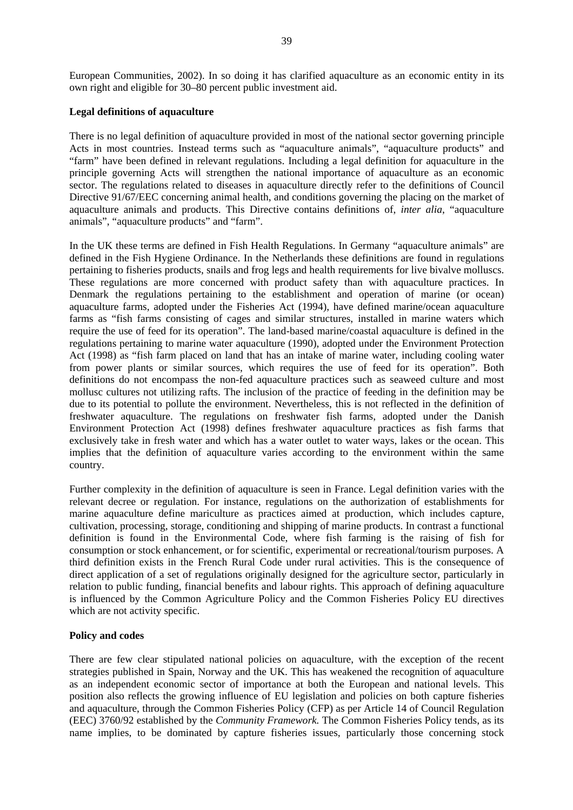European Communities, 2002). In so doing it has clarified aquaculture as an economic entity in its own right and eligible for 30–80 percent public investment aid.

#### **Legal definitions of aquaculture**

There is no legal definition of aquaculture provided in most of the national sector governing principle Acts in most countries. Instead terms such as "aquaculture animals", "aquaculture products" and "farm" have been defined in relevant regulations. Including a legal definition for aquaculture in the principle governing Acts will strengthen the national importance of aquaculture as an economic sector. The regulations related to diseases in aquaculture directly refer to the definitions of Council Directive 91/67/EEC concerning animal health, and conditions governing the placing on the market of aquaculture animals and products. This Directive contains definitions of, *inter alia*, "aquaculture animals", "aquaculture products" and "farm".

In the UK these terms are defined in Fish Health Regulations. In Germany "aquaculture animals" are defined in the Fish Hygiene Ordinance. In the Netherlands these definitions are found in regulations pertaining to fisheries products, snails and frog legs and health requirements for live bivalve molluscs. These regulations are more concerned with product safety than with aquaculture practices. In Denmark the regulations pertaining to the establishment and operation of marine (or ocean) aquaculture farms, adopted under the Fisheries Act (1994), have defined marine/ocean aquaculture farms as "fish farms consisting of cages and similar structures, installed in marine waters which require the use of feed for its operation". The land-based marine/coastal aquaculture is defined in the regulations pertaining to marine water aquaculture (1990), adopted under the Environment Protection Act (1998) as "fish farm placed on land that has an intake of marine water, including cooling water from power plants or similar sources, which requires the use of feed for its operation". Both definitions do not encompass the non-fed aquaculture practices such as seaweed culture and most mollusc cultures not utilizing rafts. The inclusion of the practice of feeding in the definition may be due to its potential to pollute the environment. Nevertheless, this is not reflected in the definition of freshwater aquaculture. The regulations on freshwater fish farms, adopted under the Danish Environment Protection Act (1998) defines freshwater aquaculture practices as fish farms that exclusively take in fresh water and which has a water outlet to water ways, lakes or the ocean. This implies that the definition of aquaculture varies according to the environment within the same country.

Further complexity in the definition of aquaculture is seen in France. Legal definition varies with the relevant decree or regulation. For instance, regulations on the authorization of establishments for marine aquaculture define mariculture as practices aimed at production, which includes capture, cultivation, processing, storage, conditioning and shipping of marine products. In contrast a functional definition is found in the Environmental Code, where fish farming is the raising of fish for consumption or stock enhancement, or for scientific, experimental or recreational/tourism purposes. A third definition exists in the French Rural Code under rural activities. This is the consequence of direct application of a set of regulations originally designed for the agriculture sector, particularly in relation to public funding, financial benefits and labour rights. This approach of defining aquaculture is influenced by the Common Agriculture Policy and the Common Fisheries Policy EU directives which are not activity specific.

#### **Policy and codes**

There are few clear stipulated national policies on aquaculture, with the exception of the recent strategies published in Spain, Norway and the UK. This has weakened the recognition of aquaculture as an independent economic sector of importance at both the European and national levels. This position also reflects the growing influence of EU legislation and policies on both capture fisheries and aquaculture, through the Common Fisheries Policy (CFP) as per Article 14 of Council Regulation (EEC) 3760/92 established by the *Community Framework.* The Common Fisheries Policy tends, as its name implies, to be dominated by capture fisheries issues, particularly those concerning stock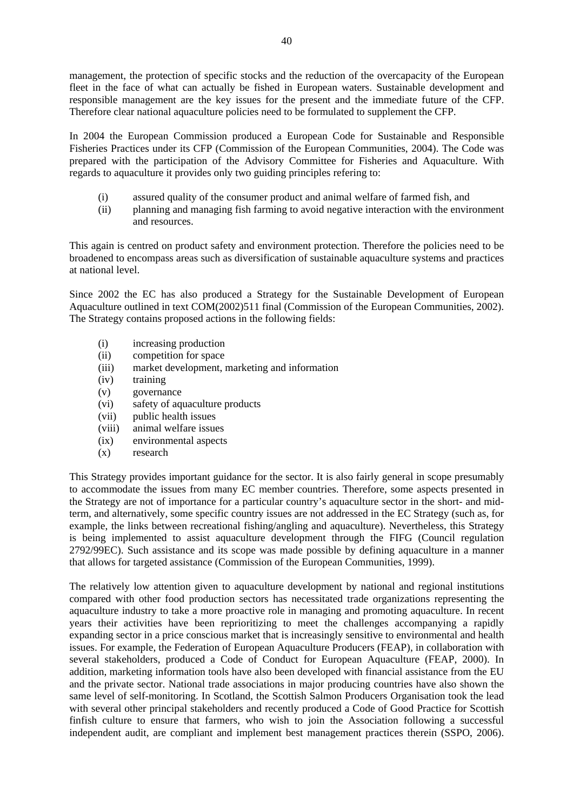management, the protection of specific stocks and the reduction of the overcapacity of the European fleet in the face of what can actually be fished in European waters. Sustainable development and responsible management are the key issues for the present and the immediate future of the CFP. Therefore clear national aquaculture policies need to be formulated to supplement the CFP.

In 2004 the European Commission produced a European Code for Sustainable and Responsible Fisheries Practices under its CFP (Commission of the European Communities, 2004). The Code was prepared with the participation of the Advisory Committee for Fisheries and Aquaculture. With regards to aquaculture it provides only two guiding principles refering to:

- (i) assured quality of the consumer product and animal welfare of farmed fish, and
- (ii) planning and managing fish farming to avoid negative interaction with the environment and resources.

This again is centred on product safety and environment protection. Therefore the policies need to be broadened to encompass areas such as diversification of sustainable aquaculture systems and practices at national level.

Since 2002 the EC has also produced a Strategy for the Sustainable Development of European Aquaculture outlined in text COM(2002)511 final (Commission of the European Communities, 2002). The Strategy contains proposed actions in the following fields:

- (i) increasing production
- (ii) competition for space
- (iii) market development, marketing and information
- (iv) training
- (v) governance
- (vi) safety of aquaculture products
- (vii) public health issues
- (viii) animal welfare issues
- (ix) environmental aspects
- (x) research

This Strategy provides important guidance for the sector. It is also fairly general in scope presumably to accommodate the issues from many EC member countries. Therefore, some aspects presented in the Strategy are not of importance for a particular country's aquaculture sector in the short- and midterm, and alternatively, some specific country issues are not addressed in the EC Strategy (such as, for example, the links between recreational fishing/angling and aquaculture). Nevertheless, this Strategy is being implemented to assist aquaculture development through the FIFG (Council regulation 2792/99EC). Such assistance and its scope was made possible by defining aquaculture in a manner that allows for targeted assistance (Commission of the European Communities, 1999).

The relatively low attention given to aquaculture development by national and regional institutions compared with other food production sectors has necessitated trade organizations representing the aquaculture industry to take a more proactive role in managing and promoting aquaculture. In recent years their activities have been reprioritizing to meet the challenges accompanying a rapidly expanding sector in a price conscious market that is increasingly sensitive to environmental and health issues. For example, the Federation of European Aquaculture Producers (FEAP), in collaboration with several stakeholders, produced a Code of Conduct for European Aquaculture (FEAP, 2000). In addition, marketing information tools have also been developed with financial assistance from the EU and the private sector. National trade associations in major producing countries have also shown the same level of self-monitoring. In Scotland, the Scottish Salmon Producers Organisation took the lead with several other principal stakeholders and recently produced a Code of Good Practice for Scottish finfish culture to ensure that farmers, who wish to join the Association following a successful independent audit, are compliant and implement best management practices therein (SSPO, 2006).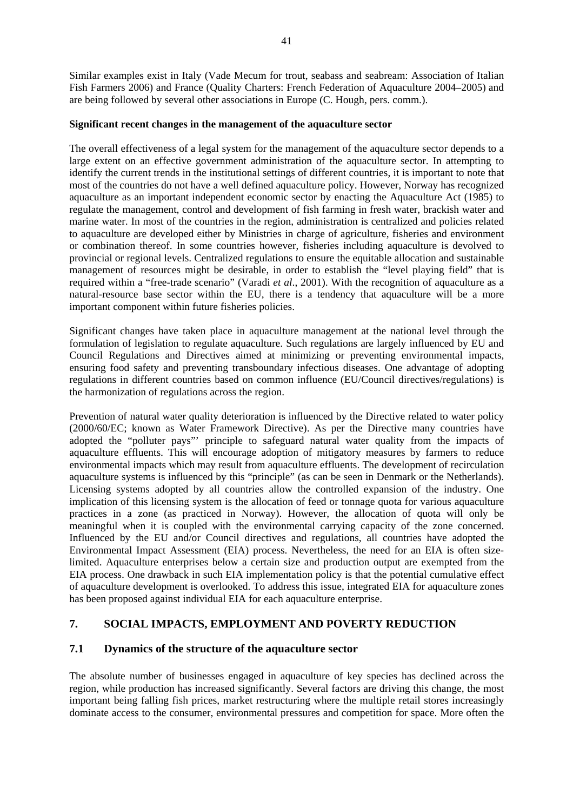Similar examples exist in Italy (Vade Mecum for trout, seabass and seabream: Association of Italian Fish Farmers 2006) and France (Quality Charters: French Federation of Aquaculture 2004–2005) and are being followed by several other associations in Europe (C. Hough, pers. comm.).

#### **Significant recent changes in the management of the aquaculture sector**

The overall effectiveness of a legal system for the management of the aquaculture sector depends to a large extent on an effective government administration of the aquaculture sector. In attempting to identify the current trends in the institutional settings of different countries, it is important to note that most of the countries do not have a well defined aquaculture policy. However, Norway has recognized aquaculture as an important independent economic sector by enacting the Aquaculture Act (1985) to regulate the management, control and development of fish farming in fresh water, brackish water and marine water. In most of the countries in the region, administration is centralized and policies related to aquaculture are developed either by Ministries in charge of agriculture, fisheries and environment or combination thereof. In some countries however, fisheries including aquaculture is devolved to provincial or regional levels. Centralized regulations to ensure the equitable allocation and sustainable management of resources might be desirable, in order to establish the "level playing field" that is required within a "free-trade scenario" (Varadi *et al*., 2001). With the recognition of aquaculture as a natural-resource base sector within the EU, there is a tendency that aquaculture will be a more important component within future fisheries policies.

Significant changes have taken place in aquaculture management at the national level through the formulation of legislation to regulate aquaculture. Such regulations are largely influenced by EU and Council Regulations and Directives aimed at minimizing or preventing environmental impacts, ensuring food safety and preventing transboundary infectious diseases. One advantage of adopting regulations in different countries based on common influence (EU/Council directives/regulations) is the harmonization of regulations across the region.

Prevention of natural water quality deterioration is influenced by the Directive related to water policy (2000/60/EC; known as Water Framework Directive). As per the Directive many countries have adopted the "polluter pays"' principle to safeguard natural water quality from the impacts of aquaculture effluents. This will encourage adoption of mitigatory measures by farmers to reduce environmental impacts which may result from aquaculture effluents. The development of recirculation aquaculture systems is influenced by this "principle" (as can be seen in Denmark or the Netherlands). Licensing systems adopted by all countries allow the controlled expansion of the industry. One implication of this licensing system is the allocation of feed or tonnage quota for various aquaculture practices in a zone (as practiced in Norway). However, the allocation of quota will only be meaningful when it is coupled with the environmental carrying capacity of the zone concerned. Influenced by the EU and/or Council directives and regulations, all countries have adopted the Environmental Impact Assessment (EIA) process. Nevertheless, the need for an EIA is often sizelimited. Aquaculture enterprises below a certain size and production output are exempted from the EIA process. One drawback in such EIA implementation policy is that the potential cumulative effect of aquaculture development is overlooked. To address this issue, integrated EIA for aquaculture zones has been proposed against individual EIA for each aquaculture enterprise.

# **7. SOCIAL IMPACTS, EMPLOYMENT AND POVERTY REDUCTION**

# **7.1 Dynamics of the structure of the aquaculture sector**

The absolute number of businesses engaged in aquaculture of key species has declined across the region, while production has increased significantly. Several factors are driving this change, the most important being falling fish prices, market restructuring where the multiple retail stores increasingly dominate access to the consumer, environmental pressures and competition for space. More often the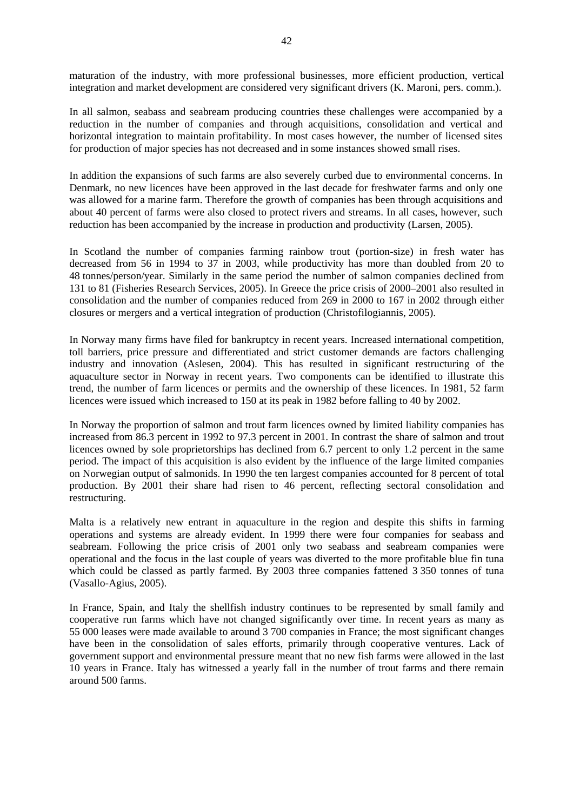maturation of the industry, with more professional businesses, more efficient production, vertical integration and market development are considered very significant drivers (K. Maroni, pers. comm.).

In all salmon, seabass and seabream producing countries these challenges were accompanied by a reduction in the number of companies and through acquisitions, consolidation and vertical and horizontal integration to maintain profitability. In most cases however, the number of licensed sites for production of major species has not decreased and in some instances showed small rises.

In addition the expansions of such farms are also severely curbed due to environmental concerns. In Denmark, no new licences have been approved in the last decade for freshwater farms and only one was allowed for a marine farm. Therefore the growth of companies has been through acquisitions and about 40 percent of farms were also closed to protect rivers and streams. In all cases, however, such reduction has been accompanied by the increase in production and productivity (Larsen, 2005).

In Scotland the number of companies farming rainbow trout (portion-size) in fresh water has decreased from 56 in 1994 to 37 in 2003, while productivity has more than doubled from 20 to 48 tonnes/person/year. Similarly in the same period the number of salmon companies declined from 131 to 81 (Fisheries Research Services, 2005). In Greece the price crisis of 2000–2001 also resulted in consolidation and the number of companies reduced from 269 in 2000 to 167 in 2002 through either closures or mergers and a vertical integration of production (Christofilogiannis, 2005).

In Norway many firms have filed for bankruptcy in recent years. Increased international competition, toll barriers, price pressure and differentiated and strict customer demands are factors challenging industry and innovation (Aslesen, 2004). This has resulted in significant restructuring of the aquaculture sector in Norway in recent years. Two components can be identified to illustrate this trend, the number of farm licences or permits and the ownership of these licences. In 1981, 52 farm licences were issued which increased to 150 at its peak in 1982 before falling to 40 by 2002.

In Norway the proportion of salmon and trout farm licences owned by limited liability companies has increased from 86.3 percent in 1992 to 97.3 percent in 2001. In contrast the share of salmon and trout licences owned by sole proprietorships has declined from 6.7 percent to only 1.2 percent in the same period. The impact of this acquisition is also evident by the influence of the large limited companies on Norwegian output of salmonids. In 1990 the ten largest companies accounted for 8 percent of total production. By 2001 their share had risen to 46 percent, reflecting sectoral consolidation and restructuring.

Malta is a relatively new entrant in aquaculture in the region and despite this shifts in farming operations and systems are already evident. In 1999 there were four companies for seabass and seabream. Following the price crisis of 2001 only two seabass and seabream companies were operational and the focus in the last couple of years was diverted to the more profitable blue fin tuna which could be classed as partly farmed. By 2003 three companies fattened 3 350 tonnes of tuna (Vasallo-Agius, 2005).

In France, Spain, and Italy the shellfish industry continues to be represented by small family and cooperative run farms which have not changed significantly over time. In recent years as many as 55 000 leases were made available to around 3 700 companies in France; the most significant changes have been in the consolidation of sales efforts, primarily through cooperative ventures. Lack of government support and environmental pressure meant that no new fish farms were allowed in the last 10 years in France. Italy has witnessed a yearly fall in the number of trout farms and there remain around 500 farms.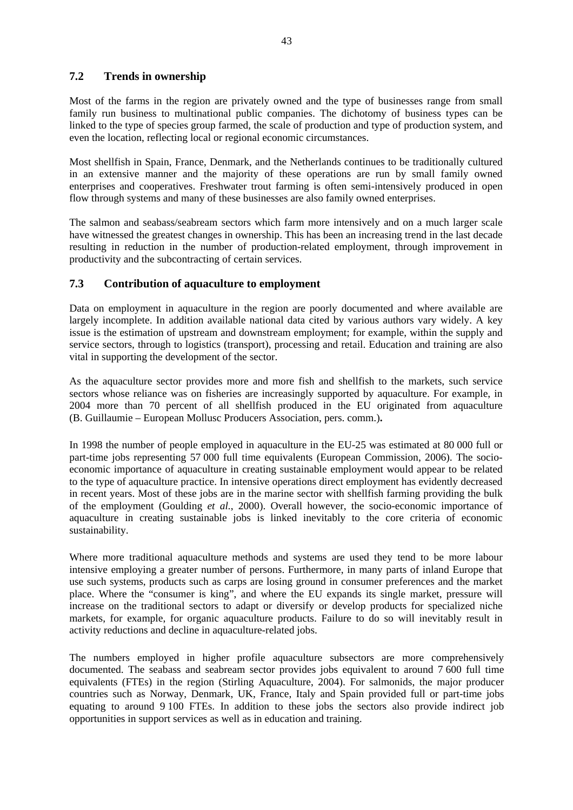# **7.2 Trends in ownership**

Most of the farms in the region are privately owned and the type of businesses range from small family run business to multinational public companies. The dichotomy of business types can be linked to the type of species group farmed, the scale of production and type of production system, and even the location, reflecting local or regional economic circumstances.

Most shellfish in Spain, France, Denmark, and the Netherlands continues to be traditionally cultured in an extensive manner and the majority of these operations are run by small family owned enterprises and cooperatives. Freshwater trout farming is often semi-intensively produced in open flow through systems and many of these businesses are also family owned enterprises.

The salmon and seabass/seabream sectors which farm more intensively and on a much larger scale have witnessed the greatest changes in ownership. This has been an increasing trend in the last decade resulting in reduction in the number of production-related employment, through improvement in productivity and the subcontracting of certain services.

### **7.3 Contribution of aquaculture to employment**

Data on employment in aquaculture in the region are poorly documented and where available are largely incomplete. In addition available national data cited by various authors vary widely. A key issue is the estimation of upstream and downstream employment; for example, within the supply and service sectors, through to logistics (transport), processing and retail. Education and training are also vital in supporting the development of the sector.

As the aquaculture sector provides more and more fish and shellfish to the markets, such service sectors whose reliance was on fisheries are increasingly supported by aquaculture. For example, in 2004 more than 70 percent of all shellfish produced in the EU originated from aquaculture (B. Guillaumie – European Mollusc Producers Association, pers. comm.)**.** 

In 1998 the number of people employed in aquaculture in the EU-25 was estimated at 80 000 full or part-time jobs representing 57 000 full time equivalents (European Commission, 2006). The socioeconomic importance of aquaculture in creating sustainable employment would appear to be related to the type of aquaculture practice. In intensive operations direct employment has evidently decreased in recent years. Most of these jobs are in the marine sector with shellfish farming providing the bulk of the employment (Goulding *et al.*, 2000). Overall however, the socio-economic importance of aquaculture in creating sustainable jobs is linked inevitably to the core criteria of economic sustainability.

Where more traditional aquaculture methods and systems are used they tend to be more labour intensive employing a greater number of persons. Furthermore, in many parts of inland Europe that use such systems, products such as carps are losing ground in consumer preferences and the market place. Where the "consumer is king", and where the EU expands its single market, pressure will increase on the traditional sectors to adapt or diversify or develop products for specialized niche markets, for example, for organic aquaculture products. Failure to do so will inevitably result in activity reductions and decline in aquaculture-related jobs.

The numbers employed in higher profile aquaculture subsectors are more comprehensively documented. The seabass and seabream sector provides jobs equivalent to around 7 600 full time equivalents (FTEs) in the region (Stirling Aquaculture, 2004). For salmonids, the major producer countries such as Norway, Denmark, UK, France, Italy and Spain provided full or part-time jobs equating to around 9 100 FTEs. In addition to these jobs the sectors also provide indirect job opportunities in support services as well as in education and training.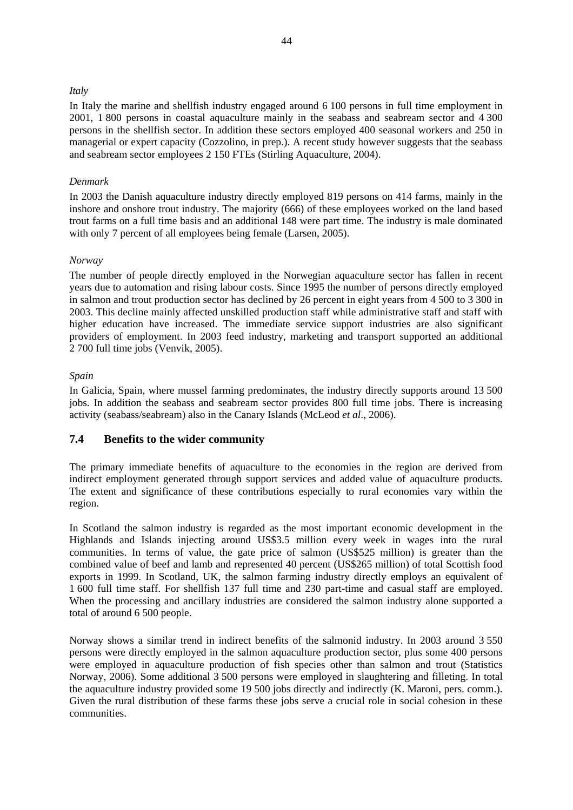#### *Italy*

In Italy the marine and shellfish industry engaged around 6 100 persons in full time employment in 2001, 1 800 persons in coastal aquaculture mainly in the seabass and seabream sector and 4 300 persons in the shellfish sector. In addition these sectors employed 400 seasonal workers and 250 in managerial or expert capacity (Cozzolino, in prep.). A recent study however suggests that the seabass and seabream sector employees 2 150 FTEs (Stirling Aquaculture, 2004).

#### *Denmark*

In 2003 the Danish aquaculture industry directly employed 819 persons on 414 farms, mainly in the inshore and onshore trout industry. The majority (666) of these employees worked on the land based trout farms on a full time basis and an additional 148 were part time. The industry is male dominated with only 7 percent of all employees being female (Larsen, 2005).

#### *Norway*

The number of people directly employed in the Norwegian aquaculture sector has fallen in recent years due to automation and rising labour costs. Since 1995 the number of persons directly employed in salmon and trout production sector has declined by 26 percent in eight years from 4 500 to 3 300 in 2003. This decline mainly affected unskilled production staff while administrative staff and staff with higher education have increased. The immediate service support industries are also significant providers of employment. In 2003 feed industry, marketing and transport supported an additional 2 700 full time jobs (Venvik, 2005).

#### *Spain*

In Galicia, Spain, where mussel farming predominates, the industry directly supports around 13 500 jobs. In addition the seabass and seabream sector provides 800 full time jobs. There is increasing activity (seabass/seabream) also in the Canary Islands (McLeod *et al*., 2006).

# **7.4 Benefits to the wider community**

The primary immediate benefits of aquaculture to the economies in the region are derived from indirect employment generated through support services and added value of aquaculture products. The extent and significance of these contributions especially to rural economies vary within the region.

In Scotland the salmon industry is regarded as the most important economic development in the Highlands and Islands injecting around US\$3.5 million every week in wages into the rural communities. In terms of value, the gate price of salmon (US\$525 million) is greater than the combined value of beef and lamb and represented 40 percent (US\$265 million) of total Scottish food exports in 1999. In Scotland, UK, the salmon farming industry directly employs an equivalent of 1 600 full time staff. For shellfish 137 full time and 230 part-time and casual staff are employed. When the processing and ancillary industries are considered the salmon industry alone supported a total of around 6 500 people.

Norway shows a similar trend in indirect benefits of the salmonid industry. In 2003 around 3 550 persons were directly employed in the salmon aquaculture production sector, plus some 400 persons were employed in aquaculture production of fish species other than salmon and trout (Statistics Norway, 2006). Some additional 3 500 persons were employed in slaughtering and filleting. In total the aquaculture industry provided some 19 500 jobs directly and indirectly (K. Maroni, pers. comm.). Given the rural distribution of these farms these jobs serve a crucial role in social cohesion in these communities.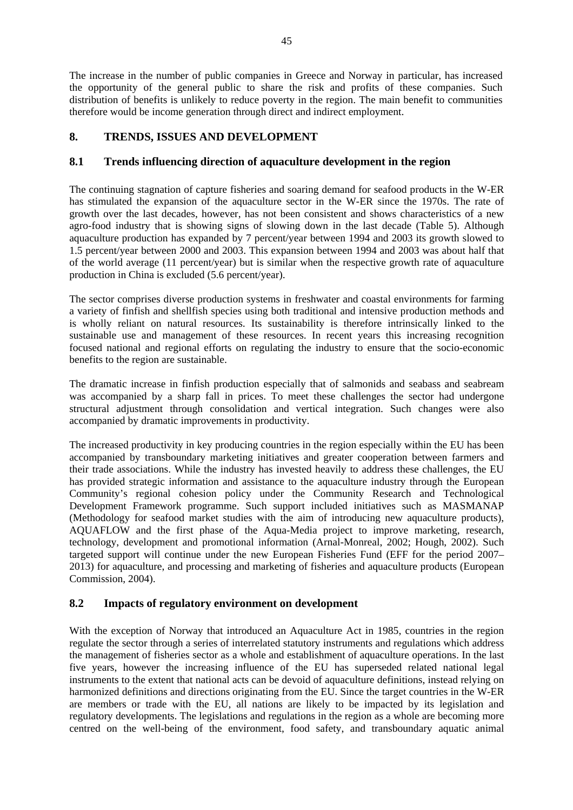The increase in the number of public companies in Greece and Norway in particular, has increased the opportunity of the general public to share the risk and profits of these companies. Such distribution of benefits is unlikely to reduce poverty in the region. The main benefit to communities therefore would be income generation through direct and indirect employment.

# **8. TRENDS, ISSUES AND DEVELOPMENT**

# **8.1 Trends influencing direction of aquaculture development in the region**

The continuing stagnation of capture fisheries and soaring demand for seafood products in the W-ER has stimulated the expansion of the aquaculture sector in the W-ER since the 1970s. The rate of growth over the last decades, however, has not been consistent and shows characteristics of a new agro-food industry that is showing signs of slowing down in the last decade (Table 5). Although aquaculture production has expanded by 7 percent/year between 1994 and 2003 its growth slowed to 1.5 percent/year between 2000 and 2003. This expansion between 1994 and 2003 was about half that of the world average (11 percent/year) but is similar when the respective growth rate of aquaculture production in China is excluded (5.6 percent/year).

The sector comprises diverse production systems in freshwater and coastal environments for farming a variety of finfish and shellfish species using both traditional and intensive production methods and is wholly reliant on natural resources. Its sustainability is therefore intrinsically linked to the sustainable use and management of these resources. In recent years this increasing recognition focused national and regional efforts on regulating the industry to ensure that the socio-economic benefits to the region are sustainable.

The dramatic increase in finfish production especially that of salmonids and seabass and seabream was accompanied by a sharp fall in prices. To meet these challenges the sector had undergone structural adjustment through consolidation and vertical integration. Such changes were also accompanied by dramatic improvements in productivity.

The increased productivity in key producing countries in the region especially within the EU has been accompanied by transboundary marketing initiatives and greater cooperation between farmers and their trade associations. While the industry has invested heavily to address these challenges, the EU has provided strategic information and assistance to the aquaculture industry through the European Community's regional cohesion policy under the Community Research and Technological Development Framework programme. Such support included initiatives such as MASMANAP (Methodology for seafood market studies with the aim of introducing new aquaculture products), AQUAFLOW and the first phase of the Aqua-Media project to improve marketing, research, technology, development and promotional information (Arnal-Monreal, 2002; Hough, 2002). Such targeted support will continue under the new European Fisheries Fund (EFF for the period 2007– 2013) for aquaculture, and processing and marketing of fisheries and aquaculture products (European Commission, 2004).

# **8.2 Impacts of regulatory environment on development**

With the exception of Norway that introduced an Aquaculture Act in 1985, countries in the region regulate the sector through a series of interrelated statutory instruments and regulations which address the management of fisheries sector as a whole and establishment of aquaculture operations. In the last five years, however the increasing influence of the EU has superseded related national legal instruments to the extent that national acts can be devoid of aquaculture definitions, instead relying on harmonized definitions and directions originating from the EU. Since the target countries in the W-ER are members or trade with the EU, all nations are likely to be impacted by its legislation and regulatory developments. The legislations and regulations in the region as a whole are becoming more centred on the well-being of the environment, food safety, and transboundary aquatic animal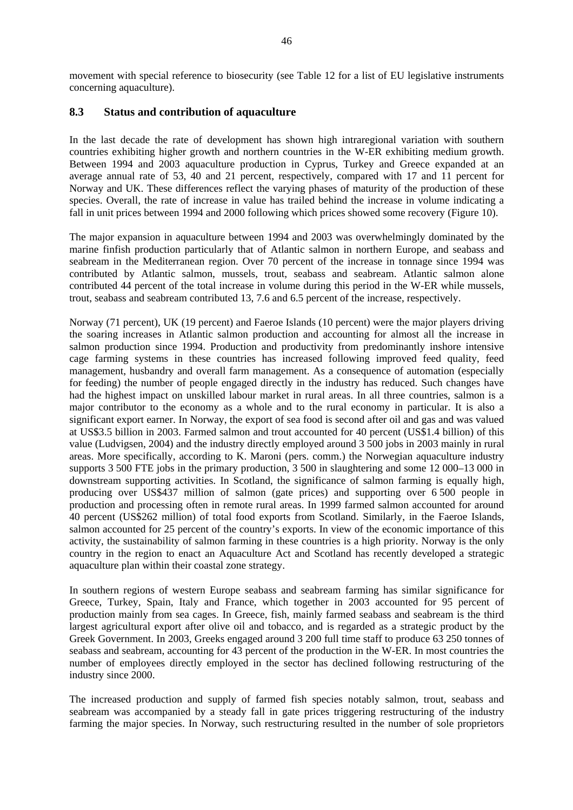movement with special reference to biosecurity (see Table 12 for a list of EU legislative instruments concerning aquaculture).

#### **8.3 Status and contribution of aquaculture**

In the last decade the rate of development has shown high intraregional variation with southern countries exhibiting higher growth and northern countries in the W-ER exhibiting medium growth. Between 1994 and 2003 aquaculture production in Cyprus, Turkey and Greece expanded at an average annual rate of 53, 40 and 21 percent, respectively, compared with 17 and 11 percent for Norway and UK. These differences reflect the varying phases of maturity of the production of these species. Overall, the rate of increase in value has trailed behind the increase in volume indicating a fall in unit prices between 1994 and 2000 following which prices showed some recovery (Figure 10).

The major expansion in aquaculture between 1994 and 2003 was overwhelmingly dominated by the marine finfish production particularly that of Atlantic salmon in northern Europe, and seabass and seabream in the Mediterranean region. Over 70 percent of the increase in tonnage since 1994 was contributed by Atlantic salmon, mussels, trout, seabass and seabream. Atlantic salmon alone contributed 44 percent of the total increase in volume during this period in the W-ER while mussels, trout, seabass and seabream contributed 13, 7.6 and 6.5 percent of the increase, respectively.

Norway (71 percent), UK (19 percent) and Faeroe Islands (10 percent) were the major players driving the soaring increases in Atlantic salmon production and accounting for almost all the increase in salmon production since 1994. Production and productivity from predominantly inshore intensive cage farming systems in these countries has increased following improved feed quality, feed management, husbandry and overall farm management. As a consequence of automation (especially for feeding) the number of people engaged directly in the industry has reduced. Such changes have had the highest impact on unskilled labour market in rural areas. In all three countries, salmon is a major contributor to the economy as a whole and to the rural economy in particular. It is also a significant export earner. In Norway, the export of sea food is second after oil and gas and was valued at US\$3.5 billion in 2003. Farmed salmon and trout accounted for 40 percent (US\$1.4 billion) of this value (Ludvigsen, 2004) and the industry directly employed around 3 500 jobs in 2003 mainly in rural areas. More specifically, according to K. Maroni (pers. comm.) the Norwegian aquaculture industry supports 3 500 FTE jobs in the primary production, 3 500 in slaughtering and some 12 000–13 000 in downstream supporting activities. In Scotland, the significance of salmon farming is equally high, producing over US\$437 million of salmon (gate prices) and supporting over 6 500 people in production and processing often in remote rural areas. In 1999 farmed salmon accounted for around 40 percent (US\$262 million) of total food exports from Scotland. Similarly, in the Faeroe Islands, salmon accounted for 25 percent of the country's exports. In view of the economic importance of this activity, the sustainability of salmon farming in these countries is a high priority. Norway is the only country in the region to enact an Aquaculture Act and Scotland has recently developed a strategic aquaculture plan within their coastal zone strategy.

In southern regions of western Europe seabass and seabream farming has similar significance for Greece, Turkey, Spain, Italy and France, which together in 2003 accounted for 95 percent of production mainly from sea cages. In Greece, fish, mainly farmed seabass and seabream is the third largest agricultural export after olive oil and tobacco, and is regarded as a strategic product by the Greek Government. In 2003, Greeks engaged around 3 200 full time staff to produce 63 250 tonnes of seabass and seabream, accounting for 43 percent of the production in the W-ER. In most countries the number of employees directly employed in the sector has declined following restructuring of the industry since 2000.

The increased production and supply of farmed fish species notably salmon, trout, seabass and seabream was accompanied by a steady fall in gate prices triggering restructuring of the industry farming the major species. In Norway, such restructuring resulted in the number of sole proprietors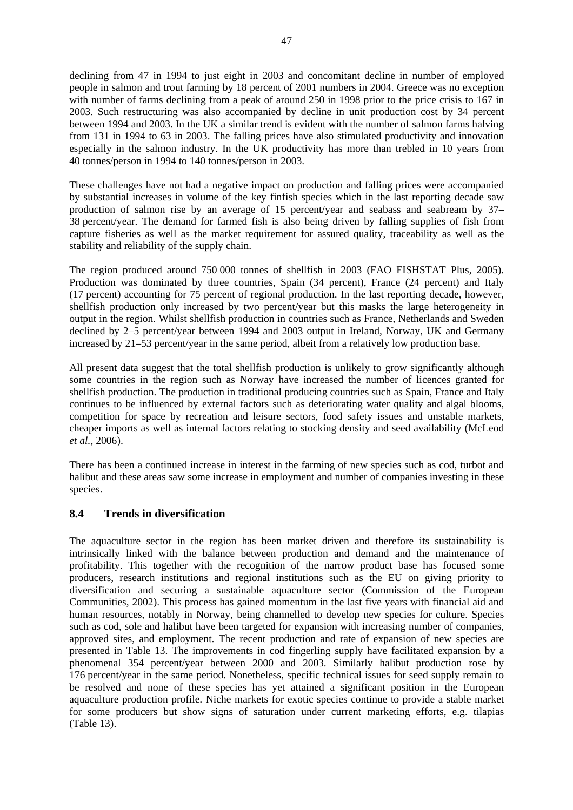declining from 47 in 1994 to just eight in 2003 and concomitant decline in number of employed people in salmon and trout farming by 18 percent of 2001 numbers in 2004. Greece was no exception with number of farms declining from a peak of around 250 in 1998 prior to the price crisis to 167 in 2003. Such restructuring was also accompanied by decline in unit production cost by 34 percent between 1994 and 2003. In the UK a similar trend is evident with the number of salmon farms halving from 131 in 1994 to 63 in 2003. The falling prices have also stimulated productivity and innovation especially in the salmon industry. In the UK productivity has more than trebled in 10 years from 40 tonnes/person in 1994 to 140 tonnes/person in 2003.

These challenges have not had a negative impact on production and falling prices were accompanied by substantial increases in volume of the key finfish species which in the last reporting decade saw production of salmon rise by an average of 15 percent/year and seabass and seabream by 37– 38 percent/year. The demand for farmed fish is also being driven by falling supplies of fish from capture fisheries as well as the market requirement for assured quality, traceability as well as the stability and reliability of the supply chain.

The region produced around 750 000 tonnes of shellfish in 2003 (FAO FISHSTAT Plus, 2005). Production was dominated by three countries, Spain (34 percent), France (24 percent) and Italy (17 percent) accounting for 75 percent of regional production. In the last reporting decade, however, shellfish production only increased by two percent/year but this masks the large heterogeneity in output in the region. Whilst shellfish production in countries such as France, Netherlands and Sweden declined by 2–5 percent/year between 1994 and 2003 output in Ireland, Norway, UK and Germany increased by 21–53 percent/year in the same period, albeit from a relatively low production base.

All present data suggest that the total shellfish production is unlikely to grow significantly although some countries in the region such as Norway have increased the number of licences granted for shellfish production. The production in traditional producing countries such as Spain, France and Italy continues to be influenced by external factors such as deteriorating water quality and algal blooms, competition for space by recreation and leisure sectors, food safety issues and unstable markets, cheaper imports as well as internal factors relating to stocking density and seed availability (McLeod *et al.,* 2006).

There has been a continued increase in interest in the farming of new species such as cod, turbot and halibut and these areas saw some increase in employment and number of companies investing in these species.

# **8.4 Trends in diversification**

The aquaculture sector in the region has been market driven and therefore its sustainability is intrinsically linked with the balance between production and demand and the maintenance of profitability. This together with the recognition of the narrow product base has focused some producers, research institutions and regional institutions such as the EU on giving priority to diversification and securing a sustainable aquaculture sector (Commission of the European Communities, 2002). This process has gained momentum in the last five years with financial aid and human resources, notably in Norway, being channelled to develop new species for culture. Species such as cod, sole and halibut have been targeted for expansion with increasing number of companies, approved sites, and employment. The recent production and rate of expansion of new species are presented in Table 13. The improvements in cod fingerling supply have facilitated expansion by a phenomenal 354 percent/year between 2000 and 2003. Similarly halibut production rose by 176 percent/year in the same period. Nonetheless, specific technical issues for seed supply remain to be resolved and none of these species has yet attained a significant position in the European aquaculture production profile. Niche markets for exotic species continue to provide a stable market for some producers but show signs of saturation under current marketing efforts, e.g. tilapias (Table 13).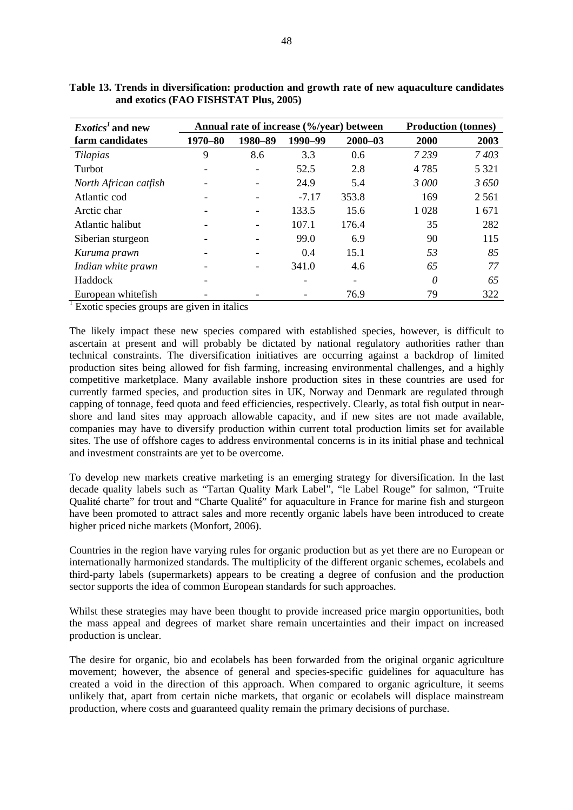| $Exotics1$ and new    |         | Annual rate of increase (%/year) between | <b>Production (tonnes)</b> |             |         |         |
|-----------------------|---------|------------------------------------------|----------------------------|-------------|---------|---------|
| farm candidates       | 1970-80 | 1980-89                                  | 1990-99                    | $2000 - 03$ | 2000    | 2003    |
| Tilapias              | 9       | 8.6                                      | 3.3                        | 0.6         | 7239    | 7403    |
| Turbot                |         |                                          | 52.5                       | 2.8         | 4785    | 5 3 2 1 |
| North African catfish |         |                                          | 24.9                       | 5.4         | 3 000   | 3650    |
| Atlantic cod          | ۳       |                                          | $-7.17$                    | 353.8       | 169     | 2 5 6 1 |
| Arctic char           |         | -                                        | 133.5                      | 15.6        | 1 0 2 8 | 1671    |
| Atlantic halibut      |         |                                          | 107.1                      | 176.4       | 35      | 282     |
| Siberian sturgeon     |         |                                          | 99.0                       | 6.9         | 90      | 115     |
| Kuruma prawn          |         |                                          | 0.4                        | 15.1        | 53      | 85      |
| Indian white prawn    |         |                                          | 341.0                      | 4.6         | 65      | 77      |
| Haddock               |         |                                          |                            |             | 0       | 65      |
| European whitefish    |         |                                          |                            | 76.9        | 79      | 322     |

| Table 13. Trends in diversification: production and growth rate of new aquaculture candidates |  |
|-----------------------------------------------------------------------------------------------|--|
| and exotics (FAO FISHSTAT Plus, 2005)                                                         |  |

<sup>1</sup> Exotic species groups are given in italics

The likely impact these new species compared with established species, however, is difficult to ascertain at present and will probably be dictated by national regulatory authorities rather than technical constraints. The diversification initiatives are occurring against a backdrop of limited production sites being allowed for fish farming, increasing environmental challenges, and a highly competitive marketplace. Many available inshore production sites in these countries are used for currently farmed species, and production sites in UK, Norway and Denmark are regulated through capping of tonnage, feed quota and feed efficiencies, respectively. Clearly, as total fish output in nearshore and land sites may approach allowable capacity, and if new sites are not made available, companies may have to diversify production within current total production limits set for available sites. The use of offshore cages to address environmental concerns is in its initial phase and technical and investment constraints are yet to be overcome.

To develop new markets creative marketing is an emerging strategy for diversification. In the last decade quality labels such as "Tartan Quality Mark Label", "le Label Rouge" for salmon, "Truite Qualité charte" for trout and "Charte Qualité" for aquaculture in France for marine fish and sturgeon have been promoted to attract sales and more recently organic labels have been introduced to create higher priced niche markets (Monfort, 2006).

Countries in the region have varying rules for organic production but as yet there are no European or internationally harmonized standards. The multiplicity of the different organic schemes, ecolabels and third-party labels (supermarkets) appears to be creating a degree of confusion and the production sector supports the idea of common European standards for such approaches.

Whilst these strategies may have been thought to provide increased price margin opportunities, both the mass appeal and degrees of market share remain uncertainties and their impact on increased production is unclear.

The desire for organic, bio and ecolabels has been forwarded from the original organic agriculture movement; however, the absence of general and species-specific guidelines for aquaculture has created a void in the direction of this approach. When compared to organic agriculture, it seems unlikely that, apart from certain niche markets, that organic or ecolabels will displace mainstream production, where costs and guaranteed quality remain the primary decisions of purchase.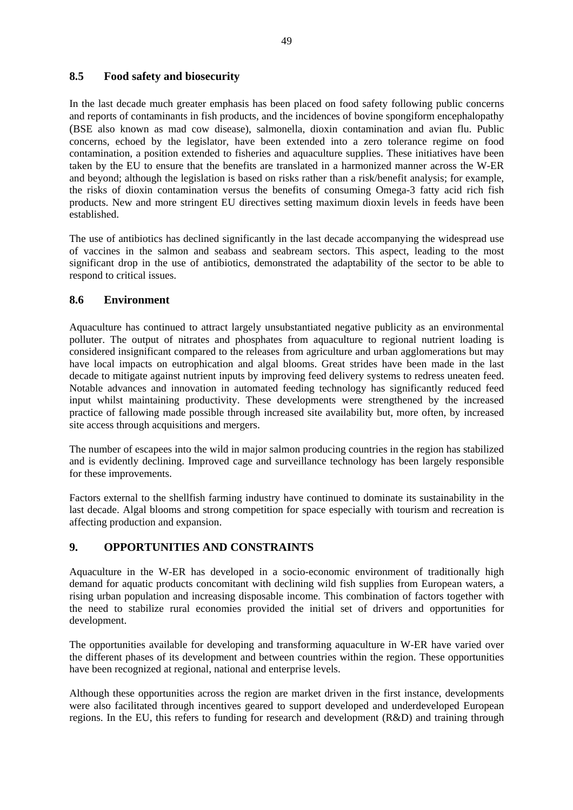# **8.5 Food safety and biosecurity**

In the last decade much greater emphasis has been placed on food safety following public concerns and reports of contaminants in fish products, and the incidences of bovine spongiform encephalopathy (BSE also known as mad cow disease), salmonella, dioxin contamination and avian flu. Public concerns, echoed by the legislator, have been extended into a zero tolerance regime on food contamination, a position extended to fisheries and aquaculture supplies. These initiatives have been taken by the EU to ensure that the benefits are translated in a harmonized manner across the W-ER and beyond; although the legislation is based on risks rather than a risk/benefit analysis; for example, the risks of dioxin contamination versus the benefits of consuming Omega-3 fatty acid rich fish products. New and more stringent EU directives setting maximum dioxin levels in feeds have been established.

The use of antibiotics has declined significantly in the last decade accompanying the widespread use of vaccines in the salmon and seabass and seabream sectors. This aspect, leading to the most significant drop in the use of antibiotics, demonstrated the adaptability of the sector to be able to respond to critical issues.

### **8.6 Environment**

Aquaculture has continued to attract largely unsubstantiated negative publicity as an environmental polluter. The output of nitrates and phosphates from aquaculture to regional nutrient loading is considered insignificant compared to the releases from agriculture and urban agglomerations but may have local impacts on eutrophication and algal blooms. Great strides have been made in the last decade to mitigate against nutrient inputs by improving feed delivery systems to redress uneaten feed. Notable advances and innovation in automated feeding technology has significantly reduced feed input whilst maintaining productivity. These developments were strengthened by the increased practice of fallowing made possible through increased site availability but, more often, by increased site access through acquisitions and mergers.

The number of escapees into the wild in major salmon producing countries in the region has stabilized and is evidently declining. Improved cage and surveillance technology has been largely responsible for these improvements.

Factors external to the shellfish farming industry have continued to dominate its sustainability in the last decade. Algal blooms and strong competition for space especially with tourism and recreation is affecting production and expansion.

# **9. OPPORTUNITIES AND CONSTRAINTS**

Aquaculture in the W-ER has developed in a socio-economic environment of traditionally high demand for aquatic products concomitant with declining wild fish supplies from European waters, a rising urban population and increasing disposable income. This combination of factors together with the need to stabilize rural economies provided the initial set of drivers and opportunities for development.

The opportunities available for developing and transforming aquaculture in W-ER have varied over the different phases of its development and between countries within the region. These opportunities have been recognized at regional, national and enterprise levels.

Although these opportunities across the region are market driven in the first instance, developments were also facilitated through incentives geared to support developed and underdeveloped European regions. In the EU, this refers to funding for research and development (R&D) and training through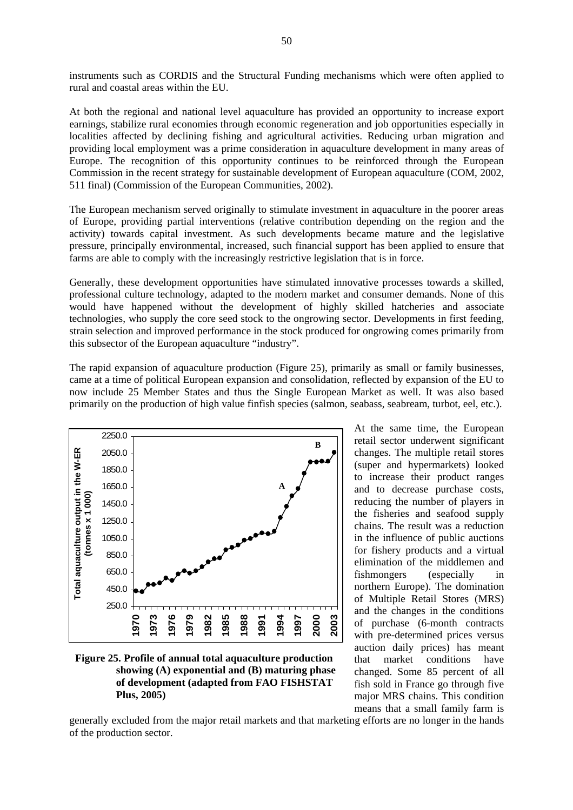instruments such as CORDIS and the Structural Funding mechanisms which were often applied to rural and coastal areas within the EU.

At both the regional and national level aquaculture has provided an opportunity to increase export earnings, stabilize rural economies through economic regeneration and job opportunities especially in localities affected by declining fishing and agricultural activities. Reducing urban migration and providing local employment was a prime consideration in aquaculture development in many areas of Europe. The recognition of this opportunity continues to be reinforced through the European Commission in the recent strategy for sustainable development of European aquaculture (COM, 2002, 511 final) (Commission of the European Communities, 2002).

The European mechanism served originally to stimulate investment in aquaculture in the poorer areas of Europe, providing partial interventions (relative contribution depending on the region and the activity) towards capital investment. As such developments became mature and the legislative pressure, principally environmental, increased, such financial support has been applied to ensure that farms are able to comply with the increasingly restrictive legislation that is in force.

Generally, these development opportunities have stimulated innovative processes towards a skilled, professional culture technology, adapted to the modern market and consumer demands. None of this would have happened without the development of highly skilled hatcheries and associate technologies, who supply the core seed stock to the ongrowing sector. Developments in first feeding, strain selection and improved performance in the stock produced for ongrowing comes primarily from this subsector of the European aquaculture "industry".

The rapid expansion of aquaculture production (Figure 25), primarily as small or family businesses, came at a time of political European expansion and consolidation, reflected by expansion of the EU to now include 25 Member States and thus the Single European Market as well. It was also based primarily on the production of high value finfish species (salmon, seabass, seabream, turbot, eel, etc.).



**Figure 25. Profile of annual total aquaculture production showing (A) exponential and (B) maturing phase of development (adapted from FAO FISHSTAT Plus, 2005)** 

At the same time, the European retail sector underwent significant changes. The multiple retail stores (super and hypermarkets) looked to increase their product ranges and to decrease purchase costs, reducing the number of players in the fisheries and seafood supply chains. The result was a reduction in the influence of public auctions for fishery products and a virtual elimination of the middlemen and fishmongers (especially in northern Europe). The domination of Multiple Retail Stores (MRS) and the changes in the conditions of purchase (6-month contracts with pre-determined prices versus auction daily prices) has meant that market conditions have changed. Some 85 percent of all fish sold in France go through five major MRS chains. This condition means that a small family farm is

generally excluded from the major retail markets and that marketing efforts are no longer in the hands of the production sector.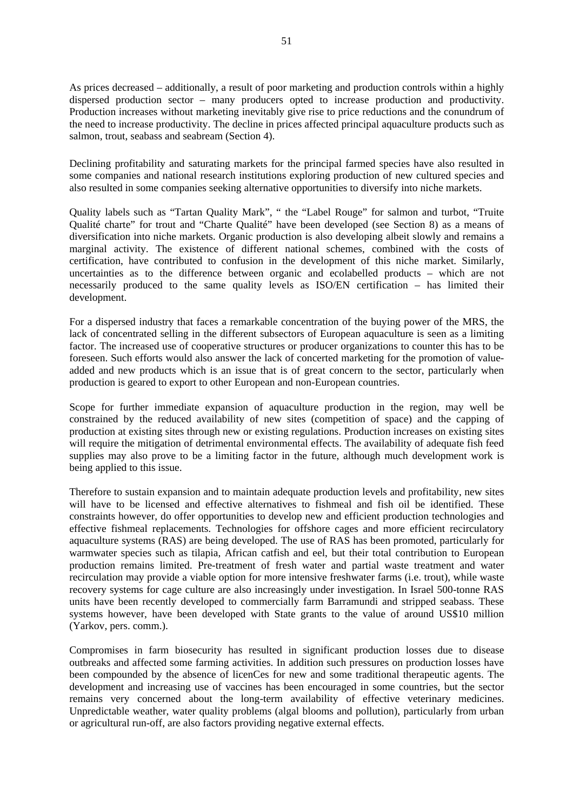As prices decreased – additionally, a result of poor marketing and production controls within a highly dispersed production sector – many producers opted to increase production and productivity. Production increases without marketing inevitably give rise to price reductions and the conundrum of the need to increase productivity. The decline in prices affected principal aquaculture products such as salmon, trout, seabass and seabream (Section 4).

Declining profitability and saturating markets for the principal farmed species have also resulted in some companies and national research institutions exploring production of new cultured species and also resulted in some companies seeking alternative opportunities to diversify into niche markets.

Quality labels such as "Tartan Quality Mark", " the "Label Rouge" for salmon and turbot, "Truite Qualité charte" for trout and "Charte Qualité" have been developed (see Section 8) as a means of diversification into niche markets. Organic production is also developing albeit slowly and remains a marginal activity. The existence of different national schemes, combined with the costs of certification, have contributed to confusion in the development of this niche market. Similarly, uncertainties as to the difference between organic and ecolabelled products – which are not necessarily produced to the same quality levels as ISO/EN certification – has limited their development.

For a dispersed industry that faces a remarkable concentration of the buying power of the MRS, the lack of concentrated selling in the different subsectors of European aquaculture is seen as a limiting factor. The increased use of cooperative structures or producer organizations to counter this has to be foreseen. Such efforts would also answer the lack of concerted marketing for the promotion of valueadded and new products which is an issue that is of great concern to the sector, particularly when production is geared to export to other European and non-European countries.

Scope for further immediate expansion of aquaculture production in the region, may well be constrained by the reduced availability of new sites (competition of space) and the capping of production at existing sites through new or existing regulations. Production increases on existing sites will require the mitigation of detrimental environmental effects. The availability of adequate fish feed supplies may also prove to be a limiting factor in the future, although much development work is being applied to this issue.

Therefore to sustain expansion and to maintain adequate production levels and profitability, new sites will have to be licensed and effective alternatives to fishmeal and fish oil be identified. These constraints however, do offer opportunities to develop new and efficient production technologies and effective fishmeal replacements. Technologies for offshore cages and more efficient recirculatory aquaculture systems (RAS) are being developed. The use of RAS has been promoted, particularly for warmwater species such as tilapia, African catfish and eel, but their total contribution to European production remains limited. Pre-treatment of fresh water and partial waste treatment and water recirculation may provide a viable option for more intensive freshwater farms (i.e. trout), while waste recovery systems for cage culture are also increasingly under investigation. In Israel 500-tonne RAS units have been recently developed to commercially farm Barramundi and stripped seabass. These systems however, have been developed with State grants to the value of around US\$10 million (Yarkov, pers. comm.).

Compromises in farm biosecurity has resulted in significant production losses due to disease outbreaks and affected some farming activities. In addition such pressures on production losses have been compounded by the absence of licenCes for new and some traditional therapeutic agents. The development and increasing use of vaccines has been encouraged in some countries, but the sector remains very concerned about the long-term availability of effective veterinary medicines. Unpredictable weather, water quality problems (algal blooms and pollution), particularly from urban or agricultural run-off, are also factors providing negative external effects.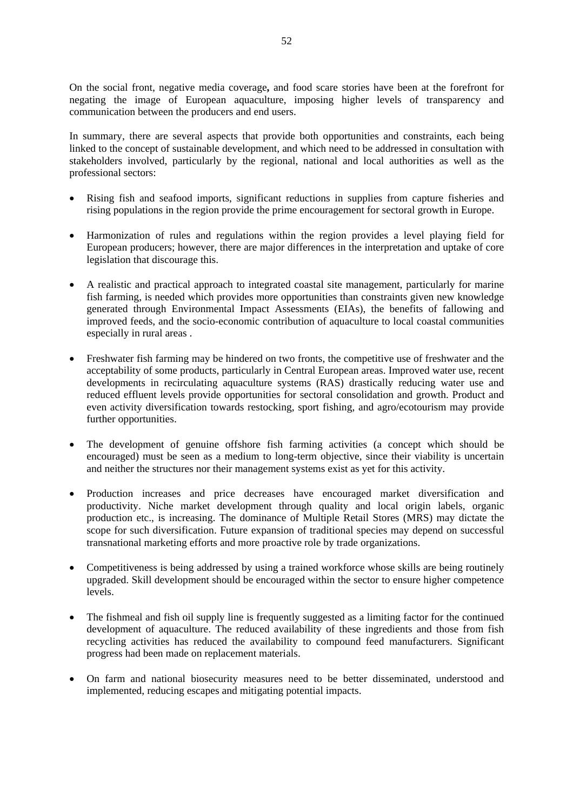On the social front, negative media coverage**,** and food scare stories have been at the forefront for negating the image of European aquaculture, imposing higher levels of transparency and communication between the producers and end users.

In summary, there are several aspects that provide both opportunities and constraints, each being linked to the concept of sustainable development, and which need to be addressed in consultation with stakeholders involved, particularly by the regional, national and local authorities as well as the professional sectors:

- Rising fish and seafood imports, significant reductions in supplies from capture fisheries and rising populations in the region provide the prime encouragement for sectoral growth in Europe.
- Harmonization of rules and regulations within the region provides a level playing field for European producers; however, there are major differences in the interpretation and uptake of core legislation that discourage this.
- A realistic and practical approach to integrated coastal site management, particularly for marine fish farming, is needed which provides more opportunities than constraints given new knowledge generated through Environmental Impact Assessments (EIAs), the benefits of fallowing and improved feeds, and the socio-economic contribution of aquaculture to local coastal communities especially in rural areas .
- Freshwater fish farming may be hindered on two fronts, the competitive use of freshwater and the acceptability of some products, particularly in Central European areas. Improved water use, recent developments in recirculating aquaculture systems (RAS) drastically reducing water use and reduced effluent levels provide opportunities for sectoral consolidation and growth. Product and even activity diversification towards restocking, sport fishing, and agro/ecotourism may provide further opportunities.
- The development of genuine offshore fish farming activities (a concept which should be encouraged) must be seen as a medium to long-term objective, since their viability is uncertain and neither the structures nor their management systems exist as yet for this activity.
- Production increases and price decreases have encouraged market diversification and productivity. Niche market development through quality and local origin labels, organic production etc., is increasing. The dominance of Multiple Retail Stores (MRS) may dictate the scope for such diversification. Future expansion of traditional species may depend on successful transnational marketing efforts and more proactive role by trade organizations.
- Competitiveness is being addressed by using a trained workforce whose skills are being routinely upgraded. Skill development should be encouraged within the sector to ensure higher competence levels.
- The fishmeal and fish oil supply line is frequently suggested as a limiting factor for the continued development of aquaculture. The reduced availability of these ingredients and those from fish recycling activities has reduced the availability to compound feed manufacturers. Significant progress had been made on replacement materials.
- On farm and national biosecurity measures need to be better disseminated, understood and implemented, reducing escapes and mitigating potential impacts.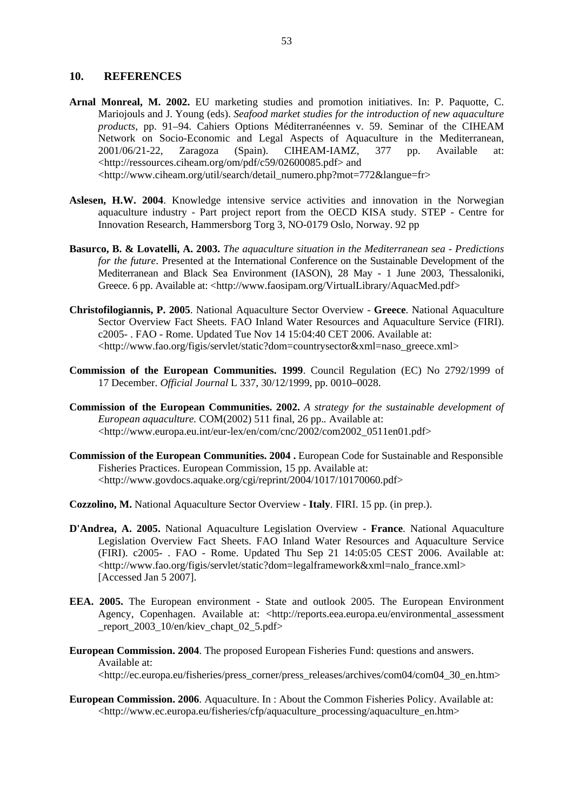#### **10. REFERENCES**

- **Arnal Monreal, M. 2002.** EU marketing studies and promotion initiatives. In: P. Paquotte, C. Mariojouls and J. Young (eds). *Seafood market studies for the introduction of new aquaculture products*, pp. 91–94. Cahiers Options Méditerranéennes v. 59. Seminar of the CIHEAM Network on Socio-Economic and Legal Aspects of Aquaculture in the Mediterranean, 2001/06/21-22, Zaragoza (Spain). CIHEAM-IAMZ, 377 pp. Available at: <http://ressources.ciheam.org/om/pdf/c59/02600085.pdf> and <http://www.ciheam.org/util/search/detail\_numero.php?mot=772&langue=fr>
- **Aslesen, H.W. 2004**. Knowledge intensive service activities and innovation in the Norwegian aquaculture industry - Part project report from the OECD KISA study. STEP - Centre for Innovation Research, Hammersborg Torg 3, NO-0179 Oslo, Norway. 92 pp
- **Basurco, B. & Lovatelli, A. 2003.** *The aquaculture situation in the Mediterranean sea Predictions for the future*. Presented at the International Conference on the Sustainable Development of the Mediterranean and Black Sea Environment (IASON), 28 May - 1 June 2003, Thessaloniki, Greece. 6 pp. Available at: <http://www.faosipam.org/VirtualLibrary/AquacMed.pdf>
- **Christofilogiannis, P. 2005**. National Aquaculture Sector Overview **Greece**. National Aquaculture Sector Overview Fact Sheets. FAO Inland Water Resources and Aquaculture Service (FIRI). c2005- . FAO - Rome. Updated Tue Nov 14 15:04:40 CET 2006. Available at: <http://www.fao.org/figis/servlet/static?dom=countrysector&xml=naso\_greece.xml>
- **Commission of the European Communities. 1999**. Council Regulation (EC) No 2792/1999 of 17 December. *Official Journal* L 337, 30/12/1999, pp. 0010–0028.
- **Commission of the European Communities. 2002.** *A strategy for the sustainable development of European aquaculture.* COM(2002) 511 final, 26 pp.*.* Available at: <http://www.europa.eu.int/eur-lex/en/com/cnc/2002/com2002\_0511en01.pdf>
- **Commission of the European Communities. 2004 .** European Code for Sustainable and Responsible Fisheries Practices. European Commission, 15 pp. Available at: <http://www.govdocs.aquake.org/cgi/reprint/2004/1017/10170060.pdf>
- **Cozzolino, M.** National Aquaculture Sector Overview **Italy**. FIRI. 15 pp. (in prep.).
- **D'Andrea, A. 2005.** National Aquaculture Legislation Overview  **France**. National Aquaculture Legislation Overview Fact Sheets. FAO Inland Water Resources and Aquaculture Service (FIRI). c2005- . FAO - Rome. Updated Thu Sep 21 14:05:05 CEST 2006. Available at: <http://www.fao.org/figis/servlet/static?dom=legalframework&xml=nalo\_france.xml> [Accessed Jan 5 2007].
- **EEA. 2005.** The European environment State and outlook 2005. The European Environment Agency, Copenhagen. Available at: <http://reports.eea.europa.eu/environmental\_assessment \_report\_2003\_10/en/kiev\_chapt\_02\_5.pdf>
- **European Commission. 2004**. The proposed European Fisheries Fund: questions and answers. Available at: <http://ec.europa.eu/fisheries/press\_corner/press\_releases/archives/com04/com04\_30\_en.htm>
- **European Commission. 2006**. Aquaculture. In : About the Common Fisheries Policy. Available at: <http://www.ec.europa.eu/fisheries/cfp/aquaculture\_processing/aquaculture\_en.htm>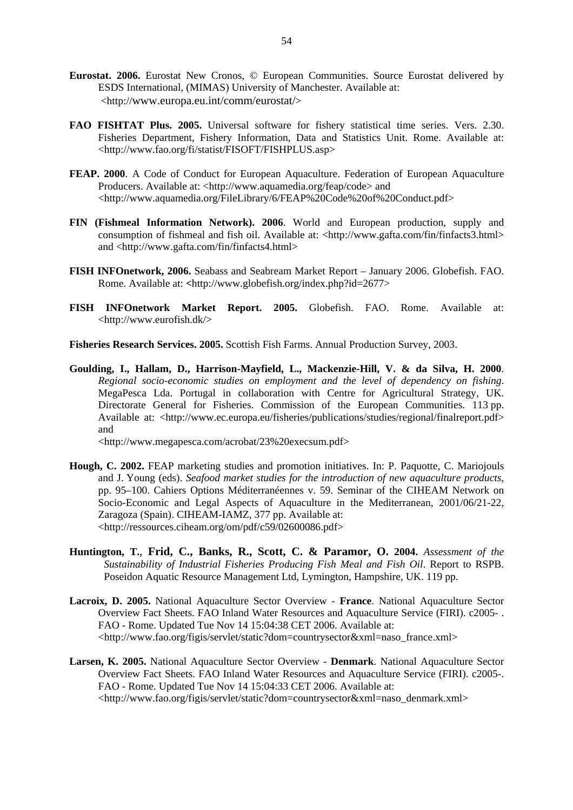- **Eurostat. 2006.** Eurostat New Cronos, © European Communities. Source Eurostat delivered by ESDS International, (MIMAS) University of Manchester. Available at: <http://www.europa.eu.int/comm/eurostat/>
- **FAO FISHTAT Plus. 2005.** Universal software for fishery statistical time series. Vers. 2.30. Fisheries Department, Fishery Information, Data and Statistics Unit. Rome. Available at: <http://www.fao.org/fi/statist/FISOFT/FISHPLUS.asp>
- **FEAP. 2000**. A Code of Conduct for European Aquaculture. Federation of European Aquaculture Producers. Available at: <http://www.aquamedia.org/feap/code> and <http://www.aquamedia.org/FileLibrary/6/FEAP%20Code%20of%20Conduct.pdf>
- **FIN (Fishmeal Information Network). 2006**. World and European production, supply and consumption of fishmeal and fish oil. Available at: <http://www.gafta.com/fin/finfacts3.html> and <http://www.gafta.com/fin/finfacts4.html>
- **FISH INFOnetwork, 2006.** Seabass and Seabream Market Report January 2006. Globefish. FAO. Rome. Available at: **<**http://www.globefish.org/index.php?id=2677>
- **FISH INFOnetwork Market Report. 2005.** Globefish. FAO. Rome. Available at: <http://www.eurofish.dk/>
- **Fisheries Research Services. 2005.** Scottish Fish Farms. Annual Production Survey, 2003.
- **Goulding, I., Hallam, D., Harrison-Mayfield, L., Mackenzie-Hill, V. & da Silva, H. 2000**. *Regional socio-economic studies on employment and the level of dependency on fishing*. MegaPesca Lda. Portugal in collaboration with Centre for Agricultural Strategy, UK. Directorate General for Fisheries. Commission of the European Communities. 113 pp. Available at: <http://www.ec.europa.eu/fisheries/publications/studies/regional/finalreport.pdf> and

<http://www.megapesca.com/acrobat/23%20execsum.pdf>

- **Hough, C. 2002.** FEAP marketing studies and promotion initiatives. In: P. Paquotte, C. Mariojouls and J. Young (eds). *Seafood market studies for the introduction of new aquaculture products*, pp. 95–100. Cahiers Options Méditerranéennes v. 59. Seminar of the CIHEAM Network on Socio-Economic and Legal Aspects of Aquaculture in the Mediterranean, 2001/06/21-22, Zaragoza (Spain). CIHEAM-IAMZ, 377 pp. Available at: <http://ressources.ciheam.org/om/pdf/c59/02600086.pdf>
- **Huntington, T.**, **Frid, C., Banks, R., Scott, C. & Paramor, O. 2004.** *Assessment of the Sustainability of Industrial Fisheries Producing Fish Meal and Fish Oil*. Report to RSPB. Poseidon Aquatic Resource Management Ltd, Lymington, Hampshire, UK. 119 pp.
- **Lacroix, D. 2005.** National Aquaculture Sector Overview **France**. National Aquaculture Sector Overview Fact Sheets. FAO Inland Water Resources and Aquaculture Service (FIRI). c2005- . FAO - Rome. Updated Tue Nov 14 15:04:38 CET 2006. Available at: <http://www.fao.org/figis/servlet/static?dom=countrysector&xml=naso\_france.xml>
- **Larsen, K. 2005.** National Aquaculture Sector Overview **Denmark**. National Aquaculture Sector Overview Fact Sheets. FAO Inland Water Resources and Aquaculture Service (FIRI). c2005-. FAO - Rome. Updated Tue Nov 14 15:04:33 CET 2006. Available at: <http://www.fao.org/figis/servlet/static?dom=countrysector&xml=naso\_denmark.xml>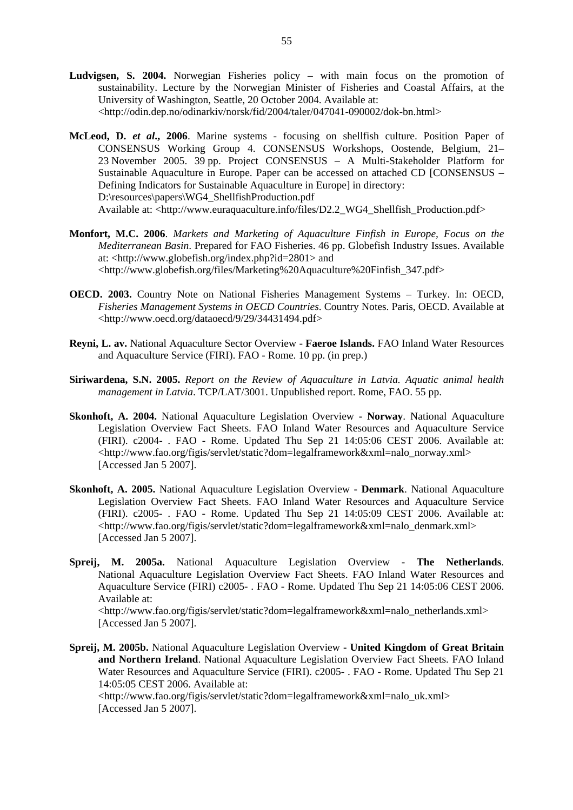- **Ludvigsen, S. 2004.** Norwegian Fisheries policy with main focus on the promotion of sustainability. Lecture by the Norwegian Minister of Fisheries and Coastal Affairs, at the University of Washington, Seattle, 20 October 2004. Available at: <http://odin.dep.no/odinarkiv/norsk/fid/2004/taler/047041-090002/dok-bn.html>
- **McLeod, D.** *et al***., 2006**. Marine systems focusing on shellfish culture. Position Paper of CONSENSUS Working Group 4. CONSENSUS Workshops, Oostende, Belgium, 21– 23 November 2005. 39 pp. Project CONSENSUS – A Multi-Stakeholder Platform for Sustainable Aquaculture in Europe. Paper can be accessed on attached CD [CONSENSUS – Defining Indicators for Sustainable Aquaculture in Europe] in directory: D:\resources\papers\WG4\_ShellfishProduction.pdf Available at: <http://www.euraquaculture.info/files/D2.2\_WG4\_Shellfish\_Production.pdf>
- **Monfort, M.C. 2006**. *Markets and Marketing of Aquaculture Finfish in Europe, Focus on the Mediterranean Basin*. Prepared for FAO Fisheries. 46 pp. Globefish Industry Issues. Available at: <http://www.globefish.org/index.php?id=2801> and <http://www.globefish.org/files/Marketing%20Aquaculture%20Finfish\_347.pdf>
- **OECD. 2003.** Country Note on National Fisheries Management Systems Turkey. In: OECD, *Fisheries Management Systems in OECD Countries*. Country Notes. Paris, OECD. Available at <http://www.oecd.org/dataoecd/9/29/34431494.pdf>
- **Reyni, L. av.** National Aquaculture Sector Overview **Faeroe Islands.** FAO Inland Water Resources and Aquaculture Service (FIRI). FAO - Rome. 10 pp. (in prep.)
- **Siriwardena, S.N. 2005.** *Report on the Review of Aquaculture in Latvia. Aquatic animal health management in Latvia*. TCP/LAT/3001. Unpublished report. Rome, FAO. 55 pp.
- **Skonhoft, A. 2004.** National Aquaculture Legislation Overview **Norway**. National Aquaculture Legislation Overview Fact Sheets. FAO Inland Water Resources and Aquaculture Service (FIRI). c2004- . FAO - Rome. Updated Thu Sep 21 14:05:06 CEST 2006. Available at: <http://www.fao.org/figis/servlet/static?dom=legalframework&xml=nalo\_norway.xml> [Accessed Jan 5 2007].
- **Skonhoft, A. 2005.** National Aquaculture Legislation Overview  **Denmark**. National Aquaculture Legislation Overview Fact Sheets. FAO Inland Water Resources and Aquaculture Service (FIRI). c2005- . FAO - Rome. Updated Thu Sep 21 14:05:09 CEST 2006. Available at: <http://www.fao.org/figis/servlet/static?dom=legalframework&xml=nalo\_denmark.xml> [Accessed Jan 5 2007].
- **Spreij, M. 2005a.** National Aquaculture Legislation Overview  **The Netherlands**. National Aquaculture Legislation Overview Fact Sheets. FAO Inland Water Resources and Aquaculture Service (FIRI) c2005- . FAO - Rome. Updated Thu Sep 21 14:05:06 CEST 2006. Available at:

 <http://www.fao.org/figis/servlet/static?dom=legalframework&xml=nalo\_netherlands.xml> [Accessed Jan 5 2007].

**Spreij, M. 2005b.** National Aquaculture Legislation Overview **- United Kingdom of Great Britain and Northern Ireland**. National Aquaculture Legislation Overview Fact Sheets. FAO Inland Water Resources and Aquaculture Service (FIRI). c2005- . FAO - Rome. Updated Thu Sep 21 14:05:05 CEST 2006. Available at:

 <http://www.fao.org/figis/servlet/static?dom=legalframework&xml=nalo\_uk.xml> [Accessed Jan 5 2007].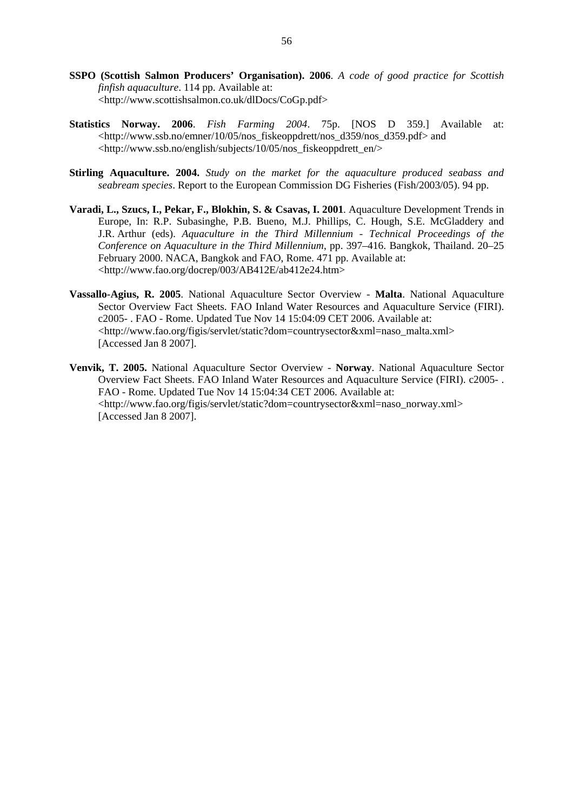- **SSPO (Scottish Salmon Producers' Organisation). 2006**. *A code of good practice for Scottish finfish aquaculture*. 114 pp. Available at: <http://www.scottishsalmon.co.uk/dlDocs/CoGp.pdf>
- **Statistics Norway. 2006**. *Fish Farming 2004*. 75p. [NOS D 359.] Available at: <http://www.ssb.no/emner/10/05/nos\_fiskeoppdrett/nos\_d359/nos\_d359.pdf> and <http://www.ssb.no/english/subjects/10/05/nos\_fiskeoppdrett\_en/>
- **Stirling Aquaculture. 2004.** *Study on the market for the aquaculture produced seabass and seabream species*. Report to the European Commission DG Fisheries (Fish/2003/05). 94 pp.
- **Varadi, L., Szucs, I., Pekar, F., Blokhin, S. & Csavas, I. 2001**. Aquaculture Development Trends in Europe, In: R.P. Subasinghe, P.B. Bueno, M.J. Phillips, C. Hough, S.E. McGladdery and J.R. Arthur (eds). *Aquaculture in the Third Millennium - Technical Proceedings of the Conference on Aquaculture in the Third Millennium*, pp. 397–416. Bangkok, Thailand. 20–25 February 2000. NACA, Bangkok and FAO, Rome. 471 pp. Available at: <http://www.fao.org/docrep/003/AB412E/ab412e24.htm>
- **Vassallo-Agius, R. 2005**. National Aquaculture Sector Overview **Malta**. National Aquaculture Sector Overview Fact Sheets. FAO Inland Water Resources and Aquaculture Service (FIRI). c2005- . FAO - Rome. Updated Tue Nov 14 15:04:09 CET 2006. Available at: <http://www.fao.org/figis/servlet/static?dom=countrysector&xml=naso\_malta.xml> [Accessed Jan 8 2007].
- **Venvik, T. 2005.** National Aquaculture Sector Overview **Norway**. National Aquaculture Sector Overview Fact Sheets. FAO Inland Water Resources and Aquaculture Service (FIRI). c2005- . FAO - Rome. Updated Tue Nov 14 15:04:34 CET 2006. Available at: <http://www.fao.org/figis/servlet/static?dom=countrysector&xml=naso\_norway.xml> [Accessed Jan 8 2007].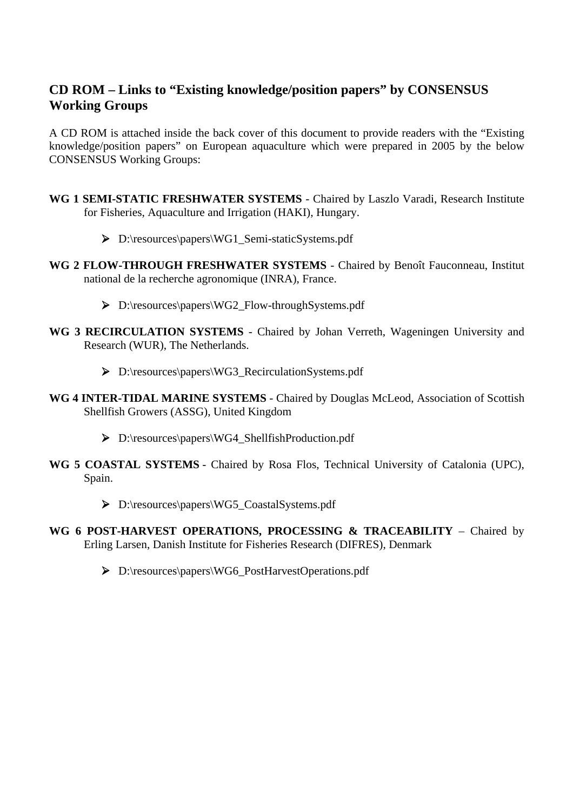# **CD ROM – Links to "Existing knowledge/position papers" by CONSENSUS Working Groups**

A CD ROM is attached inside the back cover of this document to provide readers with the "Existing knowledge/position papers" on European aquaculture which were prepared in 2005 by the below CONSENSUS Working Groups:

- **WG 1 SEMI-STATIC FRESHWATER SYSTEMS** Chaired by Laszlo Varadi, Research Institute for Fisheries, Aquaculture and Irrigation (HAKI), Hungary.
	- ¾ D:\resources\papers\WG1\_Semi-staticSystems.pdf
- **WG 2 FLOW-THROUGH FRESHWATER SYSTEMS** Chaired by Benoît Fauconneau, Institut national de la recherche agronomique (INRA), France.
	- ¾ D:\resources\papers\WG2\_Flow-throughSystems.pdf
- **WG 3 RECIRCULATION SYSTEMS** Chaired by Johan Verreth, Wageningen University and Research (WUR), The Netherlands.
	- ¾ D:\resources\papers\WG3\_RecirculationSystems.pdf
- **WG 4 INTER-TIDAL MARINE SYSTEMS** Chaired by Douglas McLeod, Association of Scottish Shellfish Growers (ASSG), United Kingdom
	- ¾ D:\resources\papers\WG4\_ShellfishProduction.pdf
- **WG 5 COASTAL SYSTEMS** Chaired by Rosa Flos, Technical University of Catalonia (UPC), Spain.
	- ¾ D:\resources\papers\WG5\_CoastalSystems.pdf
- **WG 6 POST-HARVEST OPERATIONS, PROCESSING & TRACEABILITY** Chaired by Erling Larsen, Danish Institute for Fisheries Research (DIFRES), Denmark
	- ¾ D:\resources\papers\WG6\_PostHarvestOperations.pdf